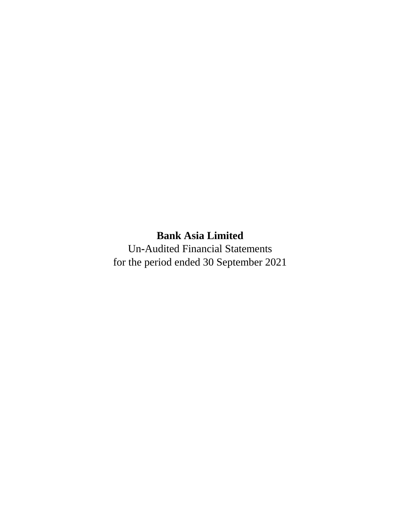# **Bank Asia Limited**

Un**-**Audited Financial Statements for the period ended 30 September 2021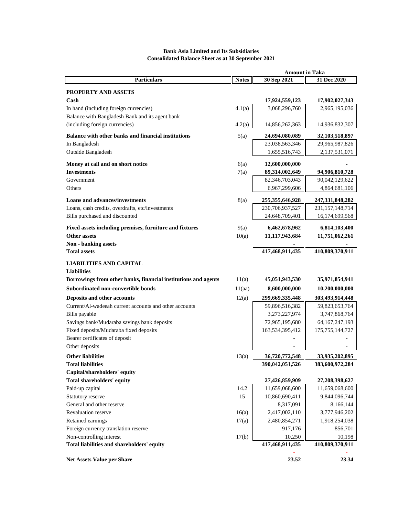## **Bank Asia Limited and Its Subsidiaries Consolidated Balance Sheet as at 30 September 2021**

|                                                                        | <b>Amount in Taka</b> |                                  |                                  |  |
|------------------------------------------------------------------------|-----------------------|----------------------------------|----------------------------------|--|
| <b>Particulars</b>                                                     | <b>Notes</b>          | 30 Sep 2021                      | 31 Dec 2020                      |  |
| PROPERTY AND ASSETS                                                    |                       |                                  |                                  |  |
| Cash                                                                   |                       | 17,924,559,123                   | 17,902,027,343                   |  |
| In hand (including foreign currencies)                                 | 4.1(a)                | 3,068,296,760                    | 2,965,195,036                    |  |
| Balance with Bangladesh Bank and its agent bank                        |                       |                                  |                                  |  |
| (including foreign currencies)                                         | 4.2(a)                | 14,856,262,363                   | 14,936,832,307                   |  |
| Balance with other banks and financial institutions                    |                       |                                  |                                  |  |
| In Bangladesh                                                          | 5(a)                  | 24,694,080,089<br>23,038,563,346 | 32,103,518,897<br>29,965,987,826 |  |
| Outside Bangladesh                                                     |                       | 1,655,516,743                    | 2, 137, 531, 071                 |  |
|                                                                        |                       |                                  |                                  |  |
| Money at call and on short notice                                      | 6(a)                  | 12,600,000,000                   |                                  |  |
| <b>Investments</b>                                                     | 7(a)                  | 89,314,002,649                   | 94,906,810,728                   |  |
| Government                                                             |                       | 82,346,703,043                   | 90,042,129,622                   |  |
| Others                                                                 |                       | 6,967,299,606                    | 4,864,681,106                    |  |
| <b>Loans and advances/investments</b>                                  | 8(a)                  | 255, 355, 646, 928               | 247, 331, 848, 282               |  |
| Loans, cash credits, overdrafts, etc/investments                       |                       | 230,706,937,527                  | 231, 157, 148, 714               |  |
| Bills purchased and discounted                                         |                       | 24,648,709,401                   | 16,174,699,568                   |  |
| Fixed assets including premises, furniture and fixtures                | 9(a)                  | 6,462,678,962                    | 6,814,103,400                    |  |
| <b>Other assets</b>                                                    | 10(a)                 | 11,117,943,684                   | 11,751,062,261                   |  |
| Non - banking assets                                                   |                       |                                  |                                  |  |
| <b>Total assets</b>                                                    |                       | 417,468,911,435                  | 410,809,370,911                  |  |
|                                                                        |                       |                                  |                                  |  |
| <b>LIABILITIES AND CAPITAL</b>                                         |                       |                                  |                                  |  |
| <b>Liabilities</b>                                                     |                       |                                  |                                  |  |
| Borrowings from other banks, financial institutions and agents         | 11(a)                 | 45,051,943,530                   | 35,971,854,941                   |  |
| Subordinated non-convertible bonds                                     | 11(aa)                | 8,600,000,000                    | 10,200,000,000                   |  |
| Deposits and other accounts                                            | 12(a)                 | 299,669,335,448                  | 303,493,914,448                  |  |
| Current/Al-wadeeah current accounts and other accounts                 |                       | 59,896,516,382                   | 59,823,653,764                   |  |
| Bills payable                                                          |                       | 3,273,227,974                    | 3,747,868,764                    |  |
| Savings bank/Mudaraba savings bank deposits                            |                       | 72,965,195,680                   | 64, 167, 247, 193                |  |
| Fixed deposits/Mudaraba fixed deposits                                 |                       | 163,534,395,412                  | 175, 755, 144, 727               |  |
| Bearer certificates of deposit                                         |                       |                                  |                                  |  |
| Other deposits                                                         |                       |                                  |                                  |  |
| <b>Other liabilities</b>                                               | 13(a)                 | 36,720,772,548                   | 33,935,202,895                   |  |
| <b>Total liabilities</b>                                               |                       | 390,042,051,526                  | 383,600,972,284                  |  |
| Capital/shareholders' equity                                           |                       |                                  |                                  |  |
| Total shareholders' equity                                             |                       | 27,426,859,909                   | 27,208,398,627                   |  |
| Paid-up capital                                                        | 14.2                  | 11,659,068,600                   | 11,659,068,600                   |  |
| Statutory reserve                                                      | 15                    | 10,860,690,411                   | 9,844,096,744                    |  |
| General and other reserve                                              |                       | 8,317,091                        | 8,166,144                        |  |
| Revaluation reserve                                                    | 16(a)                 | 2,417,002,110                    | 3,777,946,202                    |  |
| Retained earnings                                                      | 17(a)                 | 2,480,854,271                    | 1,918,254,038                    |  |
| Foreign currency translation reserve                                   |                       | 917,176                          | 856,701                          |  |
| Non-controlling interest<br>Total liabilities and shareholders' equity | 17(b)                 | 10,250<br>417,468,911,435        | 10,198<br>410,809,370,911        |  |
|                                                                        |                       |                                  |                                  |  |
| <b>Net Assets Value per Share</b>                                      |                       | 23.52                            | 23.34                            |  |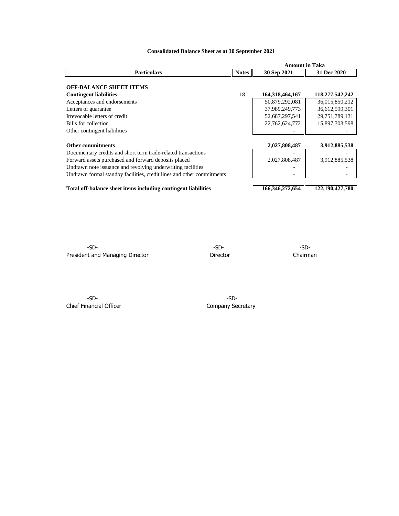|                                                                       |              | <b>Amount in Taka</b> |                 |  |
|-----------------------------------------------------------------------|--------------|-----------------------|-----------------|--|
| <b>Particulars</b>                                                    | <b>Notes</b> | 30 Sep 2021           | 31 Dec 2020     |  |
|                                                                       |              |                       |                 |  |
| <b>OFF-BALANCE SHEET ITEMS</b>                                        |              |                       |                 |  |
| <b>Contingent liabilities</b>                                         | 18           | 164, 318, 464, 167    | 118,277,542,242 |  |
| Acceptances and endorsements                                          |              | 50,879,292,081        | 36,015,850,212  |  |
| Letters of guarantee                                                  |              | 37,989,249,773        | 36,612,599,301  |  |
| Irrevocable letters of credit                                         |              | 52,687,297,541        | 29,751,789,131  |  |
| Bills for collection                                                  |              | 22,762,624,772        | 15,897,303,598  |  |
| Other contingent liabilities                                          |              |                       |                 |  |
|                                                                       |              |                       |                 |  |
| <b>Other commitments</b>                                              |              | 2,027,808,487         | 3,912,885,538   |  |
| Documentary credits and short term trade-related transactions         |              |                       |                 |  |
| Forward assets purchased and forward deposits placed                  |              | 2,027,808,487         | 3,912,885,538   |  |
| Undrawn note issuance and revolving underwriting facilities           |              |                       |                 |  |
| Undrawn formal standby facilities, credit lines and other commitments |              |                       |                 |  |
|                                                                       |              |                       |                 |  |
| Total off-balance sheet items including contingent liabilities        |              | 166,346,272,654       | 122,190,427,780 |  |

# **Consolidated Balance Sheet as at 30 September 2021**

-SD- -SD- -SD-President and Managing Director **Director** Director **Director** Chairman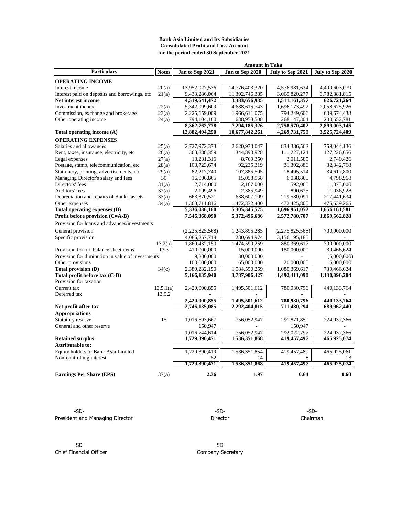### **Bank Asia Limited and Its Subsidiaries Consolidated Profit and Loss Account for the period ended 30 September 2021**

| <b>Amount in Taka</b>                            |              |                 |                 |                  |                  |
|--------------------------------------------------|--------------|-----------------|-----------------|------------------|------------------|
| <b>Particulars</b>                               | <b>Notes</b> | Jan to Sep 2021 | Jan to Sep 2020 | July to Sep 2021 | July to Sep 2020 |
| <b>OPERATING INCOME</b>                          |              |                 |                 |                  |                  |
| Interest income                                  | 20(a)        | 13,952,927,536  | 14,776,403,320  | 4,576,981,634    | 4,409,603,079    |
| Interest paid on deposits and borrowings, etc.   | 21(a)        | 9,433,286,064   | 11,392,746,385  | 3,065,820,277    | 3,782,881,815    |
| Net interest income                              |              | 4,519,641,472   | 3,383,656,935   | 1,511,161,357    | 626,721,264      |
| Investment income                                | 22(a)        | 5,342,999,609   | 4,688,615,743   | 1,696,173,492    | 2,058,675,926    |
| Commission, exchange and brokerage               | 23(a)        | 2,225,659,009   | 1,966,611,075   | 794,249,606      | 639, 674, 438    |
| Other operating income                           | 24(a)        | 794,104,160     | 638,958,508     | 268, 147, 304    | 200,652,781      |
|                                                  |              | 8,362,762,778   | 7,294,185,326   | 2,758,570,402    | 2,899,003,145    |
| Total operating income (A)                       |              | 12,882,404,250  | 10,677,842,261  | 4,269,731,759    | 3,525,724,409    |
| <b>OPERATING EXPENSES</b>                        |              |                 |                 |                  |                  |
| Salaries and allowances                          | 25(a)        | 2,727,972,373   | 2,620,973,047   | 834,386,562      | 759,044,136      |
| Rent, taxes, insurance, electricity, etc.        | 26(a)        | 363,888,359     | 344,890,928     | 111,227,124      | 127,226,656      |
| Legal expenses                                   | 27(a)        | 13,231,316      | 8,769,350       | 2,011,585        | 2.740.426        |
| Postage, stamp, telecommunication, etc           | 28(a)        | 103,723,674     | 92,235,319      | 31,302,886       | 32, 342, 768     |
| Stationery, printing, advertisements, etc        | 29(a)        | 82,217,740      | 107,885,505     | 18,495,514       | 34,617,800       |
| Managing Director's salary and fees              | 30           | 16,006,865      | 15,058,968      | 6,038,865        | 4,798,968        |
| Directors' fees                                  | 31(a)        | 2,714,000       | 2,167,000       | 592,000          | 1,373,000        |
| Auditors' fees                                   | 32(a)        | 2,199,496       | 2,385,949       | 890.625          | 1,036,928        |
| Depreciation and repairs of Bank's assets        | 33(a)        | 663,370,521     | 638,607,109     | 219,580,091      | 217,441,634      |
| Other expenses                                   | 34(a)        | 1,360,711,816   | 1,472,372,400   | 472,425,800      | 475,539,265      |
| Total operating expenses (B)                     |              | 5,336,036,160   | 5,305,345,575   | 1,696,951,052    | 1,656,161,581    |
| Profit before provision (C=A-B)                  |              | 7,546,368,090   | 5,372,496,686   | 2,572,780,707    | 1,869,562,828    |
| Provision for loans and advances/investments     |              |                 |                 |                  |                  |
| General provision                                |              | (2,225,825,568) | 1,243,895,285   | (2,275,825,568)  | 700,000,000      |
| Specific provision                               |              | 4,086,257,718   | 230,694,974     | 3,156,195,185    |                  |
|                                                  | 13.2(a)      | 1,860,432,150   | 1,474,590,259   | 880,369,617      | 700,000,000      |
| Provision for off-balance sheet items            | 13.3         | 410,000,000     | 15,000,000      | 180,000,000      | 39,466,624       |
| Provision for diminution in value of investments |              | 9,800,000       | 30,000,000      |                  | (5,000,000)      |
| Other provisions                                 |              | 100,000,000     | 65,000,000      | 20,000,000       | 5,000,000        |
| <b>Total provision (D)</b>                       | 34(c)        | 2,380,232,150   | 1,584,590,259   | 1,080,369,617    | 739,466,624      |
| Total profit before tax (C-D)                    |              | 5,166,135,940   | 3,787,906,427   | 1,492,411,090    | 1,130,096,204    |
| Provision for taxation                           |              |                 |                 |                  |                  |
| Current tax                                      | 13.5.1(a)    | 2,420,000,855   | 1,495,501,612   | 780,930,796      | 440,133,764      |
| Deferred tax                                     | 13.5.2       |                 |                 |                  |                  |
|                                                  |              | 2,420,000,855   | 1,495,501,612   | 780,930,796      | 440,133,764      |
| Net profit after tax                             |              | 2,746,135,085   | 2,292,404,815   | 711,480,294      | 689,962,440      |
| <b>Appropriations</b>                            |              |                 |                 |                  |                  |
| Statutory reserve                                | 15           | 1,016,593,667   | 756,052,947     | 291,871,850      | 224,037,366      |
| General and other reserve                        |              | 150,947         |                 | 150,947          |                  |
|                                                  |              | 1,016,744,614   | 756,052,947     | 292,022,797      | 224,037,366      |
| <b>Retained surplus</b>                          |              | 1,729,390,471   | 1,536,351,868   | 419,457,497      | 465,925,074      |
| <b>Attributable to:</b>                          |              |                 |                 |                  |                  |
| Equity holders of Bank Asia Limited              |              | 1,729,390,419   | 1,536,351,854   | 419,457,489      | 465,925,061      |
| Non-controlling interest                         |              | 52              | 14              | 8                | 13               |
|                                                  |              | 1,729,390,471   | 1,536,351,868   | 419,457,497      | 465,925,074      |
| <b>Earnings Per Share (EPS)</b>                  | 37(a)        | 2.36            | 1.97            | 0.61             | 0.60             |

-SD- -SD- -SD-President and Managing Director **National Execution Chairman** Director **Director** Chairman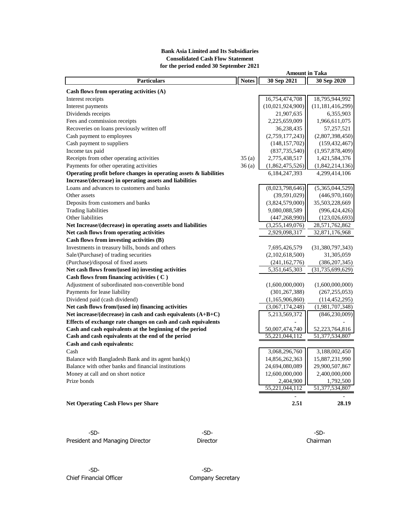## **Bank Asia Limited and Its Subsidiaries Consolidated Cash Flow Statement for the period ended 30 September 2021**

|                                                                   | <b>Amount in Taka</b> |                  |                     |  |
|-------------------------------------------------------------------|-----------------------|------------------|---------------------|--|
| <b>Particulars</b>                                                | <b>Notes</b>          | 30 Sep 2021      | 30 Sep 2020         |  |
| Cash flows from operating activities $(A)$                        |                       |                  |                     |  |
| Interest receipts                                                 |                       | 16,754,474,708   | 18,795,944,992      |  |
| Interest payments                                                 |                       | (10,021,924,900) | (11, 181, 416, 299) |  |
| Dividends receipts                                                |                       | 21,907,635       | 6,355,903           |  |
| Fees and commission receipts                                      |                       | 2,225,659,009    | 1,966,611,075       |  |
| Recoveries on loans previously written off                        |                       | 36,238,435       | 57,257,521          |  |
| Cash payment to employees                                         |                       | (2,759,177,243)  | (2,807,398,450)     |  |
| Cash payment to suppliers                                         |                       | (148, 157, 702)  | (159, 432, 467)     |  |
| Income tax paid                                                   |                       | (837, 735, 540)  | (1,957,878,409)     |  |
| Receipts from other operating activities                          | 35(a)                 | 2,775,438,517    | 1,421,584,376       |  |
| Payments for other operating activities                           | 36(a)                 | (1,862,475,526)  | (1,842,214,136)     |  |
| Operating profit before changes in operating assets & liabilities |                       | 6,184,247,393    | 4,299,414,106       |  |
| Increase/(decrease) in operating assets and liabilities           |                       |                  |                     |  |
| Loans and advances to customers and banks                         |                       | (8,023,798,646)  | (5,365,044,529)     |  |
| Other assets                                                      |                       | (39, 591, 029)   | (446,970,160)       |  |
| Deposits from customers and banks                                 |                       | (3,824,579,000)  | 35,503,228,669      |  |
| <b>Trading liabilities</b>                                        |                       | 9,080,088,589    | (996, 424, 426)     |  |
| Other liabilities                                                 |                       | (447, 268, 990)  | (123, 026, 693)     |  |
| Net Increase/(decrease) in operating assets and liabilities       |                       | (3,255,149,076)  | 28,571,762,862      |  |
| Net cash flows from operating activities                          |                       | 2,929,098,317    | 32,871,176,968      |  |
| Cash flows from investing activities (B)                          |                       |                  |                     |  |
| Investments in treasury bills, bonds and others                   |                       | 7,695,426,579    | (31,380,797,343)    |  |
| Sale/(Purchase) of trading securities                             |                       | (2,102,618,500)  | 31,305,059          |  |
| (Purchase)/disposal of fixed assets                               |                       | (241, 162, 776)  | (386, 207, 345)     |  |
| Net cash flows from/(used in) investing activities                |                       | 5,351,645,303    | (31, 735, 699, 629) |  |
| Cash flows from financing activities (C)                          |                       |                  |                     |  |
| Adjustment of subordinated non-convertible bond                   |                       | (1,600,000,000)  | (1,600,000,000)     |  |
| Payments for lease liability                                      |                       | (301, 267, 388)  | (267, 255, 053)     |  |
| Dividend paid (cash dividend)                                     |                       | (1,165,906,860)  | (114, 452, 295)     |  |
| Net cash flows from/(used in) financing activities                |                       | (3,067,174,248)  | (1,981,707,348)     |  |
| Net increase/(decrease) in cash and cash equivalents (A+B+C)      |                       | 5,213,569,372    | (846, 230, 009)     |  |
| Effects of exchange rate changes on cash and cash equivalents     |                       |                  |                     |  |
| Cash and cash equivalents at the beginning of the period          |                       | 50,007,474,740   | 52,223,764,816      |  |
| Cash and cash equivalents at the end of the period                |                       | 55,221,044,112   | 51,377,534,807      |  |
| Cash and cash equivalents:                                        |                       |                  |                     |  |
| Cash                                                              |                       | 3,068,296,760    | 3,188,002,450       |  |
| Balance with Bangladesh Bank and its agent bank(s)                |                       | 14,856,262,363   | 15,887,231,990      |  |
| Balance with other banks and financial institutions               |                       | 24,694,080,089   | 29,900,507,867      |  |
| Money at call and on short notice                                 |                       | 12,600,000,000   | 2,400,000,000       |  |
| Prize bonds                                                       |                       | 2,404,900        | 1,792,500           |  |
|                                                                   |                       | 55,221,044,112   | 51,377,534,807      |  |
|                                                                   |                       | 2.51             |                     |  |
| <b>Net Operating Cash Flows per Share</b>                         |                       |                  | 28.19               |  |

-SD- -SD- -SD-President and Managing Director **Director** Director **Director** Chairman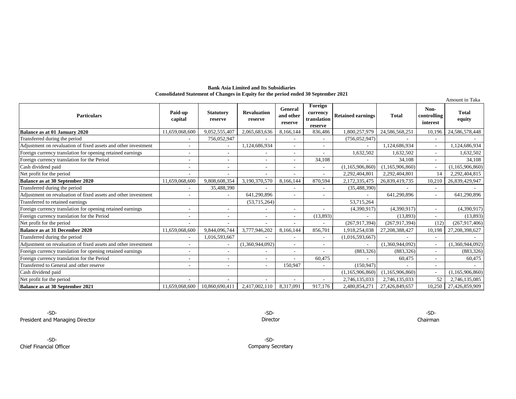#### **Bank Asia Limited and Its Subsidiaries Consolidated Statement of Changes in Equity for the period ended 30 September 2021**

| Amount in Taka                                                 |                          |                             |                               |                                 |                                               |                          |                    |                                 |                        |
|----------------------------------------------------------------|--------------------------|-----------------------------|-------------------------------|---------------------------------|-----------------------------------------------|--------------------------|--------------------|---------------------------------|------------------------|
| <b>Particulars</b>                                             | Paid-up<br>capital       | <b>Statutory</b><br>reserve | <b>Revaluation</b><br>reserve | General<br>and other<br>reserve | Foreign<br>currency<br>translation<br>reserve | <b>Retained earnings</b> | <b>Total</b>       | Non-<br>controlling<br>interest | <b>Total</b><br>equity |
| Balance as at 01 January 2020                                  | 11,659,068,600           | 9,052,555,407               | 2,065,683,636                 | 8,166,144                       | 836,486                                       | 1,800,257,979            | 24.586.568.251     | 10.196                          | 24,586,578,448         |
| Transferred during the period                                  |                          | 756,052,947                 |                               |                                 |                                               | (756, 052, 947)          |                    |                                 |                        |
| Adjustment on revaluation of fixed assets and other investment |                          |                             | 1,124,686,934                 | $\sim$                          | $\overline{\phantom{a}}$                      |                          | 1,124,686,934      | $\sim$                          | 1,124,686,934          |
| Foreign currency translation for opening retained earnings     |                          |                             |                               |                                 |                                               | 1,632,502                | 1,632,502          |                                 | 1,632,502              |
| Foreign currency translation for the Period                    | ٠                        |                             |                               | $\sim$                          | 34,108                                        |                          | 34.108             | ۰.                              | 34,108                 |
| Cash dividend paid                                             |                          |                             |                               |                                 |                                               | (1,165,906,860)          | (1, 165, 906, 860) |                                 | (1,165,906,860)        |
| Net profit for the period                                      |                          |                             |                               |                                 |                                               | 2,292,404,801            | 2,292,404,801      | 14                              | 2,292,404,815          |
| <b>Balance as at 30 September 2020</b>                         | 11,659,068,600           | 9,808,608,354               | 3,190,370,570                 | 8,166,144                       | 870,594                                       | 2,172,335,475            | 26,839,419,735     | 10,210                          | 26,839,429,947         |
| Transferred during the period                                  |                          | 35,488,390                  |                               | $\sim$                          | $\sim$                                        | (35,488,390)             |                    | ٠                               |                        |
| Adjustment on revaluation of fixed assets and other investment | ٠                        |                             | 641,290,896                   | $\sim$                          | $\overline{\phantom{a}}$                      | $\sim$                   | 641,290,896        | $\overline{\phantom{a}}$        | 641,290,896            |
| Transferred to retained earnings                               |                          |                             | (53,715,264)                  |                                 |                                               | 53,715,264               |                    |                                 |                        |
| Foreign currency translation for opening retained earnings     |                          |                             |                               | $\overline{\phantom{a}}$        |                                               | (4,390,917)              | (4,390,917)        |                                 | (4,390,917)            |
| Foreign currency translation for the Period                    |                          |                             |                               | $\overline{\phantom{a}}$        | (13,893)                                      |                          | (13,893)           | Ξ.                              | (13,893)               |
| Net profit for the period                                      |                          |                             |                               |                                 |                                               | (267, 917, 394)          | (267, 917, 394)    | (12)                            | (267, 917, 406)        |
| <b>Balance as at 31 December 2020</b>                          | 11,659,068,600           | 9,844,096,744               | 3,777,946,202                 | 8,166,144                       | 856,701                                       | 1,918,254,038            | 27,208,388,427     | 10,198                          | 27,208,398,627         |
| Transferred during the period                                  |                          | 1,016,593,667               |                               | $\overline{\phantom{a}}$        | $\overline{\phantom{a}}$                      | (1,016,593,667)          |                    |                                 |                        |
| Adjustment on revaluation of fixed assets and other investment |                          |                             | (1,360,944,092)               | $\overline{\phantom{a}}$        | $\overline{\phantom{a}}$                      |                          | (1,360,944,092)    | Ξ.                              | (1,360,944,092)        |
| Foreign currency translation for opening retained earnings     | $\overline{\phantom{a}}$ |                             |                               | $\overline{\phantom{a}}$        |                                               | (883, 326)               | (883, 326)         | ٠.                              | (883, 326)             |
| Foreign currency translation for the Period                    |                          |                             |                               |                                 | 60,475                                        |                          | 60,475             | ٠                               | 60,475                 |
| Transferred to General and other reserve                       |                          |                             |                               | 150.947                         |                                               | (150, 947)               |                    |                                 |                        |
| Cash dividend paid                                             |                          |                             |                               |                                 |                                               | (1,165,906,860)          | (1,165,906,860)    | $\sim$                          | (1,165,906,860)        |
| Net profit for the period                                      |                          |                             |                               |                                 |                                               | 2,746,135,033            | 2,746,135,033      | 52                              | 2,746,135,085          |
| Balance as at 30 September 2021                                | 11,659,068,600           | 10.860.690.411              | 2,417,002,110                 | 8,317,091                       | 917,176                                       | 2,480,854,271            | 27,426,849,657     | 10,250                          | 27,426,859,909         |

-SD- -SD- -SD-President and Managing Director Chairman

Director

-SD- -SD-Chief Financial Officer

Company Secretary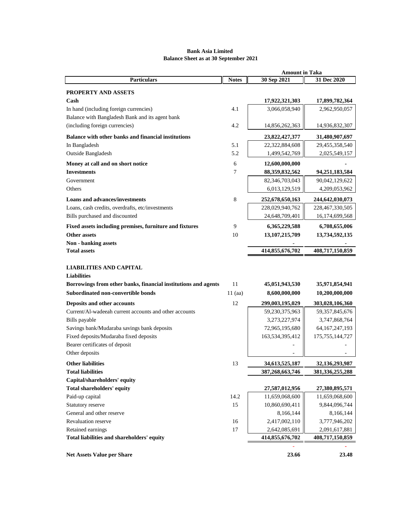## **Bank Asia Limited Balance Sheet as at 30 September 2021**

|                                                                 | <b>Amount in Taka</b> |                                  |                                  |  |
|-----------------------------------------------------------------|-----------------------|----------------------------------|----------------------------------|--|
| <b>Particulars</b>                                              | <b>Notes</b>          | 30 Sep 2021                      | 31 Dec 2020                      |  |
| PROPERTY AND ASSETS                                             |                       |                                  |                                  |  |
| $\mathbf C$ ash                                                 |                       | 17,922,321,303                   | 17,899,782,364                   |  |
| In hand (including foreign currencies)                          | 4.1                   | 3,066,058,940                    | 2,962,950,057                    |  |
| Balance with Bangladesh Bank and its agent bank                 |                       |                                  |                                  |  |
| (including foreign currencies)                                  | 4.2                   | 14,856,262,363                   | 14,936,832,307                   |  |
| Balance with other banks and financial institutions             |                       | 23,822,427,377                   | 31,480,907,697                   |  |
| In Bangladesh                                                   | 5.1                   | 22,322,884,608                   | 29,455,358,540                   |  |
| Outside Bangladesh                                              | 5.2                   | 1,499,542,769                    | 2,025,549,157                    |  |
| Money at call and on short notice                               | 6                     | 12,600,000,000                   |                                  |  |
| <b>Investments</b>                                              | 7                     | 88, 359, 832, 562                | 94, 251, 183, 584                |  |
| Government                                                      |                       | 82,346,703,043                   | 90,042,129,622                   |  |
| Others                                                          |                       | 6,013,129,519                    | 4,209,053,962                    |  |
| <b>Loans and advances/investments</b>                           | 8                     | 252,678,650,163                  | 244,642,030,073                  |  |
| Loans, cash credits, overdrafts, etc/investments                |                       | 228,029,940,762                  | 228,467,330,505                  |  |
| Bills purchased and discounted                                  |                       | 24,648,709,401                   | 16,174,699,568                   |  |
| Fixed assets including premises, furniture and fixtures         | 9                     | 6,365,229,588                    | 6,708,655,006                    |  |
| <b>Other assets</b>                                             | 10                    | 13,107,215,709                   | 13,734,592,135                   |  |
| Non - banking assets                                            |                       |                                  |                                  |  |
| <b>Total assets</b>                                             |                       | 414,855,676,702                  | 408,717,150,859                  |  |
|                                                                 |                       |                                  |                                  |  |
| <b>LIABILITIES AND CAPITAL</b>                                  |                       |                                  |                                  |  |
| <b>Liabilities</b>                                              |                       |                                  |                                  |  |
| Borrowings from other banks, financial institutions and agents  | 11                    | 45,051,943,530                   | 35,971,854,941                   |  |
| Subordinated non-convertible bonds                              | $11$ (aa)             | 8,600,000,000                    | 10,200,000,000                   |  |
| Deposits and other accounts                                     | 12                    | 299,003,195,029                  | 303,028,106,360                  |  |
| Current/Al-wadeeah current accounts and other accounts          |                       | 59,230,375,963                   | 59, 357, 845, 676                |  |
| Bills payable                                                   |                       | 3,273,227,974                    | 3,747,868,764                    |  |
| Savings bank/Mudaraba savings bank deposits                     |                       | 72,965,195,680                   | 64, 167, 247, 193                |  |
| Fixed deposits/Mudaraba fixed deposits                          |                       | 163,534,395,412                  | 175, 755, 144, 727               |  |
| Bearer certificates of deposit                                  |                       |                                  |                                  |  |
| Other deposits                                                  |                       |                                  |                                  |  |
| <b>Other liabilities</b>                                        | 13                    | 34,613,525,187                   | 32,136,293,987                   |  |
| <b>Total liabilities</b>                                        |                       | 387,268,663,746                  | 381, 336, 255, 288               |  |
| Capital/shareholders' equity                                    |                       |                                  |                                  |  |
| Total shareholders' equity                                      |                       | 27,587,012,956                   | 27,380,895,571                   |  |
| Paid-up capital                                                 | 14.2                  | 11,659,068,600                   | 11,659,068,600                   |  |
| Statutory reserve                                               | 15                    | 10,860,690,411                   | 9,844,096,744                    |  |
| General and other reserve                                       |                       | 8,166,144                        | 8,166,144                        |  |
| Revaluation reserve                                             | 16                    | 2,417,002,110                    | 3,777,946,202                    |  |
| Retained earnings<br>Total liabilities and shareholders' equity | 17                    | 2,642,085,691<br>414,855,676,702 | 2,091,617,881<br>408,717,150,859 |  |
|                                                                 |                       |                                  |                                  |  |
| <b>Net Assets Value per Share</b>                               |                       | 23.66                            | 23.48                            |  |
|                                                                 |                       |                                  |                                  |  |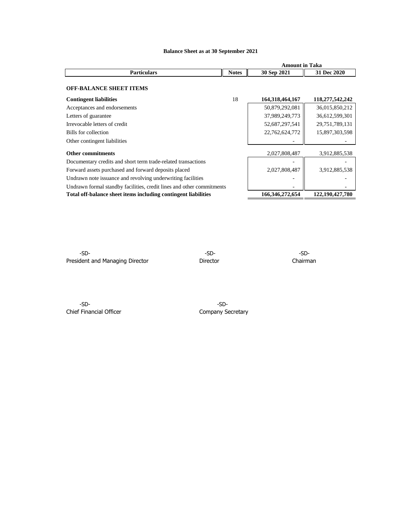|                                                                       |              | <b>Amount in Taka</b> |                    |  |  |
|-----------------------------------------------------------------------|--------------|-----------------------|--------------------|--|--|
| <b>Particulars</b>                                                    | <b>Notes</b> | 30 Sep 2021           | 31 Dec 2020        |  |  |
| <b>OFF-BALANCE SHEET ITEMS</b>                                        |              |                       |                    |  |  |
| <b>Contingent liabilities</b>                                         | 18           | 164, 318, 464, 167    | 118,277,542,242    |  |  |
| Acceptances and endorsements                                          |              | 50,879,292,081        | 36,015,850,212     |  |  |
| Letters of guarantee                                                  |              | 37,989,249,773        | 36,612,599,301     |  |  |
| Irrevocable letters of credit                                         |              | 52,687,297,541        | 29,751,789,131     |  |  |
| Bills for collection                                                  |              | 22,762,624,772        | 15,897,303,598     |  |  |
| Other contingent liabilities                                          |              |                       |                    |  |  |
| <b>Other commitments</b>                                              |              | 2,027,808,487         | 3,912,885,538      |  |  |
| Documentary credits and short term trade-related transactions         |              |                       |                    |  |  |
| Forward assets purchased and forward deposits placed                  |              | 2,027,808,487         | 3,912,885,538      |  |  |
| Undrawn note issuance and revolving underwriting facilities           |              |                       |                    |  |  |
| Undrawn formal standby facilities, credit lines and other commitments |              |                       |                    |  |  |
| Total off-balance sheet items including contingent liabilities        |              | 166, 346, 272, 654    | 122, 190, 427, 780 |  |  |

# **Balance Sheet as at 30 September 2021**

-SD- -SD- -SD-President and Managing Director **Director** Director **Director** Chairman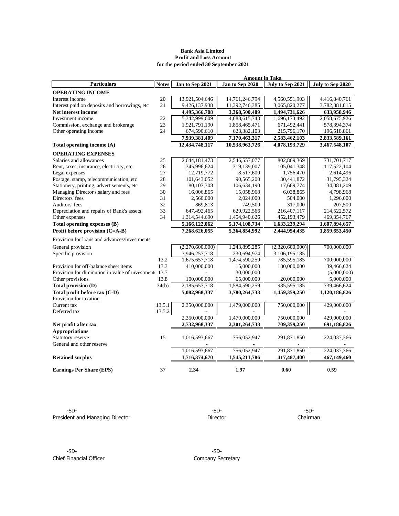## **Bank Asia Limited Profit and Loss Account for the period ended 30 September 2021**

| <b>Amount in Taka</b>                                 |              |                 |                 |                  |                  |  |
|-------------------------------------------------------|--------------|-----------------|-----------------|------------------|------------------|--|
| <b>Particulars</b>                                    | <b>Notes</b> | Jan to Sep 2021 | Jan to Sep 2020 | July to Sep 2021 | July to Sep 2020 |  |
| <b>OPERATING INCOME</b>                               |              |                 |                 |                  |                  |  |
| Interest income                                       | 20           | 13,921,504,646  | 14,761,246,794  | 4,560,551,903    | 4,416,840,761    |  |
| Interest paid on deposits and borrowings, etc         | 21           | 9,426,137,938   | 11,392,746,385  | 3,065,820,277    | 3,782,881,815    |  |
| Net interest income                                   |              | 4,495,366,708   | 3,368,500,409   | 1,494,731,626    | 633,958,946      |  |
| Investment income                                     | 22           | 5,342,999,609   | 4,688,615,743   | 1,696,173,492    | 2,058,675,926    |  |
| Commission, exchange and brokerage                    | 23           | 1,921,791,190   | 1,858,465,471   | 671,492,441      | 578,394,374      |  |
| Other operating income                                | 24           | 674,590,610     | 623,382,103     | 215,796,170      | 196,518,861      |  |
|                                                       |              | 7,939,381,409   | 7,170,463,317   | 2,583,462,103    | 2,833,589,161    |  |
| Total operating income (A)                            |              | 12,434,748,117  | 10,538,963,726  | 4,078,193,729    | 3,467,548,107    |  |
| <b>OPERATING EXPENSES</b>                             |              |                 |                 |                  |                  |  |
| Salaries and allowances                               | 25           | 2,644,181,473   | 2,546,557,077   | 802,869,369      | 731,701,717      |  |
| Rent, taxes, insurance, electricity, etc              | 26           | 345,996,624     | 319,139,007     | 105,041,348      | 117,522,104      |  |
| Legal expenses                                        | 27           | 12,719,772      | 8,517,600       | 1,756,470        | 2,614,496        |  |
| Postage, stamp, telecommunication, etc                | 28           | 101,643,052     | 90,565,200      | 30,441,872       | 31,795,324       |  |
| Stationery, printing, advertisements, etc             | 29           | 80,107,308      | 106,634,190     | 17,669,774       | 34,081,209       |  |
| Managing Director's salary and fees                   | 30           | 16,006,865      | 15,058,968      | 6,038,865        | 4,798,968        |  |
| Directors' fees                                       | 31           | 2,560,000       | 2,024,000       | 504,000          | 1,296,000        |  |
| Auditors' fees                                        | 32           | 869,813         | 749,500         | 317,000          | 207,500          |  |
| Depreciation and repairs of Bank's assets             | 33           | 647,492,465     | 629,922,566     | 216,407,117      | 214,522,572      |  |
| Other expenses                                        | 34           | 1,314,544,690   | 1,454,940,626   | 452,193,479      | 469,354,767      |  |
| Total operating expenses (B)                          |              | 5,166,122,062   | 5,174,108,734   | 1,633,239,294    | 1,607,894,657    |  |
| Profit before provision (C=A-B)                       |              | 7,268,626,055   | 5,364,854,992   | 2,444,954,435    | 1,859,653,450    |  |
| Provision for loans and advances/investments          |              |                 |                 |                  |                  |  |
| General provision                                     |              | (2,270,600,000) | 1,243,895,285   | (2,320,600,000)  | 700,000,000      |  |
| Specific provision                                    |              | 3,946,257,718   | 230,694,974     | 3,106,195,185    |                  |  |
|                                                       | 13.2         | 1,675,657,718   | 1,474,590,259   | 785,595,185      | 700,000,000      |  |
| Provision for off-balance sheet items                 | 13.3         | 410,000,000     | 15,000,000      | 180,000,000      | 39,466,624       |  |
| Provision for diminution in value of investment: 13.7 |              |                 | 30,000,000      |                  | (5,000,000)      |  |
| Other provisions                                      | 13.8         | 100,000,000     | 65,000,000      | 20,000,000       | 5,000,000        |  |
| Total provision (D)                                   | 34(b)        | 2,185,657,718   | 1,584,590,259   | 985,595,185      | 739,466,624      |  |
| Total profit before tax (C-D)                         |              | 5,082,968,337   | 3,780,264,733   | 1,459,359,250    | 1,120,186,826    |  |
| Provision for taxation                                |              |                 |                 |                  |                  |  |
| Current tax                                           | 13.5.1       | 2,350,000,000   | 1,479,000,000   | 750,000,000      | 429,000,000      |  |
| Deferred tax                                          | 13.5.2       |                 |                 |                  |                  |  |
|                                                       |              | 2,350,000,000   | 1,479,000,000   | 750,000,000      | 429,000,000      |  |
| Net profit after tax                                  |              | 2,732,968,337   | 2,301,264,733   | 709,359,250      | 691,186,826      |  |
| <b>Appropriations</b>                                 |              |                 |                 |                  |                  |  |
| Statutory reserve                                     | 15           | 1,016,593,667   | 756,052,947     | 291,871,850      | 224,037,366      |  |
| General and other reserve                             |              |                 |                 |                  |                  |  |
|                                                       |              | 1,016,593,667   | 756,052,947     | 291,871,850      | 224,037,366      |  |
| <b>Retained surplus</b>                               |              | 1,716,374,670   | 1,545,211,786   | 417,487,400      | 467,149,460      |  |
|                                                       |              |                 |                 |                  |                  |  |
| <b>Earnings Per Share (EPS)</b>                       | 37           | 2.34            | 1.97            | 0.60             | 0.59             |  |

-SD- -SD- -SD-President and Managing Director **National Execution Chairman** Director Chairman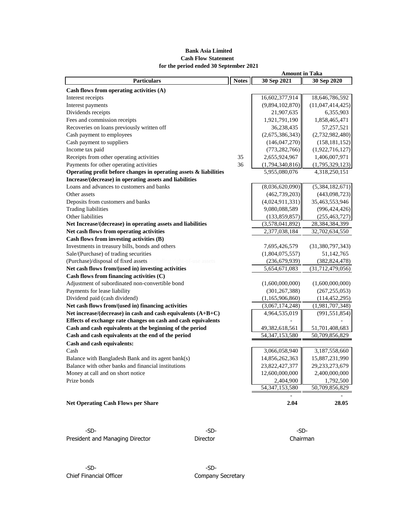# **Bank Asia Limited Cash Flow Statement for the period ended 30 September 2021**

| <b>Particulars</b>                                                | <b>Notes</b> | 30 Sep 2021       | 30 Sep 2020      |
|-------------------------------------------------------------------|--------------|-------------------|------------------|
| Cash flows from operating activities (A)                          |              |                   |                  |
| Interest receipts                                                 |              | 16,602,377,914    | 18,646,786,592   |
| Interest payments                                                 |              | (9,894,102,870)   | (11,047,414,425) |
| Dividends receipts                                                |              | 21,907,635        | 6,355,903        |
| Fees and commission receipts                                      |              | 1,921,791,190     | 1,858,465,471    |
| Recoveries on loans previously written off                        |              | 36,238,435        | 57,257,521       |
| Cash payment to employees                                         |              | (2,675,386,343)   | (2,732,982,480)  |
| Cash payment to suppliers                                         |              | (146, 047, 270)   | (158, 181, 152)  |
| Income tax paid                                                   |              | (773, 282, 766)   | (1,922,716,127)  |
| Receipts from other operating activities                          | 35           | 2,655,924,967     | 1,406,007,971    |
| Payments for other operating activities                           | 36           | (1,794,340,816)   | (1,795,329,123)  |
| Operating profit before changes in operating assets & liabilities |              | 5,955,080,076     | 4,318,250,151    |
| Increase/(decrease) in operating assets and liabilities           |              |                   |                  |
| Loans and advances to customers and banks                         |              | (8,036,620,090)   | (5,384,182,671)  |
| Other assets                                                      |              | (462, 739, 203)   | (443,098,723)    |
| Deposits from customers and banks                                 |              | (4,024,911,331)   | 35,463,553,946   |
| <b>Trading liabilities</b>                                        |              | 9,080,088,589     | (996, 424, 426)  |
| Other liabilities                                                 |              | (133,859,857)     | (255, 463, 727)  |
| Net Increase/(decrease) in operating assets and liabilities       |              | (3,578,041,892)   | 28,384,384,399   |
| Net cash flows from operating activities                          |              | 2,377,038,184     | 32,702,634,550   |
| Cash flows from investing activities (B)                          |              |                   |                  |
| Investments in treasury bills, bonds and others                   |              | 7,695,426,579     | (31,380,797,343) |
| Sale/(Purchase) of trading securities                             |              | (1,804,075,557)   | 51,142,765       |
| (Purchase)/disposal of fixed assets including right-of-use assets |              | (236, 679, 939)   | (382, 824, 478)  |
| Net cash flows from/(used in) investing activities                |              | 5,654,671,083     | (31,712,479,056) |
| Cash flows from financing activities (C)                          |              |                   |                  |
| Adjustment of subordinated non-convertible bond                   |              | (1,600,000,000)   | (1,600,000,000)  |
| Payments for lease liability                                      |              | (301, 267, 388)   | (267, 255, 053)  |
| Dividend paid (cash dividend)                                     |              | (1,165,906,860)   | (114, 452, 295)  |
| Net cash flows from/(used in) financing activities                |              | (3,067,174,248)   | (1,981,707,348)  |
| Net increase/(decrease) in cash and cash equivalents $(A+B+C)$    |              | 4,964,535,019     | (991, 551, 854)  |
| Effects of exchange rate changes on cash and cash equivalents     |              |                   |                  |
| Cash and cash equivalents at the beginning of the period          |              | 49,382,618,561    | 51,701,408,683   |
| Cash and cash equivalents at the end of the period                |              | 54, 347, 153, 580 | 50,709,856,829   |
| Cash and cash equivalents:                                        |              |                   |                  |
| Cash                                                              |              | 3,066,058,940     | 3,187,558,660    |
| Balance with Bangladesh Bank and its agent bank(s)                |              | 14,856,262,363    | 15,887,231,990   |
| Balance with other banks and financial institutions               |              | 23,822,427,377    | 29,233,273,679   |
| Money at call and on short notice                                 |              | 12,600,000,000    | 2,400,000,000    |
| Prize bonds                                                       |              | 2,404,900         | 1,792,500        |
|                                                                   |              | 54, 347, 153, 580 | 50,709,856,829   |
|                                                                   |              |                   |                  |
| <b>Net Operating Cash Flows per Share</b>                         |              | 2.04              | 28.05            |

President and Managing Director **Director** Director **Chairman** 

-SD- -SD- -SD-

**Amount in Taka**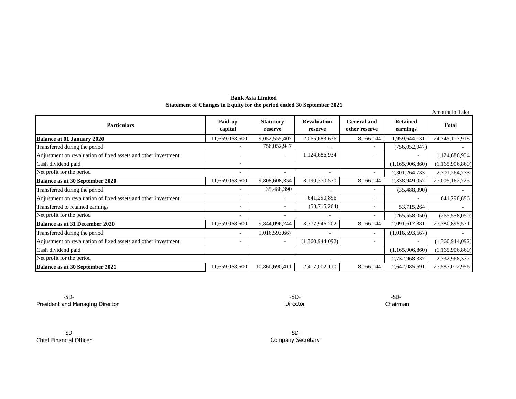**Bank Asia Limited Statement of Changes in Equity for the period ended 30 September 2021**

|                                                                |                          |                             |                               |                                     |                             | Amount in Taka  |
|----------------------------------------------------------------|--------------------------|-----------------------------|-------------------------------|-------------------------------------|-----------------------------|-----------------|
| <b>Particulars</b>                                             | Paid-up<br>capital       | <b>Statutory</b><br>reserve | <b>Revaluation</b><br>reserve | <b>General and</b><br>other reserve | <b>Retained</b><br>earnings | <b>Total</b>    |
| <b>Balance at 01 January 2020</b>                              | 11,659,068,600           | 9,052,555,407               | 2,065,683,636                 | 8,166,144                           | 1,959,644,131               | 24,745,117,918  |
| Transferred during the period                                  |                          | 756,052,947                 |                               |                                     | (756, 052, 947)             |                 |
| Adjustment on revaluation of fixed assets and other investment | $\overline{\phantom{0}}$ |                             | 1,124,686,934                 | $\overline{\phantom{a}}$            |                             | 1,124,686,934   |
| Cash dividend paid                                             | ۰                        |                             |                               |                                     | (1,165,906,860)             | (1,165,906,860) |
| Net profit for the period                                      | ٠                        |                             | $\overline{\phantom{a}}$      | $\overline{\phantom{a}}$            | 2,301,264,733               | 2,301,264,733   |
| <b>Balance as at 30 September 2020</b>                         | 11,659,068,600           | 9,808,608,354               | 3,190,370,570                 | 8,166,144                           | 2,338,949,057               | 27,005,162,725  |
| Transferred during the period                                  | ٠                        | 35,488,390                  |                               | $\overline{\phantom{a}}$            | (35, 488, 390)              |                 |
| Adjustment on revaluation of fixed assets and other investment |                          |                             | 641,290,896                   | $\overline{\phantom{a}}$            |                             | 641,290,896     |
| Transferred to retained earnings                               | ٠                        |                             | (53,715,264)                  | $\overline{\phantom{a}}$            | 53,715,264                  |                 |
| Net profit for the period                                      |                          |                             | $\overline{\phantom{a}}$      | $\overline{\phantom{a}}$            | (265, 558, 050)             | (265, 558, 050) |
| <b>Balance as at 31 December 2020</b>                          | 11,659,068,600           | 9,844,096,744               | 3,777,946,202                 | 8,166,144                           | 2,091,617,881               | 27,380,895,571  |
| Transferred during the period                                  |                          | 1,016,593,667               |                               | $\overline{\phantom{a}}$            | (1,016,593,667)             |                 |
| Adjustment on revaluation of fixed assets and other investment | $\overline{\phantom{0}}$ |                             | (1,360,944,092)               | $\overline{\phantom{a}}$            |                             | (1,360,944,092) |
| Cash dividend paid                                             |                          |                             |                               |                                     | (1,165,906,860)             | (1,165,906,860) |
| Net profit for the period                                      |                          |                             |                               |                                     | 2,732,968,337               | 2,732,968,337   |
| <b>Balance as at 30 September 2021</b>                         | 11,659,068,600           | 10,860,690,411              | 2,417,002,110                 | 8,166,144                           | 2,642,085,691               | 27,587,012,956  |

-SD- -SD-President and Managing Director **Chairman** 

-SD-Chief Financial Officer Director -SD-

-SD-Company Secretary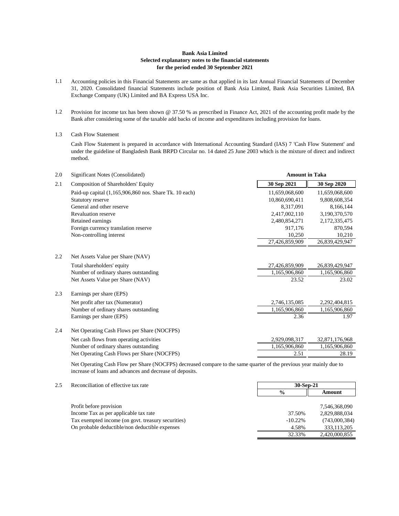#### **Bank Asia Limited Selected explanatory notes to the financial statements for the period ended 30 September 2021**

- 1.1 Accounting policies in this Financial Statements are same as that applied in its last Annual Financial Statements of December 31, 2020. Consolidated financial Statements include position of Bank Asia Limited, Bank Asia Securities Limited, BA Exchange Company (UK) Limited and BA Express USA Inc.
- 1.2 Provision for income tax has been shown @ 37.50 % as prescribed in Finance Act, 2021 of the accounting profit made by the Bank after considering some of the taxable add backs of income and expenditures including provision for loans.

#### 1.3 Cash Flow Statement

Cash Flow Statement is prepared in accordance with International Accounting Standard (IAS) 7 'Cash Flow Statement' and under the guideline of Bangladesh Bank BRPD Circular no. 14 dated 25 June 2003 which is the mixture of direct and indirect method.

| 2.0 | Significant Notes (Consolidated)                       |                | <b>Amount in Taka</b> |  |  |
|-----|--------------------------------------------------------|----------------|-----------------------|--|--|
| 2.1 | Composition of Shareholders' Equity                    | 30 Sep 2021    | 30 Sep 2020           |  |  |
|     | Paid-up capital (1,165,906,860 nos. Share Tk. 10 each) | 11,659,068,600 | 11,659,068,600        |  |  |
|     | Statutory reserve                                      | 10,860,690,411 | 9,808,608,354         |  |  |
|     | General and other reserve                              | 8,317,091      | 8,166,144             |  |  |
|     | <b>Revaluation reserve</b>                             | 2,417,002,110  | 3,190,370,570         |  |  |
|     | Retained earnings                                      | 2,480,854,271  | 2,172,335,475         |  |  |
|     | Foreign currency translation reserve                   | 917.176        | 870,594               |  |  |
|     | Non-controlling interest                               | 10,250         | 10,210                |  |  |
|     |                                                        | 27,426,859,909 | 26,839,429,947        |  |  |
| 2.2 | Net Assets Value per Share (NAV)                       |                |                       |  |  |
|     | Total shareholders' equity                             | 27,426,859,909 | 26,839,429,947        |  |  |
|     | Number of ordinary shares outstanding                  | 1,165,906,860  | 1,165,906,860         |  |  |
|     | Net Assets Value per Share (NAV)                       | 23.52          | 23.02                 |  |  |
| 2.3 | Earnings per share (EPS)                               |                |                       |  |  |
|     | Net profit after tax (Numerator)                       | 2,746,135,085  | 2,292,404,815         |  |  |
|     | Number of ordinary shares outstanding                  | 1,165,906,860  | 1,165,906,860         |  |  |
|     | Earnings per share (EPS)                               | 2.36           | 1.97                  |  |  |
| 2.4 | Net Operating Cash Flows per Share (NOCFPS)            |                |                       |  |  |
|     | Net cash flows from operating activities               | 2,929,098,317  | 32,871,176,968        |  |  |
|     | Number of ordinary shares outstanding                  | 1,165,906,860  | 1,165,906,860         |  |  |
|     | Net Operating Cash Flows per Share (NOCFPS)            | 2.51           | 28.19                 |  |  |

Net Operating Cash Flow per Share (NOCFPS) decreased compare to the same quarter of the previous year mainly due to increase of loans and advances and decrease of deposits.

| 2.5 | Reconciliation of effective tax rate               | $30-Sep-21$   |               |
|-----|----------------------------------------------------|---------------|---------------|
|     |                                                    | $\frac{6}{9}$ | Amount        |
|     |                                                    |               |               |
|     | Profit before provision                            |               | 7,546,368,090 |
|     | Income Tax as per applicable tax rate              | 37.50%        | 2,829,888,034 |
|     | Tax exempted income (on govt. treasury securities) | $-10.22\%$    | (743,000,384) |
|     | On probable deductible/non deductible expenses     | 4.58%         | 333,113,205   |
|     |                                                    | 32.33%        | 2,420,000,855 |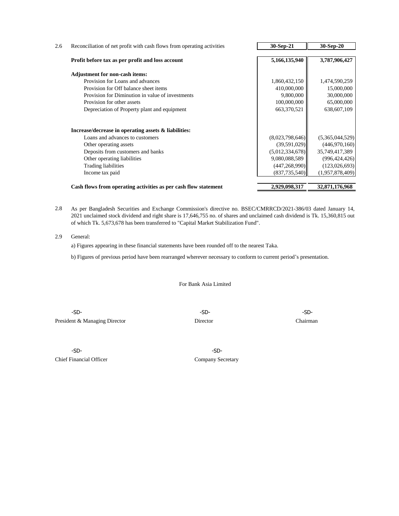| Reconciliation of net profit with cash flows from operating activities | 30-Sep-21       | 30-Sep-20       |
|------------------------------------------------------------------------|-----------------|-----------------|
|                                                                        |                 |                 |
| Profit before tax as per profit and loss account                       | 5,166,135,940   | 3,787,906,427   |
| <b>Adjustment for non-cash items:</b>                                  |                 |                 |
| Provision for Loans and advances                                       | 1,860,432,150   | 1,474,590,259   |
| Provision for Off balance sheet items                                  | 410,000,000     | 15,000,000      |
| Provision for Diminution in value of investments                       | 9,800,000       | 30,000,000      |
| Provision for other assets                                             | 100,000,000     | 65,000,000      |
| Depreciation of Property plant and equipment                           | 663,370,521     | 638,607,109     |
| Increase/decrease in operating assets & liabilities:                   |                 |                 |
| Loans and advances to customers                                        | (8,023,798,646) | (5,365,044,529) |
| Other operating assets                                                 | (39,591,029)    | (446,970,160)   |
| Deposits from customers and banks                                      | (5,012,334,678) | 35,749,417,389  |
| Other operating liabilities                                            | 9,080,088,589   | (996, 424, 426) |
| <b>Trading liabilities</b>                                             | (447, 268, 990) | (123, 026, 693) |
| Income tax paid                                                        | (837, 735, 540) | (1,957,878,409) |
| Cash flows from operating activities as per cash flow statement        | 2,929,098,317   | 32,871,176,968  |

2.8 As per Bangladesh Securities and Exchange Commission's directive no. BSEC/CMRRCD/2021-386/03 dated January 14, 2021 unclaimed stock dividend and right share is 17,646,755 no. of shares and unclaimed cash dividend is Tk. 15,360,815 out of which Tk. 5,673,678 has been transferred to "Capital Market Stabilization Fund".

2.9 General:

a) Figures appearing in these financial statements have been rounded off to the nearest Taka.

b) Figures of previous period have been rearranged wherever necessary to conform to current period's presentation.

For Bank Asia Limited

-SD- -SD- -SD-President & Managing Director **Director** Director **Chairman** 

-SD- -SD-Chief Financial Officer Company Secretary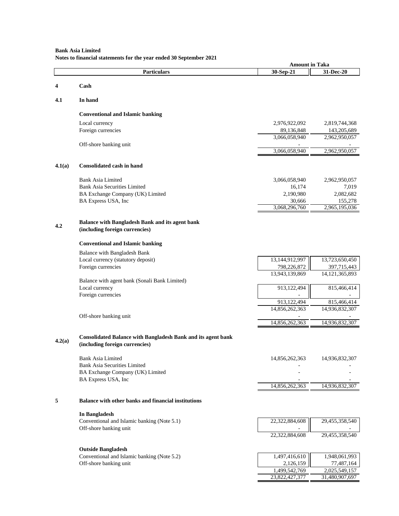## **Bank Asia Limited Notes to financial statements for the year ended 30 September 2021**

|        |                                                                                                       | <b>Amount in Taka</b>         |                                  |
|--------|-------------------------------------------------------------------------------------------------------|-------------------------------|----------------------------------|
|        | <b>Particulars</b>                                                                                    | 30-Sep-21                     | 31-Dec-20                        |
| 4      | Cash                                                                                                  |                               |                                  |
|        |                                                                                                       |                               |                                  |
| 4.1    | In hand                                                                                               |                               |                                  |
|        | <b>Conventional and Islamic banking</b>                                                               |                               |                                  |
|        | Local currency                                                                                        | 2,976,922,092                 | 2,819,744,368                    |
|        | Foreign currencies                                                                                    | 89,136,848                    | 143,205,689                      |
|        |                                                                                                       | 3,066,058,940                 | 2,962,950,057                    |
|        | Off-shore banking unit                                                                                |                               |                                  |
|        |                                                                                                       | 3,066,058,940                 | 2,962,950,057                    |
| 4.1(a) | <b>Consolidated cash in hand</b>                                                                      |                               |                                  |
|        | <b>Bank Asia Limited</b>                                                                              | 3,066,058,940                 | 2,962,950,057                    |
|        | <b>Bank Asia Securities Limited</b>                                                                   | 16,174                        | 7,019                            |
|        | BA Exchange Company (UK) Limited                                                                      | 2,190,980                     | 2,082,682                        |
|        | BA Express USA, Inc                                                                                   | 30,666                        | 155,278                          |
|        |                                                                                                       | 3,068,296,760                 | 2,965,195,036                    |
|        | <b>Balance with Bangladesh Bank and its agent bank</b>                                                |                               |                                  |
| 4.2    | (including foreign currencies)                                                                        |                               |                                  |
|        | <b>Conventional and Islamic banking</b>                                                               |                               |                                  |
|        | <b>Balance with Bangladesh Bank</b>                                                                   |                               |                                  |
|        | Local currency (statutory deposit)                                                                    | 13,144,912,997                | 13,723,650,450                   |
|        | Foreign currencies                                                                                    | 798,226,872<br>13,943,139,869 | 397,715,443<br>14, 121, 365, 893 |
|        | Balance with agent bank (Sonali Bank Limited)                                                         |                               |                                  |
|        | Local currency                                                                                        | 913,122,494                   | 815,466,414                      |
|        | Foreign currencies                                                                                    |                               |                                  |
|        |                                                                                                       | 913,122,494                   | 815,466,414                      |
|        | Off-shore banking unit                                                                                | 14,856,262,363                | 14,936,832,307                   |
|        |                                                                                                       | 14,856,262,363                | 14,936,832,307                   |
|        |                                                                                                       |                               |                                  |
| 4.2(a) | <b>Consolidated Balance with Bangladesh Bank and its agent bank</b><br>(including foreign currencies) |                               |                                  |
|        | <b>Bank Asia Limited</b>                                                                              | 14,856,262,363                | 14,936,832,307                   |
|        | <b>Bank Asia Securities Limited</b>                                                                   |                               |                                  |
|        | BA Exchange Company (UK) Limited                                                                      |                               |                                  |
|        | BA Express USA, Inc                                                                                   | 14,856,262,363                | 14,936,832,307                   |
|        |                                                                                                       |                               |                                  |
| 5      | <b>Balance with other banks and financial institutions</b>                                            |                               |                                  |
|        | In Bangladesh                                                                                         |                               |                                  |
|        | Conventional and Islamic banking (Note 5.1)<br>Off-shore banking unit                                 | 22,322,884,608                | 29,455,358,540                   |
|        |                                                                                                       | 22,322,884,608                | 29,455,358,540                   |
|        | <b>Outside Bangladesh</b>                                                                             |                               |                                  |
|        | Conventional and Islamic banking (Note 5.2)                                                           | 1,497,416,610                 | 1,948,061,993                    |
|        | Off-shore banking unit                                                                                | 2,126,159                     | 77,487,164                       |
|        |                                                                                                       | 1,499,542,769                 | 2,025,549,157                    |
|        |                                                                                                       | 23,822,427,377                | 31,480,907,697                   |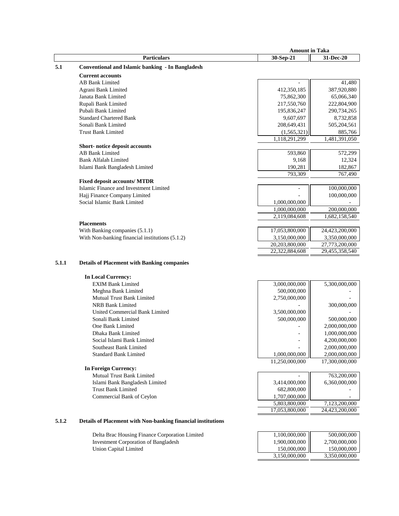|       | <b>Amount in Taka</b>                              |                |                |
|-------|----------------------------------------------------|----------------|----------------|
|       | <b>Particulars</b>                                 | 30-Sep-21      | 31-Dec-20      |
| 5.1   | Conventional and Islamic banking - In Bangladesh   |                |                |
|       | <b>Current accounts</b>                            |                |                |
|       | <b>AB Bank Limited</b>                             |                | 41,480         |
|       | Agrani Bank Limited                                | 412,350,185    | 387,920,880    |
|       | Janata Bank Limited                                | 75,862,300     | 65,066,340     |
|       | Rupali Bank Limited                                | 217,550,760    | 222,804,900    |
|       | Pubali Bank Limited                                | 195,836,247    | 290,734,265    |
|       | <b>Standard Chartered Bank</b>                     | 9,607,697      | 8,732,858      |
|       | Sonali Bank Limited                                | 208,649,431    | 505,204,561    |
|       | <b>Trust Bank Limited</b>                          | (1, 565, 321)  | 885,766        |
|       |                                                    | 1,118,291,299  | 1,481,391,050  |
|       | Short-notice deposit accounts                      |                |                |
|       | <b>AB Bank Limited</b>                             | 593,860        | 572,299        |
|       | <b>Bank Alfalah Limited</b>                        | 9,168          | 12,324         |
|       | Islami Bank Bangladesh Limited                     | 190,281        | 182,867        |
|       |                                                    | 793,309        | 767,490        |
|       | <b>Fixed deposit accounts/ MTDR</b>                |                |                |
|       | Islamic Finance and Investment Limited             |                | 100,000,000    |
|       | Hajj Finance Company Limited                       |                | 100,000,000    |
|       | Social Islamic Bank Limited                        | 1,000,000,000  |                |
|       |                                                    | 1,000,000,000  | 200,000,000    |
|       |                                                    | 2,119,084,608  | 1,682,158,540  |
|       | <b>Placements</b>                                  |                |                |
|       | With Banking companies (5.1.1)                     | 17,053,800,000 | 24,423,200,000 |
|       | With Non-banking financial institutions (5.1.2)    | 3,150,000,000  | 3,350,000,000  |
|       |                                                    | 20,203,800,000 | 27,773,200,000 |
|       |                                                    | 22,322,884,608 | 29,455,358,540 |
| 5.1.1 | <b>Details of Placement with Banking companies</b> |                |                |
|       |                                                    |                |                |
|       | <b>In Local Currency:</b>                          |                |                |
|       | <b>EXIM Bank Limited</b>                           | 3,000,000,000  | 5,300,000,000  |
|       | Meghna Bank Limited                                | 500,000,000    |                |
|       | <b>Mutual Trust Bank Limited</b>                   | 2,750,000,000  |                |
|       | <b>NRB Bank Limited</b>                            |                | 300,000,000    |
|       | United Commercial Bank Limited                     | 3,500,000,000  |                |
|       | Sonali Bank Limited                                | 500,000,000    | 500,000,000    |
|       | One Bank Limited                                   |                | 2,000,000,000  |
|       | Dhaka Bank Limited                                 |                | 1,000,000,000  |
|       | Social Islami Bank Limited                         |                | 4,200,000,000  |
|       | <b>Southeast Bank Limited</b>                      |                | 2,000,000,000  |
|       | <b>Standard Bank Limited</b>                       | 1,000,000,000  | 2,000,000,000  |

**In Foreign Currency:**

Mutual Trust Bank Limited - 763,200,000 Islami Bank Bangladesh Limited 3,414,000,000 6,360,000,000 6,360,000,000 Trust Bank Limited 682,800,000 682,800,000 - Commercial Bank of Ceylon Commercial Bank of Ceylon 1,707,000,000 - 1,707,000,000 - 1,707,000,000 - 1,123,200,0

## **5.1.2 Details of Placement with Non-banking financial institutions**

Delta Brac Housing Finance Corporation Limited Investment Corporation of Bangladesh Union Capital Limited

| $\left. \begin{array}{l} 1{,}100{,}000{,}000 \\ 1{,}900{,}000{,}000 \\ 150{,}000{,}000 \end{array} \right $ | 500,000,000   |
|-------------------------------------------------------------------------------------------------------------|---------------|
|                                                                                                             | 2,700,000,000 |
|                                                                                                             | 150,000,000   |
| 3,150,000,000                                                                                               | 3,350,000,000 |

 5,803,800,000 7,123,200,000 17,053,800,000 24,423,200,000

11,250,000,000 17,300,000,000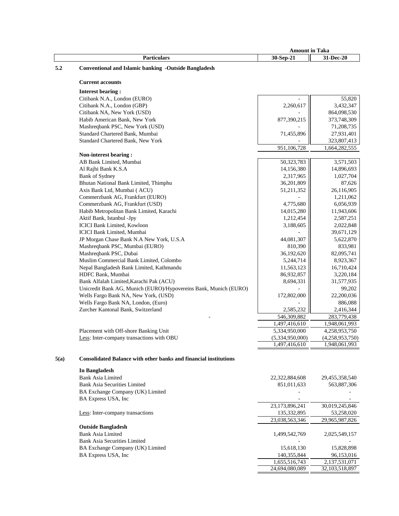|      |                                                                         | <b>Amount in Taka</b> |                 |  |
|------|-------------------------------------------------------------------------|-----------------------|-----------------|--|
|      | <b>Particulars</b>                                                      | 30-Sep-21             | 31-Dec-20       |  |
| 5.2  | <b>Conventional and Islamic banking -Outside Bangladesh</b>             |                       |                 |  |
|      |                                                                         |                       |                 |  |
|      | <b>Current accounts</b>                                                 |                       |                 |  |
|      | <b>Interest bearing:</b>                                                |                       |                 |  |
|      | Citibank N.A., London (EURO)                                            |                       | 55,820          |  |
|      | Citibank N.A., London (GBP)                                             | 2,260,617             | 3,432,347       |  |
|      | Citibank NA, New York (USD)                                             |                       | 864,098,530     |  |
|      | Habib American Bank, New York                                           | 877,390,215           | 373,748,309     |  |
|      | Mashreqbank PSC, New York (USD)                                         |                       | 71,208,735      |  |
|      | Standard Chartered Bank, Mumbai                                         | 71,455,896            | 27,931,401      |  |
|      | Standard Chartered Bank, New York                                       |                       | 323,807,413     |  |
|      |                                                                         | 951,106,728           | 1,664,282,555   |  |
|      | Non-interest bearing:                                                   |                       |                 |  |
|      | AB Bank Limited, Mumbai                                                 | 50,323,783            | 3,571,503       |  |
|      | Al Rajhi Bank K.S.A                                                     | 14,156,380            | 14,896,693      |  |
|      | <b>Bank of Sydney</b>                                                   | 2,317,965             | 1,027,704       |  |
|      | Bhutan National Bank Limited, Thimphu                                   | 36,201,809            | 87,626          |  |
|      | Axis Bank Ltd, Mumbai (ACU)                                             | 51,211,352            | 26,116,905      |  |
|      | Commerzbank AG, Frankfurt (EURO)                                        |                       | 1,211,062       |  |
|      | Commerzbank AG, Frankfurt (USD)                                         | 4,775,680             | 6,056,939       |  |
|      | Habib Metropolitan Bank Limited, Karachi                                | 14,015,280            | 11,943,606      |  |
|      | Aktif Bank, Istanbul -Jpy                                               | 1,212,454             | 2,587,251       |  |
|      | ICICI Bank Limited, Kowloon                                             | 3,188,605             | 2,022,848       |  |
|      | <b>ICICI Bank Limited, Mumbai</b>                                       |                       | 39,671,129      |  |
|      | JP Morgan Chase Bank N.A New York, U.S.A                                | 44,081,307            | 5,622,870       |  |
|      | Mashreqbank PSC, Mumbai (EURO)                                          | 810,390               | 833,981         |  |
|      | Mashreqbank PSC, Dubai                                                  | 36,192,620            | 82,095,741      |  |
|      | Muslim Commercial Bank Limited, Colombo                                 | 5,244,714             | 8,923,367       |  |
|      | Nepal Bangladesh Bank Limited, Kathmandu                                | 11,563,123            | 16,710,424      |  |
|      | HDFC Bank, Mumbai                                                       | 86,932,857            | 3,220,184       |  |
|      | Bank Alfalah Limited, Karachi Pak (ACU)                                 | 8,694,331             | 31,577,935      |  |
|      | Unicredit Bank AG, Munich (EURO)/Hypovereins Bank, Munich (EURO)        |                       | 99,202          |  |
|      | Wells Fargo Bank NA, New York, (USD)                                    | 172,802,000           | 22,200,036      |  |
|      | Wells Fargo Bank NA, London, (Euro)                                     |                       | 886,088         |  |
|      | Zurcher Kantonal Bank, Switzerland                                      | 2,585,232             | 2,416,344       |  |
|      |                                                                         | 546,309,882           | 283,779,438     |  |
|      |                                                                         | 1,497,416,610         | 1,948,061,993   |  |
|      | Placement with Off-shore Banking Unit                                   | 5,334,950,000         | 4,258,953,750   |  |
|      | Less: Inter-company transactions with OBU                               | (5,334,950,000)       | (4,258,953,750) |  |
|      |                                                                         | 1,497,416,610         | 1,948,061,993   |  |
|      |                                                                         |                       |                 |  |
| 5(a) | <b>Consolidated Balance with other banks and financial institutions</b> |                       |                 |  |
|      | <b>In Bangladesh</b>                                                    |                       |                 |  |
|      | <b>Bank Asia Limited</b>                                                | 22,322,884,608        | 29,455,358,540  |  |
|      | <b>Bank Asia Securities Limited</b>                                     | 851,011,633           | 563,887,306     |  |
|      | BA Exchange Company (UK) Limited                                        |                       |                 |  |
|      | BA Express USA, Inc                                                     |                       |                 |  |
|      |                                                                         | 23,173,896,241        | 30,019,245,846  |  |
|      | Less: Inter-company transactions                                        | 135,332,895           | 53,258,020      |  |

|                                     | 23,038,563,346 | 29.965.987.826    |
|-------------------------------------|----------------|-------------------|
| <b>Outside Bangladesh</b>           |                |                   |
| Bank Asia Limited                   | 1.499.542.769  | 2.025.549.157     |
| <b>Bank Asia Securities Limited</b> |                |                   |
| BA Exchange Company (UK) Limited    | 15.618.130     | 15.828.898        |
| BA Express USA, Inc.                | 140,355,844    | 96,153,016        |
|                                     | 1.655.516.743  | 2.137.531.071     |
|                                     | 24,694,080,089 | 32, 103, 518, 897 |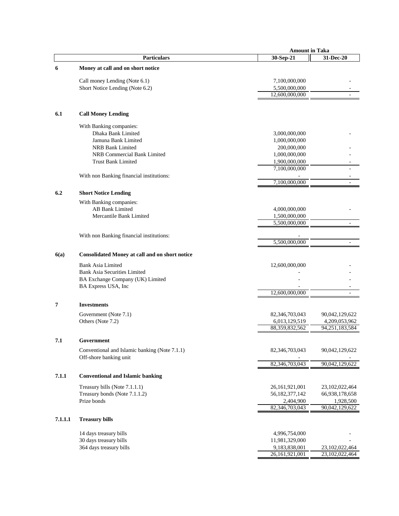|         |                                                       | <b>Amount in Taka</b> |                   |
|---------|-------------------------------------------------------|-----------------------|-------------------|
|         | <b>Particulars</b>                                    | 30-Sep-21             | 31-Dec-20         |
| 6       | Money at call and on short notice                     |                       |                   |
|         |                                                       |                       |                   |
|         | Call money Lending (Note 6.1)                         | 7,100,000,000         |                   |
|         | Short Notice Lending (Note 6.2)                       | 5,500,000,000         |                   |
|         |                                                       | 12,600,000,000        |                   |
|         |                                                       |                       |                   |
| 6.1     | <b>Call Money Lending</b>                             |                       |                   |
|         | With Banking companies:                               |                       |                   |
|         | Dhaka Bank Limited                                    | 3,000,000,000         |                   |
|         | Jamuna Bank Limited                                   | 1,000,000,000         |                   |
|         | <b>NRB Bank Limited</b>                               | 200,000,000           |                   |
|         | NRB Commercial Bank Limited                           | 1,000,000,000         |                   |
|         | <b>Trust Bank Limited</b>                             | 1,900,000,000         |                   |
|         |                                                       | 7,100,000,000         |                   |
|         | With non Banking financial institutions:              |                       |                   |
|         |                                                       | 7,100,000,000         |                   |
| 6.2     | <b>Short Notice Lending</b>                           |                       |                   |
|         | With Banking companies:                               |                       |                   |
|         | <b>AB Bank Limited</b>                                | 4,000,000,000         |                   |
|         | Mercantile Bank Limited                               | 1,500,000,000         |                   |
|         |                                                       | 5,500,000,000         | $\overline{a}$    |
|         |                                                       |                       |                   |
|         | With non Banking financial institutions:              |                       |                   |
|         |                                                       | 5,500,000,000         | $\overline{a}$    |
| 6(a)    | <b>Consolidated Money at call and on short notice</b> |                       |                   |
|         | <b>Bank Asia Limited</b>                              | 12,600,000,000        |                   |
|         | <b>Bank Asia Securities Limited</b>                   |                       |                   |
|         | BA Exchange Company (UK) Limited                      |                       |                   |
|         | BA Express USA, Inc                                   |                       |                   |
|         |                                                       | 12,600,000,000        | ÷.                |
| 7       | <b>Investments</b>                                    |                       |                   |
|         | Government (Note 7.1)                                 | 82,346,703,043        | 90,042,129,622    |
|         | Others (Note 7.2)                                     | 6,013,129,519         | 4,209,053,962     |
|         |                                                       | 88,359,832,562        | 94, 251, 183, 584 |
| 7.1     | Government                                            |                       |                   |
|         | Conventional and Islamic banking (Note 7.1.1)         | 82,346,703,043        | 90,042,129,622    |
|         | Off-shore banking unit                                |                       |                   |
|         |                                                       | 82,346,703,043        | 90,042,129,622    |
| 7.1.1   | <b>Conventional and Islamic banking</b>               |                       |                   |
|         | Treasury bills (Note 7.1.1.1)                         | 26,161,921,001        | 23,102,022,464    |
|         | Treasury bonds (Note 7.1.1.2)                         | 56, 182, 377, 142     | 66,938,178,658    |
|         | Prize bonds                                           | 2,404,900             | 1,928,500         |
|         |                                                       | 82,346,703,043        | 90,042,129,622    |
|         |                                                       |                       |                   |
| 7.1.1.1 | <b>Treasury bills</b>                                 |                       |                   |
|         | 14 days treasury bills                                | 4,996,754,000         |                   |
|         | 30 days treasury bills                                | 11,981,329,000        |                   |
|         | 364 days treasury bills                               | 9,183,838,001         | 23,102,022,464    |
|         |                                                       | 26,161,921,001        | 23,102,022,464    |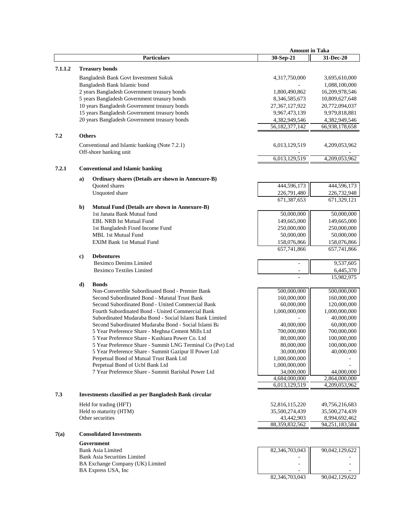|         |              |                                                               | <b>Amount in Taka</b> |                |
|---------|--------------|---------------------------------------------------------------|-----------------------|----------------|
|         |              | <b>Particulars</b>                                            | 30-Sep-21             | 31-Dec-20      |
|         |              |                                                               |                       |                |
| 7.1.1.2 |              | <b>Treasury bonds</b>                                         |                       |                |
|         |              | Bangladesh Bank Govt Investment Sukuk                         | 4,317,750,000         | 3,695,610,000  |
|         |              | Bangladesh Bank Islamic bond                                  |                       | 1,088,100,000  |
|         |              | 2 years Bangladesh Government treasury bonds                  | 1,800,490,862         | 16,209,978,546 |
|         |              | 5 years Bangladesh Government treasury bonds                  | 8,346,585,673         | 10,809,627,648 |
|         |              | 10 years Bangladesh Government treasury bonds                 | 27, 367, 127, 922     | 20,772,094,037 |
|         |              | 15 years Bangladesh Government treasury bonds                 | 9,967,473,139         | 9,979,818,881  |
|         |              | 20 years Bangladesh Government treasury bonds                 | 4,382,949,546         | 4,382,949,546  |
|         |              |                                                               | 56,182,377,142        | 66,938,178,658 |
| 7.2     |              | <b>Others</b>                                                 |                       |                |
|         |              |                                                               |                       |                |
|         |              | Conventional and Islamic banking (Note 7.2.1)                 | 6,013,129,519         | 4,209,053,962  |
|         |              | Off-shore banking unit                                        |                       |                |
|         |              |                                                               | 6,013,129,519         | 4,209,053,962  |
| 7.2.1   |              | <b>Conventional and Islamic banking</b>                       |                       |                |
|         |              |                                                               |                       |                |
|         | a)           | Ordinary shares (Details are shown in Annexure-B)             |                       |                |
|         |              | Quoted shares                                                 | 444,596,173           | 444,596,173    |
|         |              | Unquoted share                                                | 226,791,480           | 226,732,948    |
|         |              |                                                               | 671,387,653           | 671,329,121    |
|         | $\mathbf{b}$ | Mutual Fund (Details are shown in Annexure-B)                 |                       |                |
|         |              | 1st Janata Bank Mutual fund                                   | 50,000,000            | 50,000,000     |
|         |              | <b>EBL NRB Ist Mutual Fund</b>                                | 149,665,000           | 149,665,000    |
|         |              | 1st Bangladesh Fixed Income Fund                              | 250,000,000           | 250,000,000    |
|         |              | <b>MBL 1st Mutual Fund</b>                                    | 50,000,000            | 50,000,000     |
|         |              | <b>EXIM Bank 1st Mutual Fund</b>                              | 158,076,866           | 158,076,866    |
|         |              |                                                               | 657,741,866           | 657,741,866    |
|         | c)           | <b>Debentures</b>                                             |                       |                |
|         |              | <b>Beximco Denims Limited</b>                                 |                       | 9,537,605      |
|         |              | <b>Beximco Textiles Limited</b>                               |                       | 6,445,370      |
|         |              |                                                               |                       | 15,982,975     |
|         |              | <b>Bonds</b>                                                  |                       |                |
|         | d)           | Non-Convertible Subordinated Bond - Premier Bank              | 500,000,000           | 500,000,000    |
|         |              | Second Subordinated Bond - Mututal Trust Bank                 | 160,000,000           | 160,000,000    |
|         |              | Second Subordinated Bond - United Commercial Bank             |                       |                |
|         |              |                                                               | 60,000,000            | 120,000,000    |
|         |              | Fourth Subordinated Bond - United Commercial Bank             | 1,000,000,000         | 1,000,000,000  |
|         |              | Subordinated Mudaraba Bond - Social Islami Bank Limited       | 40,000,000            | 40,000,000     |
|         |              | Second Subordinated Mudaraba Bond - Social Islami Ba          |                       | 60,000,000     |
|         |              | 5 Year Preference Share - Meghna Cement Mills Ltd             | 700,000,000           | 700,000,000    |
|         |              | 5 Year Preference Share - Kushiara Power Co. Ltd              | 80,000,000            | 100,000,000    |
|         |              | 5 Year Preference Share - Summit LNG Terminal Co (Pvt) Ltd    | 80,000,000            | 100,000,000    |
|         |              | 5 Year Preference Share - Summit Gazipur II Power Ltd         | 30,000,000            | 40,000,000     |
|         |              | Perpetual Bond of Mutual Trust Bank Ltd                       | 1,000,000,000         |                |
|         |              | Perpetual Bond of Ucbl Bank Ltd                               | 1,000,000,000         |                |
|         |              | 7 Year Preference Share - Summit Barishal Power Ltd           | 34,000,000            | 44,000,000     |
|         |              |                                                               | 4,684,000,000         | 2,864,000,000  |
|         |              |                                                               | 6,013,129,519         | 4,209,053,962  |
| 7.3     |              | <b>Investments classified as per Bangladesh Bank circular</b> |                       |                |
|         |              | Held for trading (HFT)                                        | 52,816,115,220        | 49,756,216,683 |
|         |              | Held to maturity (HTM)                                        | 35,500,274,439        | 35,500,274,439 |
|         |              | Other securities                                              | 43,442,903            | 8,994,692,462  |
|         |              |                                                               | 88,359,832,562        | 94,251,183,584 |
|         |              |                                                               |                       |                |
| 7(a)    |              | <b>Consolidated Investments</b>                               |                       |                |
|         |              | Government                                                    |                       |                |
|         |              | <b>Bank Asia Limited</b>                                      | 82,346,703,043        | 90,042,129,622 |
|         |              | <b>Bank Asia Securities Limited</b>                           |                       |                |
|         |              | BA Exchange Company (UK) Limited                              |                       |                |
|         |              | BA Express USA, Inc                                           |                       |                |

82,346,703,043 90,042,129,622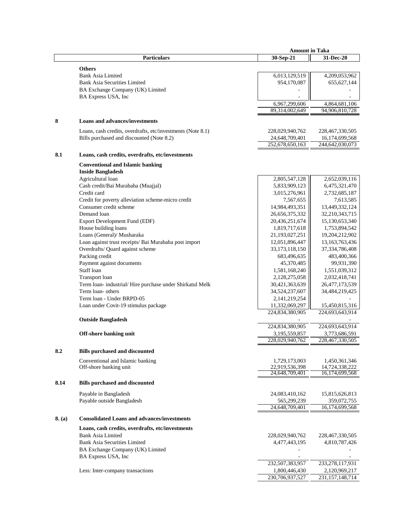|        |                                                             | <b>Amount in Taka</b> |                                 |
|--------|-------------------------------------------------------------|-----------------------|---------------------------------|
|        | <b>Particulars</b>                                          | 30-Sep-21             | 31-Dec-20                       |
|        |                                                             |                       |                                 |
|        | <b>Others</b>                                               |                       |                                 |
|        | <b>Bank Asia Limited</b>                                    | 6,013,129,519         | 4,209,053,962                   |
|        | <b>Bank Asia Securities Limited</b>                         | 954,170,087           | 655, 627, 144                   |
|        | BA Exchange Company (UK) Limited                            |                       |                                 |
|        | BA Express USA, Inc                                         |                       |                                 |
|        |                                                             | 6,967,299,606         | 4,864,681,106                   |
|        |                                                             | 89,314,002,649        | 94,906,810,728                  |
|        |                                                             |                       |                                 |
| 8      | <b>Loans and advances/investments</b>                       |                       |                                 |
|        | Loans, cash credits, overdrafts, etc/investments (Note 8.1) | 228,029,940,762       | 228, 467, 330, 505              |
|        | Bills purchased and discounted (Note 8.2)                   | 24,648,709,401        | 16,174,699,568                  |
|        |                                                             | 252,678,650,163       | 244,642,030,073                 |
|        |                                                             |                       |                                 |
| 8.1    | Loans, cash credits, overdrafts, etc/investments            |                       |                                 |
|        | <b>Conventional and Islamic banking</b>                     |                       |                                 |
|        | <b>Inside Bangladesh</b>                                    |                       |                                 |
|        | Agricultural loan                                           | 2,805,547,128         | 2,652,039,116                   |
|        | Cash credit/Bai Murabaha (Muajjal)                          | 5,833,909,123         | 6,475,321,470                   |
|        | Credit card                                                 | 3,015,276,961         |                                 |
|        |                                                             |                       | 2,732,685,187                   |
|        | Credit for poverty alleviation scheme-micro credit          | 7,567,655             | 7,613,585                       |
|        | Consumer credit scheme                                      | 14,984,493,351        | 13,449,332,124                  |
|        | Demand loan                                                 | 26,656,375,332        | 32,210,343,715                  |
|        | Export Development Fund (EDF)                               | 20,436,251,674        | 15,130,653,340                  |
|        | House building loans                                        | 1,819,717,618         | 1,753,894,542                   |
|        | Loans (General)/ Musharaka                                  | 21,193,027,251        | 19,204,212,902                  |
|        | Loan against trust receipts/ Bai Murabaha post import       | 12,051,896,447        | 13,163,763,436                  |
|        | Overdrafts/ Quard against scheme                            | 33, 173, 118, 150     | 37, 334, 786, 408               |
|        | Packing credit                                              | 683,496,635           | 483,400,366                     |
|        | Payment against documents                                   | 45,370,485            | 99,931,390                      |
|        | Staff loan                                                  | 1,581,168,240         | 1,551,039,312                   |
|        | Transport loan                                              | 2,128,275,058         | 2,032,418,741                   |
|        | Term loan- industrial/Hire purchase under Shirkatul Melk    | 30,421,363,639        | 26,477,173,539                  |
|        | Term loan- others                                           | 34,524,237,607        | 34,484,219,425                  |
|        | Term loan - Under BRPD-05                                   | 2, 141, 219, 254      |                                 |
|        |                                                             |                       |                                 |
|        | Loan under Covit-19 stimulus package                        | 11,332,069,297        | 15,450,815,316                  |
|        |                                                             | 224,834,380,905       | 224,693,643,914                 |
|        | <b>Outside Bangladesh</b>                                   |                       |                                 |
|        |                                                             | 224,834,380,905       | 224,693,643,914                 |
|        | Off-shore banking unit                                      | 3,195,559,857         | 3,773,686,591                   |
|        |                                                             | 228,029,940,762       | 228,467,330,505                 |
| 8.2    | <b>Bills purchased and discounted</b>                       |                       |                                 |
|        | Conventional and Islamic banking                            | 1,729,173,003         |                                 |
|        | Off-shore banking unit                                      | 22.919.536.398        | 1,450,361,346<br>14,724,338,222 |
|        |                                                             | 24,648,709,401        | 16,174,699,568                  |
|        |                                                             |                       |                                 |
| 8.14   | <b>Bills purchased and discounted</b>                       |                       |                                 |
|        | Payable in Bangladesh                                       | 24,083,410,162        | 15,815,626,813                  |
|        | Payable outside Bangladesh                                  | 565,299,239           | 359,072,755                     |
|        |                                                             | 24,648,709,401        | 16,174,699,568                  |
|        |                                                             |                       |                                 |
| 8. (a) | <b>Consolidated Loans and advances/investments</b>          |                       |                                 |
|        | Loans, cash credits, overdrafts, etc/investments            |                       |                                 |
|        | <b>Bank Asia Limited</b>                                    | 228,029,940,762       | 228,467,330,505                 |
|        | <b>Bank Asia Securities Limited</b>                         | 4,477,443,195         | 4,810,787,426                   |
|        | BA Exchange Company (UK) Limited                            |                       |                                 |
|        |                                                             |                       |                                 |
|        | BA Express USA, Inc                                         |                       |                                 |
|        |                                                             | 232,507,383,957       | 233, 278, 117, 931              |
|        | Less: Inter-company transactions                            | 1,800,446,430         | 2,120,969,217                   |
|        |                                                             | 230,706,937,527       | 231, 157, 148, 714              |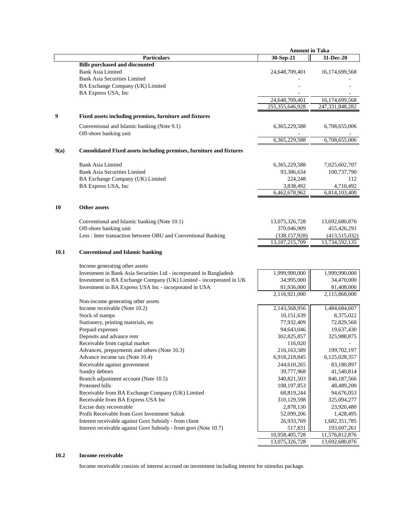|      |                                                                      | <b>Amount in Taka</b> |                   |
|------|----------------------------------------------------------------------|-----------------------|-------------------|
|      | <b>Particulars</b>                                                   | 30-Sep-21             | 31-Dec-20         |
|      | <b>Bills purchased and discounted</b>                                |                       |                   |
|      | <b>Bank Asia Limited</b>                                             | 24,648,709,401        | 16, 174, 699, 568 |
|      | <b>Bank Asia Securities Limited</b>                                  |                       |                   |
|      | BA Exchange Company (UK) Limited                                     |                       |                   |
|      | BA Express USA, Inc                                                  |                       |                   |
|      |                                                                      | 24,648,709,401        | 16,174,699,568    |
|      |                                                                      | 255, 355, 646, 928    | 247,331,848,282   |
|      |                                                                      |                       |                   |
| 9    | Fixed assets including premises, furniture and fixtures              |                       |                   |
|      | Conventional and Islamic banking (Note 9.1)                          | 6, 365, 229, 588      | 6,708,655,006     |
|      | Off-shore banking unit                                               |                       |                   |
|      |                                                                      | 6,365,229,588         | 6,708,655,006     |
|      |                                                                      |                       |                   |
| 9(a) | Consolidated Fixed assets including premises, furniture and fixtures |                       |                   |
|      |                                                                      |                       |                   |
|      | Bank Asia Limited                                                    | 6,365,229,588         | 7,025,602,707     |
|      | <b>Bank Asia Securities Limited</b>                                  | 93,386,634            | 100,737,790       |
|      | BA Exchange Company (UK) Limited                                     | 224,248               | 112               |
|      | BA Express USA, Inc                                                  | 3,838,492             | 4,710,492         |
|      |                                                                      | 6,462,678,962         | 6,814,103,400     |
|      |                                                                      |                       |                   |
| 10   | <b>Other assets</b>                                                  |                       |                   |
|      |                                                                      |                       |                   |
|      | Conventional and Islamic banking (Note 10.1)                         | 13,075,326,728        | 13,692,680,876    |
|      | Off-shore banking unit                                               | 370,046,909           | 455,426,291       |
|      | Less : Inter transaction between OBU and Conventional Banking        | (338, 157, 928)       | (413,515,032)     |
|      |                                                                      | 13, 107, 215, 709     | 13,734,592,135    |
| 10.1 | <b>Conventional and Islamic banking</b>                              |                       |                   |
|      |                                                                      |                       |                   |
|      | Income generating other assets                                       |                       |                   |
|      | Investment in Bank Asia Securities Ltd - incorporated in Bangladesh  | 1,999,990,000         | 1,999,990,000     |
|      | Investment in BA Exchange Company (UK) Limited - incorporated in UK  | 34,995,000            | 34,470,000        |
|      | Investment in BA Express USA Inc - incorporated in USA               | 81,936,000            | 81,408,000        |
|      |                                                                      | 2,116,921,000         | 2,115,868,000     |
|      | Non-income generating other assets                                   |                       |                   |
|      | Income receivable (Note 10.2)                                        | 2,143,568,956         | 1,484,684,607     |
|      | Stock of stamps                                                      | 10,151,639            | 8,375,022         |
|      | Stationery, printing materials, etc                                  | 77,932,409            | 72,829,560        |
|      | Prepaid expenses                                                     | 94,643,046            | 19,637,430        |
|      | Deposits and advance rent                                            | 302,825,857           |                   |
|      |                                                                      |                       | 325,988,875       |
|      | Receivable from capital market                                       | 116,020               |                   |
|      | Advances, prepayments and others (Note 10.3)                         | 216,163,589           | 199,702,197       |
|      | Advance income tax (Note 10.4)                                       | 6,918,218,845         | 6,125,028,357     |
|      | Receivable against government                                        | 244,610,265           | 83,180,897        |
|      | Sundry debtors                                                       | 39,777,968            | 41,540,814        |
|      | Branch adjustment account (Note 10.5)                                | 340,821,503           | 846,187,566       |
|      | Protested bills                                                      | 108, 197, 853         | 48,489,200        |
|      | Receivable from BA Exchange Company (UK) Limited                     | 68,819,244            | 94,676,053        |
|      | Receivable from BA Express USA Inc                                   | 310,129,598           | 325,094,277       |
|      | Excise duty recoverable                                              | 2,878,130             | 23,920,480        |
|      | Profit Receivable from Govt Investment Sukuk                         | 52,099,206            | 1,428,495         |
|      | Interest receivable against Govt Subsidy - from client               | 26,933,769            | 1,682,351,785     |
|      | Interest receivable against Govt Subsidy - from govt (Note 10.7)     | 517,831               | 193,697,261       |
|      |                                                                      | 10,958,405,728        | 11,576,812,876    |
|      |                                                                      | 13,075,326,728        | 13,692,680,876    |

# **10.2 Income receivable**

Income receivable consists of interest accrued on investment including interest for stimulus package.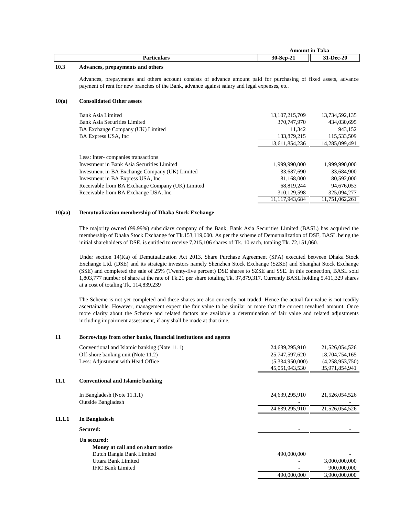| $\sim$ | $\sim$          |
|--------|-----------------|
| 88 B   | D <sub>oo</sub> |
|        | $\sim$          |
| --     | $-1$            |
| .      |                 |

#### **10.3 Advances, prepayments and others**

Advances, prepayments and others account consists of advance amount paid for purchasing of fixed assets, advance payment of rent for new branches of the Bank, advance against salary and legal expenses, etc.

*Amount* **11** 

#### **10(a) Consolidated Other assets**

| Bank Asia Limited                                | 13, 107, 215, 709 | 13,734,592,135 |
|--------------------------------------------------|-------------------|----------------|
| Bank Asia Securities Limited                     | 370,747,970       | 434,030,695    |
| BA Exchange Company (UK) Limited                 | 11.342            | 943,152        |
|                                                  |                   |                |
| BA Express USA, Inc.                             | 133,879,215       | 115,533,509    |
|                                                  | 13,611,854,236    | 14,285,099,491 |
|                                                  |                   |                |
| Less: Inter-companies transactions               |                   |                |
| Investment in Bank Asia Securities Limited       | 1.999.990.000     | 1.999.990.000  |
| Investment in BA Exchange Company (UK) Limited   | 33,687,690        | 33.684.900     |
| Investment in BA Express USA, Inc.               | 81.168.000        | 80,592,000     |
| Receivable from BA Exchange Company (UK) Limited | 68.819.244        | 94,676,053     |
| Receivable from BA Exchange USA, Inc.            | 310,129,598       | 325,094,277    |
|                                                  | 11.117.943.684    | 11.751.062.261 |

#### **10(aa) Demutualization membership of Dhaka Stock Exchange**

The majority owned (99.99%) subsidiary company of the Bank, Bank Asia Securities Limited (BASL) has acquired the membership of Dhaka Stock Exchange for Tk.153,119,000. As per the scheme of Demutualization of DSE, BASL being the initial shareholders of DSE, is entitled to receive 7,215,106 shares of Tk. 10 each, totaling Tk. 72,151,060.

Under section 14(Ka) of Demutualization Act 2013, Share Purchase Agreement (SPA) executed between Dhaka Stock Exchange Ltd. (DSE) and its strategic investors namely Shenzhen Stock Exchange (SZSE) and Shanghai Stock Exchange (SSE) and completed the sale of 25% (Twenty-five percent) DSE shares to SZSE and SSE. In this connection, BASL sold 1,803,777 number of share at the rate of Tk.21 per share totaling Tk. 37,879,317. Currently BASL holding 5,411,329 shares at a cost of totaling Tk. 114,839,239

The Scheme is not yet completed and these shares are also currently not traded. Hence the actual fair value is not readily ascertainable. However, management expect the fair value to be similar or more that the current revalued amount. Once more clarity about the Scheme and related factors are available a determination of fair value and related adjustments including impairment assessment, if any shall be made at that time.

#### **11 Borrowings from other banks, financial institutions and agents**

|        | Conventional and Islamic banking (Note 11.1) | 24,639,295,910  | 21,526,054,526  |
|--------|----------------------------------------------|-----------------|-----------------|
|        | Off-shore banking unit (Note 11.2)           | 25,747,597,620  | 18,704,754,165  |
|        | Less: Adjustment with Head Office            | (5,334,950,000) | (4,258,953,750) |
|        |                                              | 45,051,943,530  | 35,971,854,941  |
| 11.1   | <b>Conventional and Islamic banking</b>      |                 |                 |
|        | In Bangladesh (Note $11.1.1$ )               | 24,639,295,910  | 21,526,054,526  |
|        | <b>Outside Bangladesh</b>                    |                 |                 |
|        |                                              | 24,639,295,910  | 21,526,054,526  |
| 11.1.1 | In Bangladesh                                |                 |                 |
|        | Secured:                                     |                 |                 |
|        | Un secured:                                  |                 |                 |
|        | Money at call and on short notice            |                 |                 |
|        | Dutch Bangla Bank Limited                    | 490,000,000     |                 |
|        | Uttara Bank Limited                          |                 | 3,000,000,000   |
|        | <b>IFIC Bank Limited</b>                     |                 | 900,000,000     |
|        |                                              | 490,000,000     | 3,900,000,000   |
|        |                                              |                 |                 |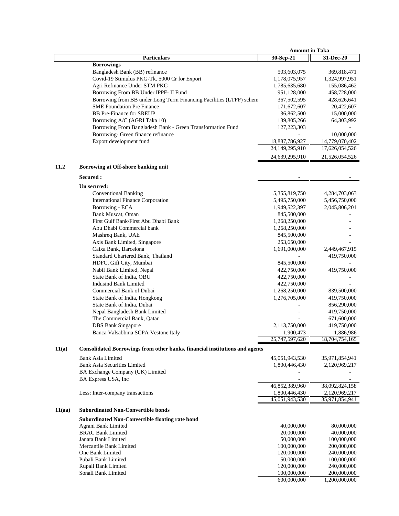|        |                                                                                            | <b>Amount in Taka</b>        |                              |
|--------|--------------------------------------------------------------------------------------------|------------------------------|------------------------------|
|        | <b>Particulars</b>                                                                         | 30-Sep-21                    | 31-Dec-20                    |
|        | <b>Borrowings</b>                                                                          |                              |                              |
|        | Bangladesh Bank (BB) refinance                                                             | 503,603,075                  | 369,818,471                  |
|        | Covid-19 Stimulus PKG-Tk. 5000 Cr for Export                                               | 1,178,075,957                | 1,324,997,951                |
|        | Agri Refinance Under STM PKG                                                               | 1,785,635,680                | 155,086,462                  |
|        | Borrowing From BB Under IPPF- II Fund                                                      | 951,128,000                  | 458,728,000                  |
|        | Borrowing from BB under Long Term Financing Facilities (LTFF) schen:                       | 367,502,595                  | 428,626,641                  |
|        | <b>SME Foundation Pre Finance</b>                                                          | 171,672,607                  | 20,422,607                   |
|        | <b>BB</b> Pre-Finance for SREUP                                                            | 36,862,500                   | 15,000,000                   |
|        | Borrowing A/C (AGRI Taka 10)<br>Borrowing From Bangladesh Bank - Green Transformation Fund | 139,805,266<br>127,223,303   | 64,303,992                   |
|        | Borrowing- Green finance refinance                                                         |                              | 10,000,000                   |
|        | Export development fund                                                                    | 18,887,786,927               | 14,779,070,402               |
|        |                                                                                            | 24,149,295,910               | 17,626,054,526               |
|        |                                                                                            | 24,639,295,910               | 21,526,054,526               |
|        |                                                                                            |                              |                              |
| 11.2   | Borrowing at Off-shore banking unit                                                        |                              |                              |
|        | Secured :                                                                                  |                              |                              |
|        | Un secured:                                                                                |                              |                              |
|        | <b>Conventional Banking</b>                                                                | 5,355,819,750                | 4,284,703,063                |
|        | <b>International Finance Corporation</b>                                                   | 5,495,750,000                | 5,456,750,000                |
|        | Borrowing - ECA                                                                            | 1,949,522,397                | 2,045,806,201                |
|        | Bank Muscat, Oman                                                                          | 845,500,000                  |                              |
|        | First Gulf Bank/First Abu Dhabi Bank                                                       | 1,268,250,000                |                              |
|        | Abu Dhabi Commercial bank                                                                  | 1,268,250,000                |                              |
|        | Mashreq Bank, UAE                                                                          | 845,500,000                  |                              |
|        | Axis Bank Limited, Singapore<br>Caixa Bank, Barcelona                                      | 253,650,000<br>1,691,000,000 | 2,449,467,915                |
|        | Standard Chartered Bank, Thailand                                                          |                              | 419,750,000                  |
|        | HDFC, Gift City, Mumbai                                                                    | 845,500,000                  |                              |
|        | Nabil Bank Limited, Nepal                                                                  | 422,750,000                  | 419,750,000                  |
|        | State Bank of India, OBU                                                                   | 422,750,000                  |                              |
|        | <b>Indusind Bank Limited</b>                                                               | 422,750,000                  |                              |
|        | Commercial Bank of Dubai                                                                   | 1,268,250,000                | 839,500,000                  |
|        | State Bank of India, Hongkong                                                              | 1,276,705,000                | 419,750,000                  |
|        | State Bank of India, Dubai                                                                 |                              | 856,290,000                  |
|        | Nepal Bangladesh Bank Limited                                                              |                              | 419,750,000                  |
|        | The Commercial Bank, Qatar                                                                 |                              | 671,600,000                  |
|        | <b>DBS</b> Bank Singapore                                                                  | 2,113,750,000                | 419,750,000                  |
|        | Banca Valsabbina SCPA Vestone Italy                                                        | 1,900,473                    | 1,886,986                    |
|        |                                                                                            | $\overline{25,747,597,620}$  | 18,704,754,165               |
| 11(a)  | Consolidated Borrowings from other banks, financial institutions and agents                |                              |                              |
|        | <b>Bank Asia Limited</b>                                                                   | 45,051,943,530               | 35,971,854,941               |
|        | <b>Bank Asia Securities Limited</b>                                                        | 1,800,446,430                | 2,120,969,217                |
|        | BA Exchange Company (UK) Limited                                                           |                              |                              |
|        | BA Express USA, Inc                                                                        |                              |                              |
|        |                                                                                            | 46,852,389,960               | 38,092,824,158               |
|        | Less: Inter-company transactions                                                           | 1,800,446,430                | 2,120,969,217                |
|        |                                                                                            | 45,051,943,530               | 35,971,854,941               |
| 11(aa) | <b>Subordinated Non-Convertible bonds</b>                                                  |                              |                              |
|        | Subordinated Non-Convertible floating rate bond                                            |                              |                              |
|        | Agrani Bank Limited                                                                        | 40,000,000                   | 80,000,000                   |
|        | <b>BRAC Bank Limited</b>                                                                   | 20,000,000                   | 40,000,000                   |
|        | Janata Bank Limited                                                                        | 50,000,000                   | 100,000,000                  |
|        | Mercantile Bank Limited                                                                    | 100,000,000                  | 200,000,000                  |
|        | One Bank Limited                                                                           | 120,000,000                  | 240,000,000                  |
|        | Pubali Bank Limited                                                                        | 50,000,000                   | 100,000,000                  |
|        | Rupali Bank Limited<br>Sonali Bank Limited                                                 | 120,000,000                  | 240,000,000                  |
|        |                                                                                            | 100,000,000<br>600,000,000   | 200,000,000<br>1,200,000,000 |
|        |                                                                                            |                              |                              |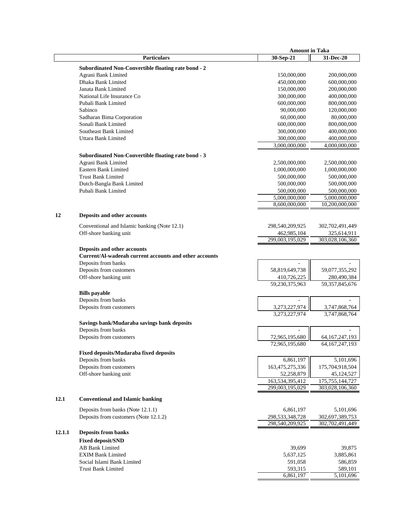|        |                                                        | <b>Amount in Taka</b>          |                                |
|--------|--------------------------------------------------------|--------------------------------|--------------------------------|
|        | <b>Particulars</b>                                     | 30-Sep-21                      | 31-Dec-20                      |
|        | Subordinated Non-Convertible floating rate bond - 2    |                                |                                |
|        | Agrani Bank Limited                                    | 150,000,000                    | 200,000,000                    |
|        | Dhaka Bank Limited                                     | 450,000,000                    | 600,000,000                    |
|        | Janata Bank Limited                                    | 150,000,000                    | 200,000,000                    |
|        | National Life Insurance Co                             | 300,000,000                    | 400,000,000                    |
|        | Pubali Bank Limited                                    | 600,000,000                    | 800,000,000                    |
|        | Sabinco                                                | 90,000,000                     | 120,000,000                    |
|        | Sadharan Bima Corporation                              | 60,000,000                     | 80,000,000                     |
|        | Sonali Bank Limited                                    | 600,000,000                    | 800,000,000                    |
|        | Southeast Bank Limited                                 | 300,000,000                    | 400,000,000                    |
|        | Uttara Bank Limited                                    | 300,000,000                    | 400,000,000                    |
|        |                                                        | 3,000,000,000                  | 4,000,000,000                  |
|        | Subordinated Non-Convertible floating rate bond - 3    |                                |                                |
|        | Agrani Bank Limited                                    | 2,500,000,000                  | 2,500,000,000                  |
|        | <b>Eastern Bank Limited</b>                            | 1,000,000,000                  | 1,000,000,000                  |
|        | <b>Trust Bank Limited</b>                              | 500,000,000                    | 500,000,000                    |
|        | Dutch-Bangla Bank Limited                              | 500,000,000                    | 500,000,000                    |
|        | Pubali Bank Limited                                    | 500,000,000                    | 500,000,000                    |
|        |                                                        | 5,000,000,000                  | 5,000,000,000                  |
|        |                                                        | 8,600,000,000                  | 10,200,000,000                 |
| 12     | Deposits and other accounts                            |                                |                                |
|        |                                                        |                                |                                |
|        | Conventional and Islamic banking (Note 12.1)           | 298,540,209,925                | 302,702,491,449                |
|        | Off-shore banking unit                                 | 462,985,104<br>299,003,195,029 | 325,614,911<br>303,028,106,360 |
|        |                                                        |                                |                                |
|        | Deposits and other accounts                            |                                |                                |
|        | Current/Al-wadeeah current accounts and other accounts |                                |                                |
|        | Deposits from banks                                    |                                |                                |
|        | Deposits from customers                                | 58,819,649,738                 | 59,077,355,292                 |
|        | Off-shore banking unit                                 | 410,726,225                    | 280,490,384                    |
|        |                                                        | 59,230,375,963                 | 59, 357, 845, 676              |
|        | <b>Bills</b> payable                                   |                                |                                |
|        | Deposits from banks                                    |                                |                                |
|        | Deposits from customers                                | 3,273,227,974                  | 3,747,868,764                  |
|        |                                                        | 3,273,227,974                  | 3,747,868,764                  |
|        | Savings bank/Mudaraba savings bank deposits            |                                |                                |
|        | Deposits from banks                                    |                                |                                |
|        | Deposits from customers                                | 72,965,195,680                 | 64, 167, 247, 193              |
|        |                                                        | 72,965,195,680                 | 64, 167, 247, 193              |
|        | Fixed deposits/Mudaraba fixed deposits                 |                                |                                |
|        | Deposits from banks                                    | 6,861,197                      | 5,101,696                      |
|        | Deposits from customers                                | 163,475,275,336                | 175,704,918,504                |
|        | Off-shore banking unit                                 | 52,258,879                     | 45,124,527                     |
|        |                                                        | 163,534,395,412                | 175, 755, 144, 727             |
|        |                                                        | 299,003,195,029                | 303,028,106,360                |
| 12.1   | <b>Conventional and Islamic banking</b>                |                                |                                |
|        | Deposits from banks (Note 12.1.1)                      | 6,861,197                      | 5,101,696                      |
|        | Deposits from customers (Note 12.1.2)                  | 298,533,348,728                | 302,697,389,753                |
|        |                                                        | 298,540,209,925                | 302,702,491,449                |
| 12.1.1 | <b>Deposits from banks</b>                             |                                |                                |
|        | <b>Fixed deposit/SND</b>                               |                                |                                |
|        | <b>AB Bank Limited</b>                                 | 39,699                         | 39,875                         |
|        | <b>EXIM Bank Limited</b>                               | 5,637,125                      | 3,885,861                      |
|        | Social Islami Bank Limited                             | 591,058                        | 586,859                        |
|        | <b>Trust Bank Limited</b>                              | 593,315                        | 589,101                        |
|        |                                                        | 6,861,197                      | 5,101,696                      |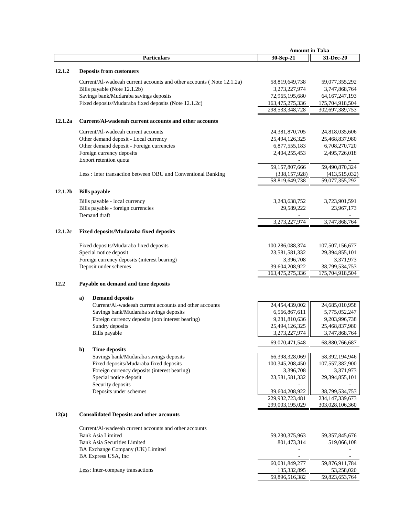|                     |                                                                                | <b>Amount in Taka</b>         |                                      |
|---------------------|--------------------------------------------------------------------------------|-------------------------------|--------------------------------------|
|                     | <b>Particulars</b>                                                             | 30-Sep-21                     | 31-Dec-20                            |
|                     |                                                                                |                               |                                      |
| 12.1.2              | <b>Deposits from customers</b>                                                 |                               |                                      |
|                     | Current/Al-wadeeah current accounts and other accounts (Note 12.1.2a)          | 58,819,649,738                | 59,077,355,292                       |
|                     | Bills payable (Note 12.1.2b)                                                   | 3,273,227,974                 | 3,747,868,764                        |
|                     | Savings bank/Mudaraba savings deposits                                         | 72,965,195,680                | 64, 167, 247, 193                    |
|                     | Fixed deposits/Mudaraba fixed deposits (Note 12.1.2c)                          | 163,475,275,336               | 175,704,918,504                      |
|                     |                                                                                | 298,533,348,728               | 302,697,389,753                      |
| 12.1.2a             | Current/Al-wadeeah current accounts and other accounts                         |                               |                                      |
|                     | Current/Al-wadeeah current accounts                                            | 24,381,870,705                | 24,818,035,606                       |
|                     | Other demand deposit - Local currency                                          | 25,494,126,325                | 25,468,837,980                       |
|                     | Other demand deposit - Foreign currencies                                      | 6,877,555,183                 | 6,708,270,720                        |
|                     | Foreign currency deposits                                                      | 2,404,255,453                 | 2,495,726,018                        |
|                     | Export retention quota                                                         |                               |                                      |
|                     |                                                                                | 59,157,807,666                | 59,490,870,324                       |
|                     | Less: Inter transaction between OBU and Conventional Banking                   | (338, 157, 928)               | (413,515,032)                        |
|                     |                                                                                | 58,819,649,738                | 59,077,355,292                       |
| 12.1.2 <sub>b</sub> | <b>Bills</b> payable                                                           |                               |                                      |
|                     |                                                                                |                               |                                      |
|                     | Bills payable - local currency                                                 | 3,243,638,752                 | 3,723,901,591                        |
|                     | Bills payable - foreign currencies                                             | 29,589,222                    | 23,967,173                           |
|                     | Demand draft                                                                   | 3,273,227,974                 | 3,747,868,764                        |
|                     |                                                                                |                               |                                      |
| 12.1.2c             | Fixed deposits/Mudaraba fixed deposits                                         |                               |                                      |
|                     | Fixed deposits/Mudaraba fixed deposits                                         | 100,286,088,374               | 107,507,156,677                      |
|                     | Special notice deposit                                                         | 23,581,581,332                | 29, 394, 855, 101                    |
|                     | Foreign currency deposits (interest bearing)                                   | 3,396,708                     | 3,371,973                            |
|                     | Deposit under schemes                                                          | 39,604,208,922                | 38,799,534,753                       |
|                     |                                                                                | 163,475,275,336               | 175,704,918,504                      |
| 12.2                | Payable on demand and time deposits                                            |                               |                                      |
|                     | <b>Demand deposits</b><br>a)                                                   |                               |                                      |
|                     | Current/Al-wadeeah current accounts and other accounts                         | 24,454,439,002                | 24,685,010,958                       |
|                     | Savings bank/Mudaraba savings deposits                                         | 6,566,867,611                 | 5,775,052,247                        |
|                     | Foreign currency deposits (non interest bearing)                               | 9,281,810,636                 | 9,203,996,738                        |
|                     | Sundry deposits                                                                | 25,494,126,325                | 25,468,837,980                       |
|                     | Bills payable                                                                  | 3,273,227,974                 | 3,747,868,764                        |
|                     |                                                                                |                               |                                      |
|                     |                                                                                | 69,070,471,548                | 68,880,766,687                       |
|                     | <b>Time deposits</b><br>$\mathbf{b}$<br>Savings bank/Mudaraba savings deposits |                               |                                      |
|                     | Fixed deposits/Mudaraba fixed deposits                                         | 66,398,328,069                | 58,392,194,946                       |
|                     |                                                                                | 100,345,208,450               | 107,557,382,900                      |
|                     | Foreign currency deposits (interest bearing)<br>Special notice deposit         | 3,396,708                     | 3,371,973                            |
|                     | Security deposits                                                              | 23,581,581,332                | 29,394,855,101                       |
|                     | Deposits under schemes                                                         | 39,604,208,922                |                                      |
|                     |                                                                                | 229.932.723.481               | 38,799,534,753<br>234, 147, 339, 673 |
|                     |                                                                                | 299,003,195,029               | 303,028,106,360                      |
| 12(a)               | <b>Consolidated Deposits and other accounts</b>                                |                               |                                      |
|                     |                                                                                |                               |                                      |
|                     | Current/Al-wadeeah current accounts and other accounts                         |                               |                                      |
|                     | <b>Bank Asia Limited</b>                                                       | 59,230,375,963                | 59, 357, 845, 676                    |
|                     | <b>Bank Asia Securities Limited</b>                                            | 801,473,314                   | 519,066,108                          |
|                     | BA Exchange Company (UK) Limited                                               |                               |                                      |
|                     | BA Express USA, Inc                                                            |                               |                                      |
|                     |                                                                                | 60,031,849,277<br>135,332,895 | 59,876,911,784                       |
|                     | Less: Inter-company transactions                                               | 59,896,516,382                | 53,258,020<br>59,823,653,764         |
|                     |                                                                                |                               |                                      |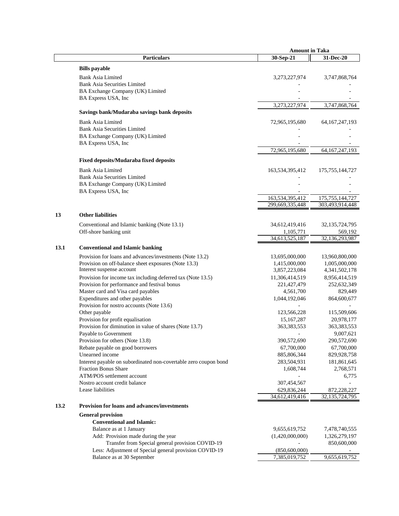|      |                                                                         | <b>Amount in Taka</b>       |                           |
|------|-------------------------------------------------------------------------|-----------------------------|---------------------------|
|      | <b>Particulars</b>                                                      | 30-Sep-21                   | 31-Dec-20                 |
|      | <b>Bills</b> payable                                                    |                             |                           |
|      | <b>Bank Asia Limited</b>                                                | 3,273,227,974               | 3,747,868,764             |
|      | <b>Bank Asia Securities Limited</b>                                     |                             |                           |
|      | BA Exchange Company (UK) Limited                                        |                             |                           |
|      | BA Express USA, Inc                                                     |                             |                           |
|      |                                                                         | 3,273,227,974               | 3,747,868,764             |
|      | Savings bank/Mudaraba savings bank deposits                             |                             |                           |
|      | <b>Bank Asia Limited</b>                                                | 72,965,195,680              | 64, 167, 247, 193         |
|      | <b>Bank Asia Securities Limited</b>                                     |                             |                           |
|      | BA Exchange Company (UK) Limited                                        |                             |                           |
|      | BA Express USA, Inc                                                     |                             |                           |
|      |                                                                         | 72,965,195,680              | 64, 167, 247, 193         |
|      | Fixed deposits/Mudaraba fixed deposits                                  |                             |                           |
|      |                                                                         |                             |                           |
|      | <b>Bank Asia Limited</b>                                                | 163,534,395,412             | 175, 755, 144, 727        |
|      | <b>Bank Asia Securities Limited</b><br>BA Exchange Company (UK) Limited |                             |                           |
|      | BA Express USA, Inc                                                     |                             |                           |
|      |                                                                         | 163,534,395,412             | 175, 755, 144, 727        |
|      |                                                                         | 299,669,335,448             | 303,493,914,448           |
|      |                                                                         |                             |                           |
| 13   | <b>Other liabilities</b>                                                |                             |                           |
|      | Conventional and Islamic banking (Note 13.1)                            | 34,612,419,416              | 32,135,724,795            |
|      | Off-shore banking unit                                                  | 1,105,771                   | 569,192                   |
|      |                                                                         | 34,613,525,187              | 32,136,293,987            |
| 13.1 | <b>Conventional and Islamic banking</b>                                 |                             |                           |
|      | Provision for loans and advances/investments (Note 13.2)                | 13,695,000,000              | 13,960,800,000            |
|      | Provision on off-balance sheet exposures (Note 13.3)                    | 1,415,000,000               | 1,005,000,000             |
|      | Interest suspense account                                               | 3,857,223,084               | 4, 341, 502, 178          |
|      | Provision for income tax including deferred tax (Note 13.5)             | 11,306,414,519              | 8,956,414,519             |
|      | Provision for performance and festival bonus                            | 221, 427, 479               | 252,632,349               |
|      | Master card and Visa card payables                                      | 4,561,700                   | 829,449                   |
|      | Expenditures and other payables                                         | 1,044,192,046               | 864,600,677               |
|      | Provision for nostro accounts (Note 13.6)<br>Other payable              |                             |                           |
|      | Provision for profit equalisation                                       | 123,566,228<br>15, 167, 287 | 115,509,606<br>20,978,177 |
|      | Provision for diminution in value of shares (Note 13.7)                 | 363,383,553                 | 363, 383, 553             |
|      | Payable to Government                                                   |                             | 9,007,621                 |
|      | Provision for others (Note 13.8)                                        | 390,572,690                 | 290,572,690               |
|      | Rebate payable on good borrowers                                        | 67,700,000                  | 67,700,000                |
|      | Unearned income                                                         | 885,806,344                 | 829,928,758               |
|      | Interest payable on subordinated non-covertable zero coupon bond        | 283,504,931                 | 181,861,645               |
|      | <b>Fraction Bonus Share</b>                                             | 1,608,744                   | 2,768,571                 |
|      | ATM/POS settlement account                                              |                             | 6,775                     |
|      | Nostro account credit balance                                           | 307,454,567                 |                           |
|      | Lease liabilities                                                       | 629,836,244                 | 872,228,227               |
|      |                                                                         | 34,612,419,416              | 32, 135, 724, 795         |
| 13.2 | Provision for loans and advances/investments                            |                             |                           |
|      | <b>General provision</b>                                                |                             |                           |
|      | <b>Conventional and Islamic:</b>                                        |                             |                           |
|      | Balance as at 1 January                                                 | 9,655,619,752               | 7,478,740,555             |
|      | Add: Provision made during the year                                     | (1,420,000,000)             | 1,326,279,197             |
|      | Transfer from Special general provision COVID-19                        |                             | 850,600,000               |
|      | Less: Adjustment of Special general provision COVID-19                  | (850,600,000)               |                           |
|      | Balance as at 30 September                                              | 7,385,019,752               | 9,655,619,752             |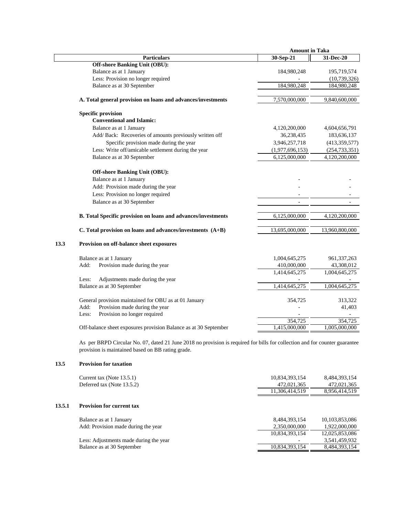|      |                                                                      | <b>Amount in Taka</b>    |                 |  |
|------|----------------------------------------------------------------------|--------------------------|-----------------|--|
|      | <b>Particulars</b>                                                   | 30-Sep-21                | 31-Dec-20       |  |
|      | <b>Off-shore Banking Unit (OBU):</b>                                 |                          |                 |  |
|      | Balance as at 1 January                                              | 184,980,248              | 195,719,574     |  |
|      | Less: Provision no longer required                                   |                          | (10, 739, 326)  |  |
|      | Balance as at 30 September                                           | 184,980,248              | 184,980,248     |  |
|      | A. Total general provision on loans and advances/investments         | 7,570,000,000            | 9,840,600,000   |  |
|      | <b>Specific provision</b>                                            |                          |                 |  |
|      | <b>Conventional and Islamic:</b>                                     |                          |                 |  |
|      | Balance as at 1 January                                              | 4,120,200,000            | 4,604,656,791   |  |
|      | Add/ Back: Recoveries of amounts previously written off              | 36,238,435               | 183,636,137     |  |
|      | Specific provision made during the year                              | 3,946,257,718            | (413, 359, 577) |  |
|      | Less: Write off/amicable settlement during the year                  | (1,977,696,153)          | (254, 733, 351) |  |
|      | Balance as at 30 September                                           | 6,125,000,000            | 4,120,200,000   |  |
|      |                                                                      |                          |                 |  |
|      | <b>Off-shore Banking Unit (OBU):</b>                                 |                          |                 |  |
|      | Balance as at 1 January                                              |                          |                 |  |
|      | Add: Provision made during the year                                  |                          |                 |  |
|      | Less: Provision no longer required                                   |                          |                 |  |
|      | Balance as at 30 September                                           | $\overline{\phantom{a}}$ |                 |  |
|      | <b>B.</b> Total Specific provision on loans and advances/investments | 6,125,000,000            | 4,120,200,000   |  |
|      | C. Total provision on loans and advances/investments (A+B)           | 13,695,000,000           | 13,960,800,000  |  |
| 13.3 | Provision on off-balance sheet exposures                             |                          |                 |  |
|      | Balance as at 1 January                                              | 1,004,645,275            | 961, 337, 263   |  |
|      | Provision made during the year<br>Add:                               | 410,000,000              | 43,308,012      |  |
|      |                                                                      | 1,414,645,275            | 1,004,645,275   |  |
|      | Adjustments made during the year<br>Less:                            |                          |                 |  |
|      | Balance as at 30 September                                           | 1,414,645,275            | 1,004,645,275   |  |
|      | General provision maintained for OBU as at 01 January                | 354,725                  | 313,322         |  |
|      | Add:<br>Provision made during the year                               |                          | 41,403          |  |
|      | Provision no longer required<br>Less:                                |                          |                 |  |
|      |                                                                      | 354,725                  | 354,725         |  |
|      | Off-balance sheet exposures provision Balance as at 30 September     | 1,415,000,000            | 1,005,000,000   |  |
|      |                                                                      |                          |                 |  |

As per BRPD Circular No. 07, dated 21 June 2018 no provision is required for bills for collection and for counter guarantee provision is maintained based on BB rating grade.

# **13.5 Provision for taxation**

|        | Current tax (Note 13.5.1)<br>Deferred tax (Note 13.5.2)        | 10,834,393,154<br>472,021,365<br>11.306.414.519 | 8,484,393,154<br>472,021,365<br>8,956,414,519 |
|--------|----------------------------------------------------------------|-------------------------------------------------|-----------------------------------------------|
| 13.5.1 | <b>Provision for current tax</b>                               |                                                 |                                               |
|        | Balance as at 1 January<br>Add: Provision made during the year | 8,484,393,154<br>2,350,000,000                  | 10,103,853,086<br>1,922,000,000               |
|        | Less: Adjustments made during the year                         | 10,834,393,154                                  | 12,025,853,086<br>3,541,459,932               |
|        | Balance as at 30 September                                     | 10,834,393,154                                  | 8,484,393,154                                 |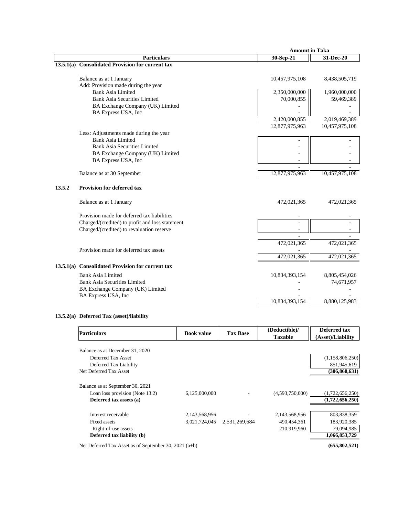|        |                                                  | <b>Amount in Taka</b> |                |
|--------|--------------------------------------------------|-----------------------|----------------|
|        | <b>Particulars</b>                               | 30-Sep-21             | 31-Dec-20      |
|        | 13.5.1(a) Consolidated Provision for current tax |                       |                |
|        |                                                  |                       |                |
|        | Balance as at 1 January                          | 10,457,975,108        | 8,438,505,719  |
|        | Add: Provision made during the year              |                       |                |
|        | <b>Bank Asia Limited</b>                         | 2,350,000,000         | 1,960,000,000  |
|        | <b>Bank Asia Securities Limited</b>              | 70,000,855            | 59,469,389     |
|        | BA Exchange Company (UK) Limited                 |                       |                |
|        | BA Express USA, Inc                              |                       |                |
|        |                                                  | 2,420,000,855         | 2,019,469,389  |
|        |                                                  | 12,877,975,963        | 10,457,975,108 |
|        | Less: Adjustments made during the year           |                       |                |
|        | Bank Asia Limited                                |                       |                |
|        | <b>Bank Asia Securities Limited</b>              |                       |                |
|        | BA Exchange Company (UK) Limited                 |                       |                |
|        | BA Express USA, Inc                              |                       |                |
|        | Balance as at 30 September                       | 12,877,975,963        | 10,457,975,108 |
| 13.5.2 | <b>Provision for deferred tax</b>                |                       |                |
|        | Balance as at 1 January                          | 472,021,365           | 472,021,365    |
|        | Provision made for deferred tax liabilities      |                       |                |
|        | Charged/(credited) to profit and loss statement  |                       |                |
|        | Charged/(credited) to revaluation reserve        |                       |                |
|        |                                                  |                       |                |
|        |                                                  | 472,021,365           | 472,021,365    |
|        | Provision made for deferred tax assets           |                       |                |
|        |                                                  | 472,021,365           | 472,021,365    |
|        | 13.5.1(a) Consolidated Provision for current tax |                       |                |
|        | <b>Bank Asia Limited</b>                         | 10,834,393,154        | 8,805,454,026  |
|        | <b>Bank Asia Securities Limited</b>              |                       | 74,671,957     |
|        | BA Exchange Company (UK) Limited                 |                       |                |
|        | BA Express USA, Inc                              |                       |                |
|        |                                                  | 10,834,393,154        | 8,880,125,983  |

## **13.5.2(a) Deferred Tax (asset)/liability**

| <b>Particulars</b>                                      | <b>Book value</b> | <b>Tax Base</b> | (Deductible)/<br><b>Taxable</b> | Deferred tax<br>(Asset)/Liability |
|---------------------------------------------------------|-------------------|-----------------|---------------------------------|-----------------------------------|
| Balance as at December 31, 2020                         |                   |                 |                                 |                                   |
| Deferred Tax Asset                                      |                   |                 |                                 | (1,158,806,250)                   |
| Deferred Tax Liability                                  |                   |                 |                                 | 851,945,619                       |
| Net Deferred Tax Asset                                  |                   |                 |                                 | (306, 860, 631)                   |
| Balance as at September 30, 2021                        |                   |                 |                                 |                                   |
| Loan loss provision (Note 13.2)                         | 6,125,000,000     |                 | (4,593,750,000)                 | (1,722,656,250)                   |
| Deferred tax assets (a)                                 |                   |                 |                                 | (1,722,656,250)                   |
| Interest receivable                                     | 2,143,568,956     |                 | 2,143,568,956                   | 803,838,359                       |
| Fixed assets                                            | 3.021.724.045     | 2,531,269,684   | 490,454,361                     | 183,920,385                       |
| Right-of-use assets                                     |                   |                 | 210.919.960                     | 79,094,985                        |
| Deferred tax liability (b)                              |                   |                 |                                 | 1,066,853,729                     |
| Net Deferred Tax Asset as of September 30, 2021 $(a+b)$ |                   |                 |                                 | (655, 802, 521)                   |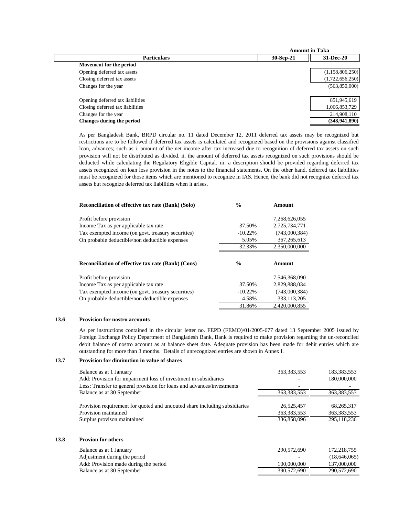|                                  |           | <b>Amount in Taka</b> |
|----------------------------------|-----------|-----------------------|
| <b>Particulars</b>               | 30-Sep-21 | 31-Dec-20             |
| Movement for the period          |           |                       |
| Opening deferred tax assets      |           | (1,158,806,250)       |
| Closing deferred tax assets      |           | (1,722,656,250)       |
| Changes for the year             |           | (563,850,000)         |
|                                  |           |                       |
| Opening deferred tax liabilities |           | 851,945,619           |
| Closing deferred tax liabilities |           | 1,066,853,729         |
| Changes for the year             |           | 214,908,110           |
| Changes during the period        |           | (348, 941, 890)       |
|                                  |           |                       |

As per Bangladesh Bank, BRPD circular no. 11 dated December 12, 2011 deferred tax assets may be recognized but restrictions are to be followed if deferred tax assets is calculated and recognized based on the provisions against classified loan, advances; such as i. amount of the net income after tax increased due to recognition of deferred tax assets on such provision will not be distributed as divided. ii. the amount of deferred tax assets recognized on such provisions should be deducted while calculating the Regulatory Eligible Capital. iii. a description should be provided regarding deferred tax assets recognized on loan loss provision in the notes to the financial statements. On the other hand, deferred tax liabilities must be recognized for those items which are mentioned to recognize in IAS. Hence, the bank did not recognize deferred tax assets but recognize deferred tax liabilities when it arises.

| <b>Reconciliation of effective tax rate (Bank) (Solo)</b> | $\frac{6}{9}$ | Amount        |
|-----------------------------------------------------------|---------------|---------------|
| Profit before provision                                   |               | 7,268,626,055 |
| Income Tax as per applicable tax rate                     | 37.50%        | 2.725.734.771 |
| Tax exempted income (on govt. treasury securities)        | $-10.22%$     | (743,000,384) |
| On probable deductible/non deductible expenses            | 5.05%         | 367, 265, 613 |
|                                                           | 32.33%        | 2,350,000,000 |
| <b>Reconciliation of effective tax rate (Bank) (Cons)</b> | $\frac{0}{0}$ | Amount        |
| Profit before provision                                   |               | 7.546.368.090 |
| Income Tax as per applicable tax rate                     | 37.50%        | 2.829.888.034 |
| Tax exempted income (on govt. treasury securities)        | $-10.22%$     | (743,000,384) |
| On probable deductible/non deductible expenses            | 4.58%         | 333,113,205   |
|                                                           | 31.86%        | 2.420.000.855 |

#### **13.6 Provision for nostro accounts**

As per instructions contained in the circular letter no. FEPD (FEMO)/01/2005-677 dated 13 September 2005 issued by Foreign Exchange Policy Department of Bangladesh Bank, Bank is required to make provision regarding the un-reconciled debit balance of nostro account as at balance sheet date. Adequate provision has been made for debit entries which are outstanding for more than 3 months. Details of unrecognized entries are shown in Annex I.

#### **13.7 Provision for diminution in value of shares**

| Balance as at 1 January                                                    | 363, 383, 553 | 183,383,553   |
|----------------------------------------------------------------------------|---------------|---------------|
| Add: Provision for impairment loss of investment in subsidiaries           |               | 180,000,000   |
| Less: Transfer to general provision for loans and advances/investments     |               |               |
| Balance as at 30 September                                                 | 363, 383, 553 | 363, 383, 553 |
|                                                                            |               |               |
| Provision requirement for quoted and unquoted share including subsidiaries | 26,525,457    | 68,265,317    |
| Provision maintained                                                       | 363, 383, 553 | 363, 383, 553 |
| Surplus provison maintained                                                | 336,858,096   | 295,118,236   |
|                                                                            |               |               |
|                                                                            |               |               |

# **13.8 Provion for others**

| Balance as at 1 January               | 290,572,690 | 172.218.755  |
|---------------------------------------|-------------|--------------|
| Adjustment during the period          |             | (18.646.065) |
| Add: Provision made during the period | 100,000,000 | 137,000,000  |
| Balance as at 30 September            | 390,572,690 | 290,572,690  |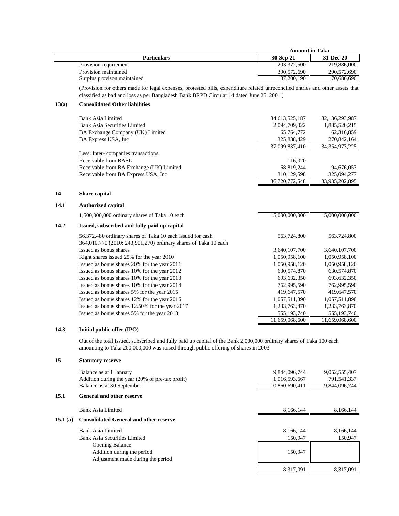|       |                                                                                                                                                                                                                            | <b>Amount in Taka</b> |                   |
|-------|----------------------------------------------------------------------------------------------------------------------------------------------------------------------------------------------------------------------------|-----------------------|-------------------|
|       | <b>Particulars</b>                                                                                                                                                                                                         | 30-Sep-21             | 31-Dec-20         |
|       | Provision requirement                                                                                                                                                                                                      | 203,372,500           | 219,886,000       |
|       | Provision maintained                                                                                                                                                                                                       | 390,572,690           | 290,572,690       |
|       | Surplus provison maintained                                                                                                                                                                                                | 187,200,190           | 70,686,690        |
|       | (Provision for others made for legal expenses, protested bills, expenditure related unreconciled entries and other assets that<br>classified as bad and loss as per Bangladesh Bank BRPD Circular 14 dated June 25, 2001.) |                       |                   |
| 13(a) | <b>Consolidated Other liabilities</b>                                                                                                                                                                                      |                       |                   |
|       | <b>Bank Asia Limited</b>                                                                                                                                                                                                   | 34,613,525,187        | 32,136,293,987    |
|       | <b>Bank Asia Securities Limited</b>                                                                                                                                                                                        | 2,094,709,022         | 1,885,520,215     |
|       | BA Exchange Company (UK) Limited                                                                                                                                                                                           | 65,764,772            | 62,316,859        |
|       | BA Express USA, Inc                                                                                                                                                                                                        | 325,838,429           | 270,842,164       |
|       |                                                                                                                                                                                                                            | 37,099,837,410        | 34, 354, 973, 225 |
|       | Less: Inter-companies transactions                                                                                                                                                                                         |                       |                   |
|       | Receivable from BASL                                                                                                                                                                                                       | 116,020               |                   |
|       | Receivable from BA Exchange (UK) Limited                                                                                                                                                                                   | 68,819,244            | 94,676,053        |
|       | Receivable from BA Express USA, Inc                                                                                                                                                                                        | 310,129,598           | 325,094,277       |
|       |                                                                                                                                                                                                                            | 36,720,772,548        | 33,935,202,895    |
| 14    | Share capital                                                                                                                                                                                                              |                       |                   |
| 14.1  | <b>Authorized capital</b>                                                                                                                                                                                                  |                       |                   |
|       | 1,500,000,000 ordinary shares of Taka 10 each                                                                                                                                                                              | 15,000,000,000        | 15,000,000,000    |
| 14.2  | Issued, subscribed and fully paid up capital                                                                                                                                                                               |                       |                   |
|       | 56,372,480 ordinary shares of Taka 10 each issued for cash<br>364,010,770 (2010: 243,901,270) ordinary shares of Taka 10 each                                                                                              | 563,724,800           | 563,724,800       |
|       | Issued as bonus shares                                                                                                                                                                                                     | 3,640,107,700         | 3,640,107,700     |
|       | Right shares issued 25% for the year 2010                                                                                                                                                                                  | 1,050,958,100         | 1,050,958,100     |
|       | Issued as bonus shares 20% for the year 2011                                                                                                                                                                               | 1,050,958,120         | 1,050,958,120     |
|       | Issued as bonus shares 10% for the year 2012                                                                                                                                                                               | 630,574,870           | 630,574,870       |
|       | Issued as bonus shares 10% for the year 2013                                                                                                                                                                               | 693,632,350           | 693, 632, 350     |
|       | Issued as bonus shares 10% for the year 2014                                                                                                                                                                               | 762,995,590           | 762,995,590       |
|       | Issued as bonus shares 5% for the year 2015                                                                                                                                                                                | 419,647,570           | 419,647,570       |
|       | Issued as bonus shares 12% for the year 2016                                                                                                                                                                               | 1,057,511,890         | 1,057,511,890     |
|       | Issued as bonus shares 12.50% for the year 2017                                                                                                                                                                            | 1,233,763,870         | 1,233,763,870     |
|       | Issued as bonus shares 5% for the year 2018                                                                                                                                                                                | 555,193,740           | 555,193,740       |
|       |                                                                                                                                                                                                                            | 11,659,068,600        | 11,659,068,600    |

## **14.3 Initial public offer (IPO)**

Out of the total issued, subscribed and fully paid up capital of the Bank 2,000,000 ordinary shares of Taka 100 each amounting to Taka 200,000,000 was raised through public offering of shares in 2003

## **15 Statutory reserve**

|         | Balance as at 1 January                          | 9,844,096,744  | 9,052,555,407 |
|---------|--------------------------------------------------|----------------|---------------|
|         | Addition during the year (20% of pre-tax profit) | 1,016,593,667  | 791,541,337   |
|         | Balance as at 30 September                       | 10,860,690,411 | 9,844,096,744 |
| 15.1    | <b>General and other reserve</b>                 |                |               |
|         | Bank Asia Limited                                | 8,166,144      | 8,166,144     |
| 15.1(a) | <b>Consolidated General and other reserve</b>    |                |               |
|         | Bank Asia Limited                                | 8,166,144      | 8,166,144     |
|         | Bank Asia Securities Limited                     | 150,947        | 150,947       |
|         | <b>Opening Balance</b>                           |                |               |
|         | Addition during the period                       | 150,947        |               |
|         | Adjustment made during the period                |                |               |
|         |                                                  | 8.317.091      | 8.317.091     |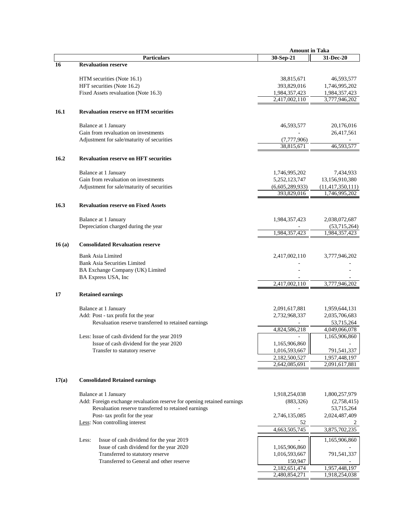|       |                                                                         | <b>Amount in Taka</b>          |                               |
|-------|-------------------------------------------------------------------------|--------------------------------|-------------------------------|
|       | <b>Particulars</b>                                                      | 30-Sep-21                      | 31-Dec-20                     |
| 16    | <b>Revaluation reserve</b>                                              |                                |                               |
|       |                                                                         |                                | 46,593,577                    |
|       | HTM securities (Note 16.1)<br>HFT securities (Note 16.2)                | 38,815,671<br>393,829,016      | 1,746,995,202                 |
|       | Fixed Assets revaluation (Note 16.3)                                    | 1,984,357,423                  | 1,984,357,423                 |
|       |                                                                         | 2,417,002,110                  | 3,777,946,202                 |
|       |                                                                         |                                |                               |
| 16.1  | <b>Revaluation reserve on HTM securities</b>                            |                                |                               |
|       | Balance at 1 January                                                    | 46,593,577                     | 20,176,016                    |
|       | Gain from revaluation on investments                                    |                                | 26,417,561                    |
|       | Adjustment for sale/maturity of securities                              | (7,777,906)                    |                               |
|       |                                                                         | 38,815,671                     | 46,593,577                    |
| 16.2  | <b>Revaluation reserve on HFT securities</b>                            |                                |                               |
|       | Balance at 1 January                                                    | 1,746,995,202                  | 7,434,933                     |
|       | Gain from revaluation on investments                                    | 5,252,123,747                  | 13,156,910,380                |
|       | Adjustment for sale/maturity of securities                              | (6,605,289,933)                | (11, 417, 350, 111)           |
|       |                                                                         | 393,829,016                    | 1,746,995,202                 |
| 16.3  | <b>Revaluation reserve on Fixed Assets</b>                              |                                |                               |
|       |                                                                         |                                |                               |
|       | Balance at 1 January                                                    | 1,984,357,423                  | 2,038,072,687                 |
|       | Depreciation charged during the year                                    | 1,984,357,423                  | (53,715,264)<br>1,984,357,423 |
|       |                                                                         |                                |                               |
| 16(a) | <b>Consolidated Revaluation reserve</b>                                 |                                |                               |
|       | Bank Asia Limited                                                       | 2,417,002,110                  | 3,777,946,202                 |
|       | <b>Bank Asia Securities Limited</b>                                     |                                |                               |
|       | BA Exchange Company (UK) Limited                                        |                                |                               |
|       | BA Express USA, Inc                                                     |                                |                               |
|       |                                                                         | 2,417,002,110                  | 3,777,946,202                 |
| 17    | <b>Retained earnings</b>                                                |                                |                               |
|       | Balance at 1 January                                                    | 2,091,617,881                  | 1,959,644,131                 |
|       | Add: Post - tax profit fot the year                                     | 2,732,968,337                  | 2,035,706,683                 |
|       | Revaluation reserve transferred to retained earnings                    |                                | 53,715,264                    |
|       |                                                                         | 4,824,586,218                  | 4,049,066,078                 |
|       | Less: Issue of cash dividend for the year 2019                          |                                | 1,165,906,860                 |
|       | Issue of cash dividend for the year 2020                                | 1,165,906,860                  |                               |
|       | Transfer to statutory reserve                                           | 1,016,593,667                  | 791,541,337                   |
|       |                                                                         | 2,182,500,527<br>2,642,085,691 | 1,957,448,197                 |
|       |                                                                         |                                | 2,091,617,881                 |
| 17(a) | <b>Consolidated Retained earnings</b>                                   |                                |                               |
|       | Balance at 1 January                                                    | 1,918,254,038                  | 1,800,257,979                 |
|       | Add: Foreign exchange revaluation reserve for opening retained earnings | (883, 326)                     | (2,758,415)                   |
|       | Revaluation reserve transferred to retained earnings                    |                                | 53,715,264                    |
|       | Post- tax profit for the year                                           | 2,746,135,085                  | 2,024,487,409                 |
|       | Less: Non controlling interest                                          | 52                             |                               |
|       |                                                                         | 4,663,505,745                  | 3,875,702,235                 |
|       | Issue of cash dividend for the year 2019<br>Less:                       |                                | 1,165,906,860                 |
|       | Issue of cash dividend for the year 2020                                | 1,165,906,860                  |                               |
|       | Transferred to statutory reserve                                        | 1,016,593,667                  | 791,541,337                   |
|       | Transferred to General and other reserve                                | 150,947                        |                               |
|       |                                                                         | 2,182,651,474                  | 1,957,448,197                 |
|       |                                                                         | 2,480,854,271                  | 1,918,254,038                 |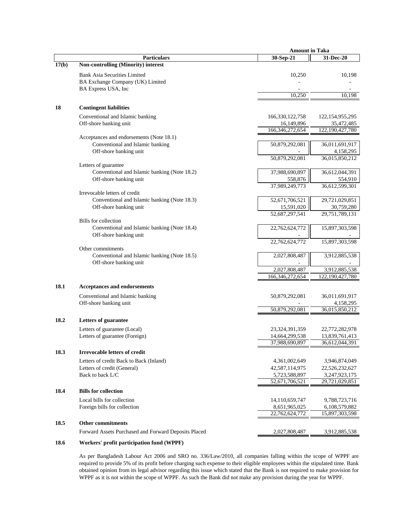|       |                                                      | <b>Amount in Taka</b> |                    |
|-------|------------------------------------------------------|-----------------------|--------------------|
|       | <b>Particulars</b>                                   | 30-Sep-21             | 31-Dec-20          |
| 17(b) | <b>Non-controlling (Minority) interest</b>           |                       |                    |
|       | <b>Bank Asia Securities Limited</b>                  | 10,250                | 10,198             |
|       | BA Exchange Company (UK) Limited                     |                       |                    |
|       | BA Express USA, Inc                                  |                       |                    |
|       |                                                      | 10,250                | 10,198             |
|       |                                                      |                       |                    |
| 18    | <b>Contingent liabilities</b>                        |                       |                    |
|       | Conventional and Islamic banking                     | 166,330,122,758       | 122, 154, 955, 295 |
|       | Off-shore banking unit                               | 16,149,896            | 35,472,485         |
|       |                                                      | 166, 346, 272, 654    | 122,190,427,780    |
|       | Acceptances and endorsements (Note 18.1)             |                       |                    |
|       | Conventional and Islamic banking                     | 50,879,292,081        | 36,011,691,917     |
|       | Off-shore banking unit                               |                       | 4,158,295          |
|       |                                                      | 50,879,292,081        | 36,015,850,212     |
|       | Letters of guarantee                                 |                       |                    |
|       | Conventional and Islamic banking (Note 18.2)         | 37,988,690,897        | 36,612,044,391     |
|       | Off-shore banking unit                               | 558,876               | 554,910            |
|       |                                                      | 37,989,249,773        | 36,612,599,301     |
|       | Irrevocable letters of credit                        |                       |                    |
|       | Conventional and Islamic banking (Note 18.3)         | 52,671,706,521        | 29,721,029,851     |
|       | Off-shore banking unit                               | 15,591,020            | 30,759,280         |
|       |                                                      | 52,687,297,541        | 29,751,789,131     |
|       | <b>Bills</b> for collection                          |                       |                    |
|       | Conventional and Islamic banking (Note 18.4)         | 22,762,624,772        | 15,897,303,598     |
|       | Off-shore banking unit                               |                       |                    |
|       |                                                      | 22,762,624,772        | 15,897,303,598     |
|       | Other commitments                                    |                       |                    |
|       | Conventional and Islamic banking (Note 18.5)         | 2,027,808,487         | 3,912,885,538      |
|       | Off-shore banking unit                               |                       |                    |
|       |                                                      | 2,027,808,487         | 3,912,885,538      |
|       |                                                      | 166, 346, 272, 654    | 122,190,427,780    |
| 18.1  | Acceptances and endorsements                         |                       |                    |
|       | Conventional and Islamic banking                     | 50,879,292,081        | 36,011,691,917     |
|       | Off-shore banking unit                               |                       | 4,158,295          |
|       |                                                      | 50,879,292,081        | 36,015,850,212     |
|       |                                                      |                       |                    |
| 18.2  | <b>Letters of guarantee</b>                          |                       |                    |
|       | Letters of guarantee (Local)                         | 23,324,391,359        | 22,772,282,978     |
|       | Letters of guarantee (Foreign)                       | 14,664,299,538        | 13,839,761,413     |
|       |                                                      | 37,988,690,897        | 36,612,044,391     |
| 18.3  | <b>Irrevocable letters of credit</b>                 |                       |                    |
|       | Letters of credit Back to Back (Inland)              | 4,361,002,649         | 3,946,874,049      |
|       | Letters of credit (General)                          | 42,587,114,975        | 22,526,232,627     |
|       | Back to back L/C                                     | 5,723,588,897         | 3,247,923,175      |
|       |                                                      | 52,671,706,521        | 29,721,029,851     |
| 18.4  | <b>Bills for collection</b>                          |                       |                    |
|       |                                                      |                       |                    |
|       | Local bills for collection                           | 14,110,659,747        | 9,788,723,716      |
|       | Foreign bills for collection                         | 8,651,965,025         | 6,108,579,882      |
|       |                                                      | 22,762,624,772        | 15,897,303,598     |
| 18.5  | <b>Other commitments</b>                             |                       |                    |
|       | Forward Assets Purchased and Forward Deposits Placed | 2,027,808,487         | 3,912,885,538      |
|       |                                                      |                       |                    |

# **18.6 Workers' profit participation fund (WPPF)**

As per Bangladesh Labour Act 2006 and SRO no. 336/Law/2010, all companies falling within the scope of WPPF are required to provide 5% of its profit before charging such expense to their eligible employees within the stipulated time. Bank obtained opinion from its legal advisor regarding this issue which stated that the Bank is not required to make provision for WPPF as it is not within the scope of WPPF. As such the Bank did not make any provision during the year for WPPF.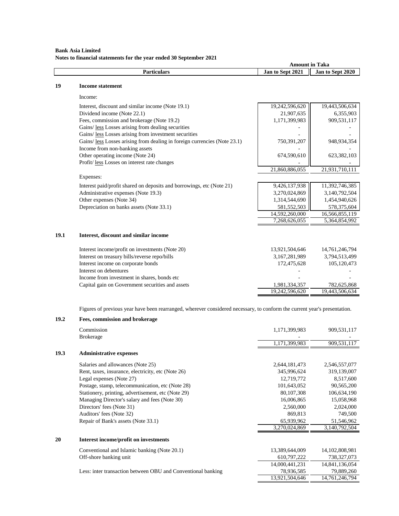## **Bank Asia Limited Notes to financial statements for the year ended 30 September 2021**

|      |                                                                                                                           | <b>Amount in Taka</b> |                  |
|------|---------------------------------------------------------------------------------------------------------------------------|-----------------------|------------------|
|      | <b>Particulars</b>                                                                                                        | Jan to Sept 2021      | Jan to Sept 2020 |
| 19   | <b>Income statement</b>                                                                                                   |                       |                  |
|      |                                                                                                                           |                       |                  |
|      | Income:                                                                                                                   |                       |                  |
|      | Interest, discount and similar income (Note 19.1)                                                                         | 19,242,596,620        | 19,443,506,634   |
|      | Dividend income (Note 22.1)                                                                                               | 21,907,635            | 6,355,903        |
|      | Fees, commission and brokerage (Note 19.2)                                                                                | 1,171,399,983         | 909,531,117      |
|      | Gains/ less Losses arising from dealing securities                                                                        |                       |                  |
|      | Gains/ less Losses arising from investment securities                                                                     |                       |                  |
|      | Gains/ less Losses arising from dealing in foreign currencies (Note 23.1)                                                 | 750,391,207           | 948,934,354      |
|      | Income from non-banking assets                                                                                            |                       |                  |
|      | Other operating income (Note 24)                                                                                          | 674,590,610           | 623,382,103      |
|      | Profit/less Losses on interest rate changes                                                                               |                       |                  |
|      |                                                                                                                           | 21,860,886,055        | 21,931,710,111   |
|      | Expenses:                                                                                                                 |                       |                  |
|      | Interest paid/profit shared on deposits and borrowings, etc (Note 21)                                                     | 9,426,137,938         | 11,392,746,385   |
|      | Administrative expenses (Note 19.3)                                                                                       | 3,270,024,869         | 3,140,792,504    |
|      | Other expenses (Note 34)                                                                                                  | 1,314,544,690         | 1,454,940,626    |
|      | Depreciation on banks assets (Note 33.1)                                                                                  | 581,552,503           | 578,375,604      |
|      |                                                                                                                           | 14,592,260,000        | 16,566,855,119   |
|      |                                                                                                                           | 7,268,626,055         | 5,364,854,992    |
| 19.1 | Interest, discount and similar income                                                                                     |                       |                  |
|      |                                                                                                                           |                       |                  |
|      | Interest income/profit on investments (Note 20)                                                                           | 13,921,504,646        | 14,761,246,794   |
|      | Interest on treasury bills/reverse repo/bills                                                                             | 3,167,281,989         | 3,794,513,499    |
|      | Interest income on corporate bonds                                                                                        | 172,475,628           | 105,120,473      |
|      | Interest on debentures                                                                                                    |                       |                  |
|      | Income from investment in shares, bonds etc                                                                               |                       |                  |
|      | Capital gain on Government securities and assets                                                                          | 1,981,334,357         | 782,625,868      |
|      |                                                                                                                           | 19,242,596,620        | 19,443,506,634   |
|      |                                                                                                                           |                       |                  |
|      | Figures of previous year have been rearranged, wherever considered necessary, to conform the current year's presentation. |                       |                  |
| 19.2 | Fees, commission and brokerage                                                                                            |                       |                  |
|      | Commission                                                                                                                | 1,171,399,983         | 909,531,117      |
|      | <b>Brokerage</b>                                                                                                          |                       |                  |
|      |                                                                                                                           | 1,171,399,983         | 909,531,117      |
| 19.3 | <b>Administrative expenses</b>                                                                                            |                       |                  |

|    | Salaries and allowances (Note 25)                            | 2,644,181,473  | 2,546,557,077     |
|----|--------------------------------------------------------------|----------------|-------------------|
|    | Rent, taxes, insurance, electricity, etc (Note 26)           | 345,996,624    | 319,139,007       |
|    | Legal expenses (Note 27)                                     | 12,719,772     | 8,517,600         |
|    | Postage, stamp, telecommunication, etc (Note 28)             | 101,643,052    | 90,565,200        |
|    | Stationery, printing, advertisement, etc (Note 29)           | 80,107,308     | 106,634,190       |
|    | Managing Director's salary and fees (Note 30)                | 16,006,865     | 15,058,968        |
|    | Directors' fees (Note 31)                                    | 2,560,000      | 2,024,000         |
|    | Auditors' fees (Note 32)                                     | 869,813        | 749,500           |
|    | Repair of Bank's assets (Note 33.1)                          | 65,939,962     | 51,546,962        |
|    |                                                              | 3,270,024,869  | 3,140,792,504     |
| 20 | Interest income/profit on investments                        |                |                   |
|    | Conventional and Islamic banking (Note 20.1)                 | 13,389,644,009 | 14, 102, 808, 981 |
|    | Off-shore banking unit                                       | 610,797,222    | 738,327,073       |
|    |                                                              | 14,000,441,231 | 14,841,136,054    |
|    | Less: inter transaction between OBU and Conventional banking | 78,936,585     | 79,889,260        |
|    |                                                              | 13,921,504,646 | 14,761,246,794    |
|    |                                                              |                |                   |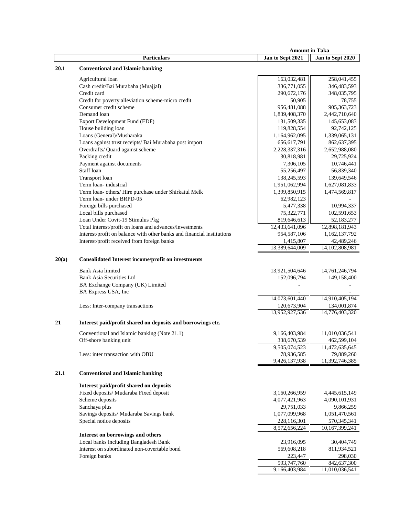|       |                                                                            | <b>Amount in Taka</b>        |                                 |
|-------|----------------------------------------------------------------------------|------------------------------|---------------------------------|
|       | <b>Particulars</b>                                                         | Jan to Sept 2021             | Jan to Sept 2020                |
| 20.1  | <b>Conventional and Islamic banking</b>                                    |                              |                                 |
|       | Agricultural loan                                                          | 163,032,481                  | 258,041,455                     |
|       | Cash credit/Bai Murabaha (Muajjal)                                         | 336,771,055                  | 346,483,593                     |
|       | Credit card                                                                | 290,672,176                  | 348,035,795                     |
|       | Credit for poverty alleviation scheme-micro credit                         | 50,905                       | 78,755                          |
|       | Consumer credit scheme                                                     | 956,481,088                  | 905, 363, 723                   |
|       | Demand loan                                                                | 1,839,408,370                | 2,442,710,640                   |
|       | Export Development Fund (EDF)                                              | 131,509,335                  | 145,653,083                     |
|       | House building loan                                                        | 119,828,554                  | 92,742,125                      |
|       | Loans (General)/Musharaka                                                  | 1,164,962,095                | 1,339,065,131                   |
|       | Loans against trust receipts/ Bai Murabaha post import                     | 656,617,791                  | 862,637,395                     |
|       | Overdrafts/ Quard against scheme                                           | 2,228,337,316                | 2,652,988,080                   |
|       | Packing credit                                                             | 30,818,981                   | 29,725,924                      |
|       | Payment against documents                                                  | 7,306,105                    | 10,746,441                      |
|       | Staff loan                                                                 | 55,256,497                   | 56,839,340                      |
|       | Transport loan                                                             | 138,245,593                  | 139,649,546                     |
|       | Term loan- industrial                                                      | 1,951,062,994                | 1,627,081,833                   |
|       | Term loan- others/ Hire purchase under Shirkatul Melk                      | 1,399,850,915                | 1,474,569,817                   |
|       | Term loan- under BRPD-05                                                   | 62,982,123                   |                                 |
|       | Foreign bills purchased                                                    | 5,477,338                    | 10,994,337                      |
|       | Local bills purchased                                                      | 75,322,771                   | 102,591,653                     |
|       | Loan Under Covit-19 Stimulus Pkg                                           | 819,646,613                  | 52,183,277                      |
|       | Total interest/profit on loans and advances/investments                    | 12,433,641,096               | 12,898,181,943                  |
|       | Interest/profit on balance with other banks and financial institutions     | 954,587,106                  | 1,162,137,792                   |
|       | Interest/profit received from foreign banks                                | 1,415,807                    | 42,489,246                      |
|       |                                                                            | 13,389,644,009               | 14,102,808,981                  |
| 20(a) | <b>Consolidated Interest income/profit on investments</b>                  |                              |                                 |
|       | <b>Bank Asia limited</b>                                                   | 13,921,504,646               | 14,761,246,794                  |
|       | <b>Bank Asia Securities Ltd</b>                                            | 152,096,794                  | 149,158,400                     |
|       | BA Exchange Company (UK) Limited                                           |                              |                                 |
|       | BA Express USA, Inc                                                        |                              |                                 |
|       |                                                                            | 14,073,601,440               | 14,910,405,194                  |
|       | Less: Inter-company transactions                                           | 120,673,904                  | 134,001,874                     |
|       |                                                                            | 13,952,927,536               | 14,776,403,320                  |
| 21    | Interest paid/profit shared on deposits and borrowings etc.                |                              |                                 |
|       | Conventional and Islamic banking (Note 21.1)                               | 9,166,403,984                | 11,010,036,541                  |
|       | Off-shore banking unit                                                     | 338,670,539                  | 462,599,104                     |
|       |                                                                            | 9,505,074,523                | 11,472,635,645                  |
|       | Less: inter transaction with OBU                                           | 78,936,585                   | 79,889,260                      |
|       |                                                                            | 9,426,137,938                | 11,392,746,385                  |
| 21.1  | <b>Conventional and Islamic banking</b>                                    |                              |                                 |
|       |                                                                            |                              |                                 |
|       | Interest paid/profit shared on deposits                                    |                              |                                 |
|       | Fixed deposits/ Mudaraba Fixed deposit                                     | 3,160,266,959                | 4,445,615,149                   |
|       | Scheme deposits                                                            | 4,077,421,963                | 4,090,101,931                   |
|       | Sanchaya plus                                                              | 29,751,033                   | 9,866,259                       |
|       | Savings deposits/ Mudaraba Savings bank                                    | 1,077,099,968                | 1,051,470,561                   |
|       | Special notice deposits                                                    | 228,116,301<br>8,572,656,224 | 570, 345, 341<br>10,167,399,241 |
|       |                                                                            |                              |                                 |
|       | Interest on borrowings and others<br>Local banks including Bangladesh Bank | 23,916,095                   | 30,404,749                      |
|       | Interest on subordinated non-covertable bond                               | 569,608,218                  | 811,934,521                     |
|       | Foreign banks                                                              | 223,447                      | 298,030                         |
|       |                                                                            | 593,747,760                  | 842,637,300                     |
|       |                                                                            | 9,166,403,984                | 11,010,036,541                  |
|       |                                                                            |                              |                                 |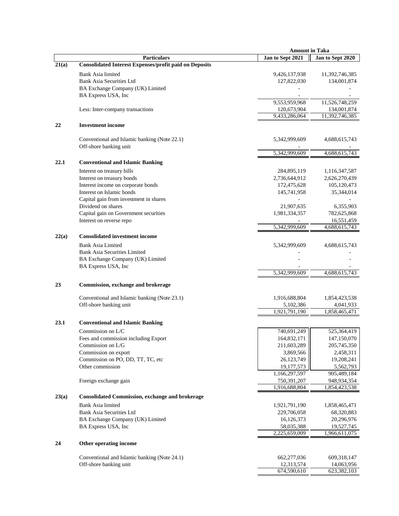|       |                                                                        | <b>Amount in Taka</b> |                  |
|-------|------------------------------------------------------------------------|-----------------------|------------------|
|       | <b>Particulars</b>                                                     | Jan to Sept 2021      | Jan to Sept 2020 |
| 21(a) | <b>Consolidated Interest Expenses/profit paid on Deposits</b>          |                       |                  |
|       | Bank Asia limited                                                      | 9,426,137,938         | 11,392,746,385   |
|       | <b>Bank Asia Securities Ltd</b>                                        | 127,822,030           | 134,001,874      |
|       | BA Exchange Company (UK) Limited                                       |                       |                  |
|       |                                                                        |                       |                  |
|       | BA Express USA, Inc                                                    |                       |                  |
|       |                                                                        | 9,553,959,968         | 11,526,748,259   |
|       | Less: Inter-company transactions                                       | 120,673,904           | 134,001,874      |
|       |                                                                        | 9,433,286,064         | 11,392,746,385   |
| 22    | <b>Investment income</b>                                               |                       |                  |
|       |                                                                        |                       |                  |
|       | Conventional and Islamic banking (Note 22.1)<br>Off-shore banking unit | 5,342,999,609         | 4,688,615,743    |
|       |                                                                        | 5,342,999,609         | 4,688,615,743    |
| 22.1  | <b>Conventional and Islamic Banking</b>                                |                       |                  |
|       |                                                                        |                       |                  |
|       | Interest on treasury bills                                             | 284,895,119           | 1,116,347,587    |
|       | Interest on treasury bonds                                             | 2,736,644,912         | 2,626,270,439    |
|       | Interest income on corporate bonds                                     | 172,475,628           | 105,120,473      |
|       | Interest on Islamic bonds                                              | 145,741,958           | 35,344,014       |
|       | Capital gain from investment in shares                                 |                       |                  |
|       | Dividend on shares                                                     | 21,907,635            | 6,355,903        |
|       | Capital gain on Government securities                                  | 1,981,334,357         | 782,625,868      |
|       | Interest on reverse repo                                               |                       | 16,551,459       |
|       |                                                                        | 5,342,999,609         | 4,688,615,743    |
| 22(a) | <b>Consolidated investment income</b>                                  |                       |                  |
|       |                                                                        |                       |                  |
|       | <b>Bank Asia Limited</b>                                               | 5,342,999,609         | 4,688,615,743    |
|       | <b>Bank Asia Securities Limited</b>                                    |                       |                  |
|       | BA Exchange Company (UK) Limited                                       |                       |                  |
|       | BA Express USA, Inc                                                    |                       |                  |
|       |                                                                        | 5,342,999,609         | 4,688,615,743    |
| 23    | Commission, exchange and brokerage                                     |                       |                  |
|       |                                                                        |                       |                  |
|       | Conventional and Islamic banking (Note 23.1)                           | 1,916,688,804         | 1,854,423,538    |
|       | Off-shore banking unit                                                 | 5,102,386             | 4,041,933        |
|       |                                                                        | 1,921,791,190         | 1,858,465,471    |
| 23.1  | <b>Conventional and Islamic Banking</b>                                |                       |                  |
|       | Commission on L/C                                                      | 740,691,249           | 525,364,419      |
|       | Fees and commission including Export                                   | 164,832,171           | 147,150,070      |
|       | Commission on L/G                                                      | 211,603,289           | 205,745,350      |
|       | Commission on export                                                   | 3,869,566             | 2,458,311        |
|       | Commission on PO, DD, TT, TC, etc                                      | 26,123,749            | 19,208,241       |
|       | Other commission                                                       | 19,177,573            | 5,562,793        |
|       |                                                                        | 1,166,297,597         | 905,489,184      |
|       |                                                                        | 750,391,207           | 948,934,354      |
|       | Foreign exchange gain                                                  | 1,916,688,804         | 1,854,423,538    |
|       |                                                                        |                       |                  |
| 23(a) | <b>Consolidated Commission, exchange and brokerage</b>                 |                       |                  |
|       | <b>Bank Asia limited</b>                                               | 1,921,791,190         | 1,858,465,471    |
|       | <b>Bank Asia Securities Ltd</b>                                        | 229,706,058           | 68,320,883       |
|       | BA Exchange Company (UK) Limited                                       | 16,126,373            | 20,296,976       |
|       | BA Express USA, Inc                                                    | 58,035,388            | 19,527,745       |
|       |                                                                        | 2,225,659,009         | 1,966,611,075    |
| 24    | Other operating income                                                 |                       |                  |
|       |                                                                        |                       |                  |
|       | Conventional and Islamic banking (Note 24.1)                           | 662,277,036           | 609,318,147      |
|       | Off-shore banking unit                                                 | 12,313,574            | 14,063,956       |
|       |                                                                        | 674,590,610           | 623,382,103      |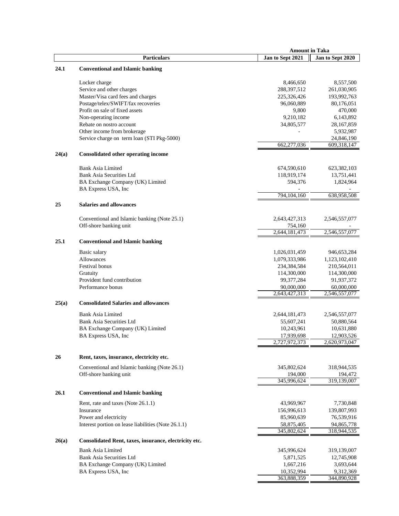|       |                                                       |                             | <b>Amount in Taka</b>       |
|-------|-------------------------------------------------------|-----------------------------|-----------------------------|
|       | <b>Particulars</b>                                    | Jan to Sept 2021            | Jan to Sept 2020            |
| 24.1  | <b>Conventional and Islamic banking</b>               |                             |                             |
|       | Locker charge                                         | 8,466,650                   | 8,557,500                   |
|       | Service and other charges                             | 288,397,512                 | 261,030,905                 |
|       | Master/Visa card fees and charges                     | 225,326,426                 | 193,992,763                 |
|       | Postage/telex/SWIFT/fax recoveries                    | 96,060,889                  | 80,176,051                  |
|       | Profit on sale of fixed assets                        | 9,800                       | 470,000                     |
|       | Non-operating income                                  | 9,210,182                   | 6,143,892                   |
|       | Rebate on nostro account                              | 34,805,577                  | 28, 167, 859                |
|       | Other income from brokerage                           |                             | 5,932,987                   |
|       |                                                       |                             | 24,846,190                  |
|       | Service charge on term loan (STI Pkg-5000)            | 662,277,036                 | 609,318,147                 |
| 24(a) | <b>Consolidated other operating income</b>            |                             |                             |
|       |                                                       |                             |                             |
|       | <b>Bank Asia Limited</b>                              | 674,590,610                 | 623,382,103                 |
|       | <b>Bank Asia Securities Ltd</b>                       | 118,919,174                 | 13,751,441                  |
|       | BA Exchange Company (UK) Limited                      | 594,376                     | 1,824,964                   |
|       | BA Express USA, Inc                                   |                             |                             |
|       |                                                       | 794,104,160                 | 638,958,508                 |
| 25    | <b>Salaries and allowances</b>                        |                             |                             |
|       | Conventional and Islamic banking (Note 25.1)          | 2,643,427,313               | 2,546,557,077               |
|       | Off-shore banking unit                                | 754,160                     |                             |
|       |                                                       | 2,644,181,473               | 2,546,557,077               |
| 25.1  | <b>Conventional and Islamic banking</b>               |                             |                             |
|       | Basic salary                                          | 1,026,031,459               | 946,653,284                 |
|       | Allowances                                            | 1,079,333,986               |                             |
|       | Festival bonus                                        | 234,384,584                 | 1,123,102,410               |
|       |                                                       |                             | 210,564,011                 |
|       | Gratuity<br>Provident fund contribution               | 114,300,000                 | 114,300,000                 |
|       |                                                       | 99,377,284                  | 91,937,372                  |
|       | Performance bonus                                     | 90,000,000<br>2,643,427,313 | 60,000,000<br>2,546,557,077 |
| 25(a) | <b>Consolidated Salaries and allowances</b>           |                             |                             |
|       |                                                       |                             |                             |
|       | <b>Bank Asia Limited</b>                              | 2,644,181,473               | 2,546,557,077               |
|       | <b>Bank Asia Securities Ltd</b>                       | 55,607,241                  | 50,880,564                  |
|       | BA Exchange Company (UK) Limited                      | 10,243,961                  | 10,631,880                  |
|       | BA Express USA, Inc                                   | 17,939,698                  | 12,903,526                  |
|       |                                                       | 2,727,972,373               | 2,620,973,047               |
| 26    | Rent, taxes, insurance, electricity etc.              |                             |                             |
|       | Conventional and Islamic banking (Note 26.1)          | 345,802,624                 | 318,944,535                 |
|       | Off-shore banking unit                                | 194,000                     | 194,472                     |
|       |                                                       | 345,996,624                 | 319,139,007                 |
| 26.1  | <b>Conventional and Islamic banking</b>               |                             |                             |
|       | Rent, rate and taxes (Note 26.1.1)                    | 43,969,967                  | 7,730,848                   |
|       | Insurance                                             | 156,996,613                 | 139,807,993                 |
|       | Power and electricity                                 | 85,960,639                  | 76,539,916                  |
|       | Interest portion on lease liabilities (Note 26.1.1)   | 58,875,405                  | 94,865,778                  |
|       |                                                       | 345,802,624                 | 318,944,535                 |
| 26(a) | Consolidated Rent, taxes, insurance, electricity etc. |                             |                             |
|       | <b>Bank Asia Limited</b>                              | 345,996,624                 | 319,139,007                 |
|       | <b>Bank Asia Securities Ltd</b>                       | 5,871,525                   | 12,745,908                  |
|       | BA Exchange Company (UK) Limited                      | 1,667,216                   | 3,693,644                   |
|       | BA Express USA, Inc                                   | 10,352,994                  | 9,312,369                   |
|       |                                                       | 363,888,359                 | 344,890,928                 |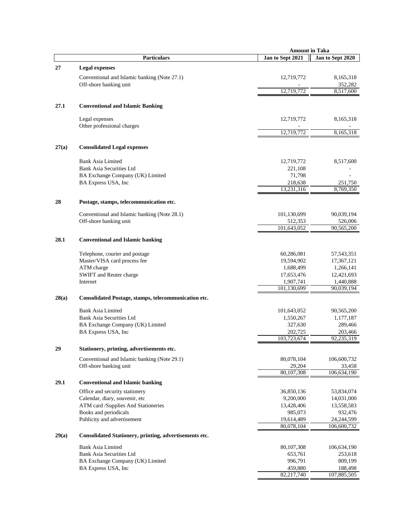|       |                                                        | <b>Amount in Taka</b> |                      |
|-------|--------------------------------------------------------|-----------------------|----------------------|
|       | <b>Particulars</b>                                     | Jan to Sept 2021      | Jan to Sept 2020     |
| 27    | <b>Legal expenses</b>                                  |                       |                      |
|       | Conventional and Islamic banking (Note 27.1)           | 12,719,772            | 8,165,318            |
|       | Off-shore banking unit                                 |                       | 352,282              |
|       |                                                        | 12,719,772            | 8.517.600            |
|       |                                                        |                       |                      |
| 27.1  | <b>Conventional and Islamic Banking</b>                |                       |                      |
|       | Legal expenses                                         | 12,719,772            | 8,165,318            |
|       | Other professional charges                             |                       |                      |
|       |                                                        | 12,719,772            | 8,165,318            |
| 27(a) | <b>Consolidated Legal expenses</b>                     |                       |                      |
|       |                                                        |                       |                      |
|       | <b>Bank Asia Limited</b>                               | 12,719,772            | 8,517,600            |
|       | Bank Asia Securities Ltd                               | 221,108               |                      |
|       | BA Exchange Company (UK) Limited                       | 71,798                |                      |
|       | BA Express USA, Inc                                    | 218,638<br>13,231,316 | 251,750<br>8,769,350 |
|       |                                                        |                       |                      |
| 28    | Postage, stamps, telecommunication etc.                |                       |                      |
|       | Conventional and Islamic banking (Note 28.1)           | 101,130,699           | 90,039,194           |
|       | Off-shore banking unit                                 | 512,353               | 526,006              |
|       |                                                        | 101,643,052           | 90,565,200           |
| 28.1  | <b>Conventional and Islamic banking</b>                |                       |                      |
|       | Telephone, courier and postage                         | 60,286,081            | 57, 543, 351         |
|       | Master/VISA card process fee                           | 19,594,902            | 17,367,121           |
|       | ATM charge                                             | 1,688,499             | 1,266,141            |
|       | SWIFT and Reuter charge                                | 17,653,476            | 12,421,693           |
|       | Internet                                               | 1,907,741             | 1,440,888            |
|       |                                                        | 101,130,699           | 90,039,194           |
| 28(a) | Consolidated Postage, stamps, telecommunication etc.   |                       |                      |
|       | <b>Bank Asia Limited</b>                               | 101,643,052           | 90,565,200           |
|       | <b>Bank Asia Securities Ltd</b>                        | 1,550,267             | 1,177,187            |
|       | BA Exchange Company (UK) Limited                       | 327,630               | 289,466              |
|       | BA Express USA, Inc                                    | 202,725               | 203,466              |
|       |                                                        | 103,723,674           | 92,235,319           |
| 29    | Stationery, printing, advertisements etc.              |                       |                      |
|       | Conventional and Islamic banking (Note 29.1)           | 80,078,104            | 106,600,732          |
|       | Off-shore banking unit                                 | 29,204                | 33,458               |
|       |                                                        | 80,107,308            | 106,634,190          |
| 29.1  | <b>Conventional and Islamic banking</b>                |                       |                      |
|       | Office and security stationery                         | 36,850,136            | 53,834,074           |
|       | Calendar, diary, souvenir, etc                         | 9,200,000             | 14,031,000           |
|       | ATM card /Supplies And Stationeries                    | 13,428,406            | 13,558,583           |
|       | Books and periodicals                                  | 985,073               | 932,476              |
|       | Publicity and advertisement                            | 19,614,489            | 24,244,599           |
|       |                                                        | 80,078,104            | 106,600,732          |
| 29(a) | Consolidated Stationery, printing, advertisements etc. |                       |                      |
|       | <b>Bank Asia Limited</b>                               | 80,107,308            | 106,634,190          |
|       | Bank Asia Securities Ltd                               | 653,761               | 253,618              |
|       | BA Exchange Company (UK) Limited                       | 996,791               | 809,199              |
|       | BA Express USA, Inc                                    | 459,880               | 188,498              |
|       |                                                        | 82,217,740            | 107,885,505          |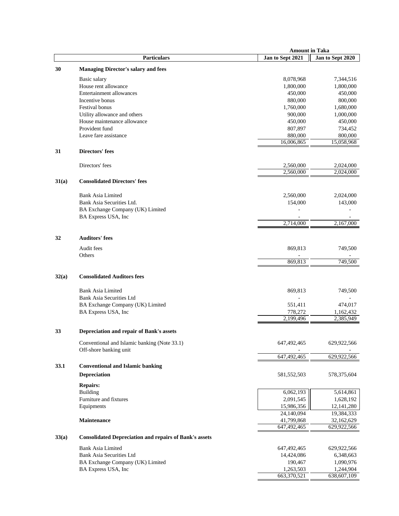|       |                                                               | <b>Amount in Taka</b> |                  |
|-------|---------------------------------------------------------------|-----------------------|------------------|
|       | <b>Particulars</b>                                            | Jan to Sept 2021      | Jan to Sept 2020 |
| 30    | <b>Managing Director's salary and fees</b>                    |                       |                  |
|       | Basic salary                                                  | 8,078,968             | 7,344,516        |
|       | House rent allowance                                          | 1,800,000             | 1,800,000        |
|       | Entertainment allowances                                      | 450,000               | 450,000          |
|       | Incentive bonus                                               | 880,000               | 800,000          |
|       | Festival bonus                                                | 1,760,000             | 1,680,000        |
|       | Utility allowance and others                                  | 900,000               | 1,000,000        |
|       | House maintenance allowance                                   | 450,000               | 450,000          |
|       | Provident fund                                                | 807,897               | 734,452          |
|       | Leave fare assistance                                         | 880,000               | 800,000          |
|       |                                                               | 16,006,865            | 15,058,968       |
| 31    | Directors' fees                                               |                       |                  |
|       | Directors' fees                                               | 2,560,000             | 2,024,000        |
|       |                                                               | 2,560,000             | 2,024,000        |
| 31(a) | <b>Consolidated Directors' fees</b>                           |                       |                  |
|       | <b>Bank Asia Limited</b>                                      | 2,560,000             | 2,024,000        |
|       | Bank Asia Securities Ltd.                                     | 154,000               | 143,000          |
|       | BA Exchange Company (UK) Limited                              |                       |                  |
|       | BA Express USA, Inc                                           |                       |                  |
|       |                                                               | 2,714,000             | 2,167,000        |
| 32    | <b>Auditors' fees</b>                                         |                       |                  |
|       |                                                               |                       |                  |
|       | Audit fees<br>Others                                          | 869,813               | 749,500          |
|       |                                                               | 869,813               | 749,500          |
|       |                                                               |                       |                  |
| 32(a) | <b>Consolidated Auditors fees</b>                             |                       |                  |
|       | <b>Bank Asia Limited</b>                                      | 869,813               | 749,500          |
|       | <b>Bank Asia Securities Ltd</b>                               |                       |                  |
|       | BA Exchange Company (UK) Limited                              | 551,411               | 474,017          |
|       | BA Express USA, Inc                                           | 778,272               | 1,162,432        |
|       |                                                               | 2,199,496             | 2,385,949        |
| 33    | Depreciation and repair of Bank's assets                      |                       |                  |
|       |                                                               |                       |                  |
|       | Conventional and Islamic banking (Note 33.1)                  | 647,492,465           | 629,922,566      |
|       | Off-shore banking unit                                        |                       |                  |
|       |                                                               | 647,492,465           | 629,922,566      |
| 33.1  | <b>Conventional and Islamic banking</b>                       |                       |                  |
|       | <b>Depreciation</b>                                           | 581, 552, 503         | 578,375,604      |
|       | <b>Repairs:</b>                                               |                       |                  |
|       | <b>Building</b>                                               | 6,062,193             | 5,614,861        |
|       | Furniture and fixtures                                        | 2,091,545             | 1,628,192        |
|       | Equipments                                                    | 15,986,356            | 12, 141, 280     |
|       |                                                               | 24,140,094            | 19,384,333       |
|       | <b>Maintenance</b>                                            | 41,799,868            | 32,162,629       |
|       |                                                               | 647,492,465           | 629,922,566      |
| 33(a) | <b>Consolidated Depreciation and repairs of Bank's assets</b> |                       |                  |
|       | Bank Asia Limited                                             | 647, 492, 465         | 629,922,566      |
|       | <b>Bank Asia Securities Ltd</b>                               | 14,424,086            | 6,348,663        |
|       | BA Exchange Company (UK) Limited                              | 190,467               | 1,090,976        |
|       | BA Express USA, Inc                                           | 1,263,503             | 1,244,904        |
|       |                                                               | 663,370,521           | 638,607,109      |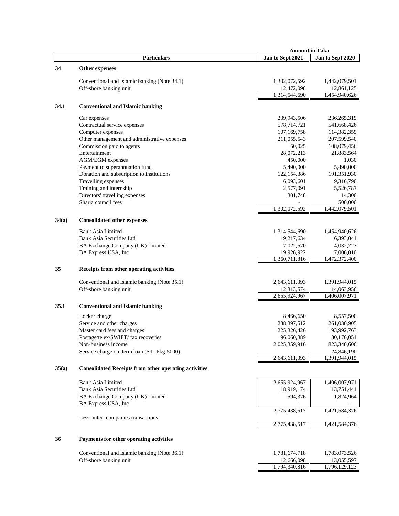| Jan to Sept 2021<br><b>Particulars</b><br>Jan to Sept 2020<br>34<br>Other expenses<br>1,302,072,592<br>Conventional and Islamic banking (Note 34.1)<br>1,442,079,501<br>Off-shore banking unit<br>12,472,098<br>12,861,125<br>1,314,544,690<br>1,454,940,626<br>34.1<br><b>Conventional and Islamic banking</b><br>239,943,506<br>236, 265, 319<br>Car expenses<br>Contractual service expenses<br>578,714,721<br>541,668,426<br>Computer expenses<br>107, 169, 758<br>114,382,359<br>Other management and administrative expenses<br>211,055,543<br>207,599,540<br>Commission paid to agents<br>50,025<br>108,079,456<br>Entertainment<br>28,072,213<br>21,883,564<br>AGM/EGM expenses<br>450,000<br>1,030<br>Payment to superannuation fund<br>5,490,000<br>5,490,000<br>Donation and subscription to institutions<br>122,154,386<br>191,351,930<br>Travelling expenses<br>6,093,601<br>9,316,790<br>Training and internship<br>2,577,091<br>5,526,787<br>Directors' travelling expenses<br>14,300<br>301,748<br>Sharia council fees<br>500,000<br>1,442,079,501<br>1,302,072,592<br>34(a)<br><b>Consolidated other expenses</b><br>Bank Asia Limited<br>1,314,544,690<br>1,454,940,626<br>Bank Asia Securities Ltd<br>19,217,634<br>6,393,041<br>BA Exchange Company (UK) Limited<br>7,022,570<br>4,032,723<br>BA Express USA, Inc<br>19,926,922<br>7,006,010<br>1,472,372,400<br>1,360,711,816<br>35<br>Receipts from other operating activities<br>Conventional and Islamic banking (Note 35.1)<br>2,643,611,393<br>1,391,944,015<br>Off-shore banking unit<br>12,313,574<br>14,063,956<br>2,655,924,967<br>1,406,007,971<br>35.1<br><b>Conventional and Islamic banking</b><br>Locker charge<br>8,466,650<br>8,557,500<br>Service and other charges<br>288, 397, 512<br>261,030,905<br>Master card fees and charges<br>225,326,426<br>193,992,763<br>Postage/telex/SWIFT/fax recoveries<br>96,060,889<br>80,176,051<br>2,025,359,916<br>Non-business income<br>823,340,606<br>Service charge on term loan (STI Pkg-5000)<br>24,846,190<br>1,391,944,015<br>2,643,611,393<br>35(a)<br><b>Consolidated Receipts from other operating activities</b><br>1,406,007,971<br><b>Bank Asia Limited</b><br>2,655,924,967<br><b>Bank Asia Securities Ltd</b><br>118,919,174<br>13,751,441<br>594,376<br>1,824,964<br>BA Exchange Company (UK) Limited<br>BA Express USA, Inc<br>2,775,438,517<br>1,421,584,376<br>Less: inter-companies transactions<br>2,775,438,517<br>1,421,584,376<br>Payments for other operating activities<br>36<br>Conventional and Islamic banking (Note 36.1)<br>1,781,674,718<br>1,783,073,526<br>Off-shore banking unit<br>12,666,098<br>13,055,597<br>1,794,340,816<br>1,796,129,123 |  | <b>Amount in Taka</b> |  |
|---------------------------------------------------------------------------------------------------------------------------------------------------------------------------------------------------------------------------------------------------------------------------------------------------------------------------------------------------------------------------------------------------------------------------------------------------------------------------------------------------------------------------------------------------------------------------------------------------------------------------------------------------------------------------------------------------------------------------------------------------------------------------------------------------------------------------------------------------------------------------------------------------------------------------------------------------------------------------------------------------------------------------------------------------------------------------------------------------------------------------------------------------------------------------------------------------------------------------------------------------------------------------------------------------------------------------------------------------------------------------------------------------------------------------------------------------------------------------------------------------------------------------------------------------------------------------------------------------------------------------------------------------------------------------------------------------------------------------------------------------------------------------------------------------------------------------------------------------------------------------------------------------------------------------------------------------------------------------------------------------------------------------------------------------------------------------------------------------------------------------------------------------------------------------------------------------------------------------------------------------------------------------------------------------------------------------------------------------------------------------------------------------------------------------------------------------------------------------------------------------------------------------------------------------------------------------------------------------------------------------------------------------------------------------------------------------------------|--|-----------------------|--|
|                                                                                                                                                                                                                                                                                                                                                                                                                                                                                                                                                                                                                                                                                                                                                                                                                                                                                                                                                                                                                                                                                                                                                                                                                                                                                                                                                                                                                                                                                                                                                                                                                                                                                                                                                                                                                                                                                                                                                                                                                                                                                                                                                                                                                                                                                                                                                                                                                                                                                                                                                                                                                                                                                                               |  |                       |  |
|                                                                                                                                                                                                                                                                                                                                                                                                                                                                                                                                                                                                                                                                                                                                                                                                                                                                                                                                                                                                                                                                                                                                                                                                                                                                                                                                                                                                                                                                                                                                                                                                                                                                                                                                                                                                                                                                                                                                                                                                                                                                                                                                                                                                                                                                                                                                                                                                                                                                                                                                                                                                                                                                                                               |  |                       |  |
|                                                                                                                                                                                                                                                                                                                                                                                                                                                                                                                                                                                                                                                                                                                                                                                                                                                                                                                                                                                                                                                                                                                                                                                                                                                                                                                                                                                                                                                                                                                                                                                                                                                                                                                                                                                                                                                                                                                                                                                                                                                                                                                                                                                                                                                                                                                                                                                                                                                                                                                                                                                                                                                                                                               |  |                       |  |
|                                                                                                                                                                                                                                                                                                                                                                                                                                                                                                                                                                                                                                                                                                                                                                                                                                                                                                                                                                                                                                                                                                                                                                                                                                                                                                                                                                                                                                                                                                                                                                                                                                                                                                                                                                                                                                                                                                                                                                                                                                                                                                                                                                                                                                                                                                                                                                                                                                                                                                                                                                                                                                                                                                               |  |                       |  |
|                                                                                                                                                                                                                                                                                                                                                                                                                                                                                                                                                                                                                                                                                                                                                                                                                                                                                                                                                                                                                                                                                                                                                                                                                                                                                                                                                                                                                                                                                                                                                                                                                                                                                                                                                                                                                                                                                                                                                                                                                                                                                                                                                                                                                                                                                                                                                                                                                                                                                                                                                                                                                                                                                                               |  |                       |  |
|                                                                                                                                                                                                                                                                                                                                                                                                                                                                                                                                                                                                                                                                                                                                                                                                                                                                                                                                                                                                                                                                                                                                                                                                                                                                                                                                                                                                                                                                                                                                                                                                                                                                                                                                                                                                                                                                                                                                                                                                                                                                                                                                                                                                                                                                                                                                                                                                                                                                                                                                                                                                                                                                                                               |  |                       |  |
|                                                                                                                                                                                                                                                                                                                                                                                                                                                                                                                                                                                                                                                                                                                                                                                                                                                                                                                                                                                                                                                                                                                                                                                                                                                                                                                                                                                                                                                                                                                                                                                                                                                                                                                                                                                                                                                                                                                                                                                                                                                                                                                                                                                                                                                                                                                                                                                                                                                                                                                                                                                                                                                                                                               |  |                       |  |
|                                                                                                                                                                                                                                                                                                                                                                                                                                                                                                                                                                                                                                                                                                                                                                                                                                                                                                                                                                                                                                                                                                                                                                                                                                                                                                                                                                                                                                                                                                                                                                                                                                                                                                                                                                                                                                                                                                                                                                                                                                                                                                                                                                                                                                                                                                                                                                                                                                                                                                                                                                                                                                                                                                               |  |                       |  |
|                                                                                                                                                                                                                                                                                                                                                                                                                                                                                                                                                                                                                                                                                                                                                                                                                                                                                                                                                                                                                                                                                                                                                                                                                                                                                                                                                                                                                                                                                                                                                                                                                                                                                                                                                                                                                                                                                                                                                                                                                                                                                                                                                                                                                                                                                                                                                                                                                                                                                                                                                                                                                                                                                                               |  |                       |  |
|                                                                                                                                                                                                                                                                                                                                                                                                                                                                                                                                                                                                                                                                                                                                                                                                                                                                                                                                                                                                                                                                                                                                                                                                                                                                                                                                                                                                                                                                                                                                                                                                                                                                                                                                                                                                                                                                                                                                                                                                                                                                                                                                                                                                                                                                                                                                                                                                                                                                                                                                                                                                                                                                                                               |  |                       |  |
|                                                                                                                                                                                                                                                                                                                                                                                                                                                                                                                                                                                                                                                                                                                                                                                                                                                                                                                                                                                                                                                                                                                                                                                                                                                                                                                                                                                                                                                                                                                                                                                                                                                                                                                                                                                                                                                                                                                                                                                                                                                                                                                                                                                                                                                                                                                                                                                                                                                                                                                                                                                                                                                                                                               |  |                       |  |
|                                                                                                                                                                                                                                                                                                                                                                                                                                                                                                                                                                                                                                                                                                                                                                                                                                                                                                                                                                                                                                                                                                                                                                                                                                                                                                                                                                                                                                                                                                                                                                                                                                                                                                                                                                                                                                                                                                                                                                                                                                                                                                                                                                                                                                                                                                                                                                                                                                                                                                                                                                                                                                                                                                               |  |                       |  |
|                                                                                                                                                                                                                                                                                                                                                                                                                                                                                                                                                                                                                                                                                                                                                                                                                                                                                                                                                                                                                                                                                                                                                                                                                                                                                                                                                                                                                                                                                                                                                                                                                                                                                                                                                                                                                                                                                                                                                                                                                                                                                                                                                                                                                                                                                                                                                                                                                                                                                                                                                                                                                                                                                                               |  |                       |  |
|                                                                                                                                                                                                                                                                                                                                                                                                                                                                                                                                                                                                                                                                                                                                                                                                                                                                                                                                                                                                                                                                                                                                                                                                                                                                                                                                                                                                                                                                                                                                                                                                                                                                                                                                                                                                                                                                                                                                                                                                                                                                                                                                                                                                                                                                                                                                                                                                                                                                                                                                                                                                                                                                                                               |  |                       |  |
|                                                                                                                                                                                                                                                                                                                                                                                                                                                                                                                                                                                                                                                                                                                                                                                                                                                                                                                                                                                                                                                                                                                                                                                                                                                                                                                                                                                                                                                                                                                                                                                                                                                                                                                                                                                                                                                                                                                                                                                                                                                                                                                                                                                                                                                                                                                                                                                                                                                                                                                                                                                                                                                                                                               |  |                       |  |
|                                                                                                                                                                                                                                                                                                                                                                                                                                                                                                                                                                                                                                                                                                                                                                                                                                                                                                                                                                                                                                                                                                                                                                                                                                                                                                                                                                                                                                                                                                                                                                                                                                                                                                                                                                                                                                                                                                                                                                                                                                                                                                                                                                                                                                                                                                                                                                                                                                                                                                                                                                                                                                                                                                               |  |                       |  |
|                                                                                                                                                                                                                                                                                                                                                                                                                                                                                                                                                                                                                                                                                                                                                                                                                                                                                                                                                                                                                                                                                                                                                                                                                                                                                                                                                                                                                                                                                                                                                                                                                                                                                                                                                                                                                                                                                                                                                                                                                                                                                                                                                                                                                                                                                                                                                                                                                                                                                                                                                                                                                                                                                                               |  |                       |  |
|                                                                                                                                                                                                                                                                                                                                                                                                                                                                                                                                                                                                                                                                                                                                                                                                                                                                                                                                                                                                                                                                                                                                                                                                                                                                                                                                                                                                                                                                                                                                                                                                                                                                                                                                                                                                                                                                                                                                                                                                                                                                                                                                                                                                                                                                                                                                                                                                                                                                                                                                                                                                                                                                                                               |  |                       |  |
|                                                                                                                                                                                                                                                                                                                                                                                                                                                                                                                                                                                                                                                                                                                                                                                                                                                                                                                                                                                                                                                                                                                                                                                                                                                                                                                                                                                                                                                                                                                                                                                                                                                                                                                                                                                                                                                                                                                                                                                                                                                                                                                                                                                                                                                                                                                                                                                                                                                                                                                                                                                                                                                                                                               |  |                       |  |
|                                                                                                                                                                                                                                                                                                                                                                                                                                                                                                                                                                                                                                                                                                                                                                                                                                                                                                                                                                                                                                                                                                                                                                                                                                                                                                                                                                                                                                                                                                                                                                                                                                                                                                                                                                                                                                                                                                                                                                                                                                                                                                                                                                                                                                                                                                                                                                                                                                                                                                                                                                                                                                                                                                               |  |                       |  |
|                                                                                                                                                                                                                                                                                                                                                                                                                                                                                                                                                                                                                                                                                                                                                                                                                                                                                                                                                                                                                                                                                                                                                                                                                                                                                                                                                                                                                                                                                                                                                                                                                                                                                                                                                                                                                                                                                                                                                                                                                                                                                                                                                                                                                                                                                                                                                                                                                                                                                                                                                                                                                                                                                                               |  |                       |  |
|                                                                                                                                                                                                                                                                                                                                                                                                                                                                                                                                                                                                                                                                                                                                                                                                                                                                                                                                                                                                                                                                                                                                                                                                                                                                                                                                                                                                                                                                                                                                                                                                                                                                                                                                                                                                                                                                                                                                                                                                                                                                                                                                                                                                                                                                                                                                                                                                                                                                                                                                                                                                                                                                                                               |  |                       |  |
|                                                                                                                                                                                                                                                                                                                                                                                                                                                                                                                                                                                                                                                                                                                                                                                                                                                                                                                                                                                                                                                                                                                                                                                                                                                                                                                                                                                                                                                                                                                                                                                                                                                                                                                                                                                                                                                                                                                                                                                                                                                                                                                                                                                                                                                                                                                                                                                                                                                                                                                                                                                                                                                                                                               |  |                       |  |
|                                                                                                                                                                                                                                                                                                                                                                                                                                                                                                                                                                                                                                                                                                                                                                                                                                                                                                                                                                                                                                                                                                                                                                                                                                                                                                                                                                                                                                                                                                                                                                                                                                                                                                                                                                                                                                                                                                                                                                                                                                                                                                                                                                                                                                                                                                                                                                                                                                                                                                                                                                                                                                                                                                               |  |                       |  |
|                                                                                                                                                                                                                                                                                                                                                                                                                                                                                                                                                                                                                                                                                                                                                                                                                                                                                                                                                                                                                                                                                                                                                                                                                                                                                                                                                                                                                                                                                                                                                                                                                                                                                                                                                                                                                                                                                                                                                                                                                                                                                                                                                                                                                                                                                                                                                                                                                                                                                                                                                                                                                                                                                                               |  |                       |  |
|                                                                                                                                                                                                                                                                                                                                                                                                                                                                                                                                                                                                                                                                                                                                                                                                                                                                                                                                                                                                                                                                                                                                                                                                                                                                                                                                                                                                                                                                                                                                                                                                                                                                                                                                                                                                                                                                                                                                                                                                                                                                                                                                                                                                                                                                                                                                                                                                                                                                                                                                                                                                                                                                                                               |  |                       |  |
|                                                                                                                                                                                                                                                                                                                                                                                                                                                                                                                                                                                                                                                                                                                                                                                                                                                                                                                                                                                                                                                                                                                                                                                                                                                                                                                                                                                                                                                                                                                                                                                                                                                                                                                                                                                                                                                                                                                                                                                                                                                                                                                                                                                                                                                                                                                                                                                                                                                                                                                                                                                                                                                                                                               |  |                       |  |
|                                                                                                                                                                                                                                                                                                                                                                                                                                                                                                                                                                                                                                                                                                                                                                                                                                                                                                                                                                                                                                                                                                                                                                                                                                                                                                                                                                                                                                                                                                                                                                                                                                                                                                                                                                                                                                                                                                                                                                                                                                                                                                                                                                                                                                                                                                                                                                                                                                                                                                                                                                                                                                                                                                               |  |                       |  |
|                                                                                                                                                                                                                                                                                                                                                                                                                                                                                                                                                                                                                                                                                                                                                                                                                                                                                                                                                                                                                                                                                                                                                                                                                                                                                                                                                                                                                                                                                                                                                                                                                                                                                                                                                                                                                                                                                                                                                                                                                                                                                                                                                                                                                                                                                                                                                                                                                                                                                                                                                                                                                                                                                                               |  |                       |  |
|                                                                                                                                                                                                                                                                                                                                                                                                                                                                                                                                                                                                                                                                                                                                                                                                                                                                                                                                                                                                                                                                                                                                                                                                                                                                                                                                                                                                                                                                                                                                                                                                                                                                                                                                                                                                                                                                                                                                                                                                                                                                                                                                                                                                                                                                                                                                                                                                                                                                                                                                                                                                                                                                                                               |  |                       |  |
|                                                                                                                                                                                                                                                                                                                                                                                                                                                                                                                                                                                                                                                                                                                                                                                                                                                                                                                                                                                                                                                                                                                                                                                                                                                                                                                                                                                                                                                                                                                                                                                                                                                                                                                                                                                                                                                                                                                                                                                                                                                                                                                                                                                                                                                                                                                                                                                                                                                                                                                                                                                                                                                                                                               |  |                       |  |
|                                                                                                                                                                                                                                                                                                                                                                                                                                                                                                                                                                                                                                                                                                                                                                                                                                                                                                                                                                                                                                                                                                                                                                                                                                                                                                                                                                                                                                                                                                                                                                                                                                                                                                                                                                                                                                                                                                                                                                                                                                                                                                                                                                                                                                                                                                                                                                                                                                                                                                                                                                                                                                                                                                               |  |                       |  |
|                                                                                                                                                                                                                                                                                                                                                                                                                                                                                                                                                                                                                                                                                                                                                                                                                                                                                                                                                                                                                                                                                                                                                                                                                                                                                                                                                                                                                                                                                                                                                                                                                                                                                                                                                                                                                                                                                                                                                                                                                                                                                                                                                                                                                                                                                                                                                                                                                                                                                                                                                                                                                                                                                                               |  |                       |  |
|                                                                                                                                                                                                                                                                                                                                                                                                                                                                                                                                                                                                                                                                                                                                                                                                                                                                                                                                                                                                                                                                                                                                                                                                                                                                                                                                                                                                                                                                                                                                                                                                                                                                                                                                                                                                                                                                                                                                                                                                                                                                                                                                                                                                                                                                                                                                                                                                                                                                                                                                                                                                                                                                                                               |  |                       |  |
|                                                                                                                                                                                                                                                                                                                                                                                                                                                                                                                                                                                                                                                                                                                                                                                                                                                                                                                                                                                                                                                                                                                                                                                                                                                                                                                                                                                                                                                                                                                                                                                                                                                                                                                                                                                                                                                                                                                                                                                                                                                                                                                                                                                                                                                                                                                                                                                                                                                                                                                                                                                                                                                                                                               |  |                       |  |
|                                                                                                                                                                                                                                                                                                                                                                                                                                                                                                                                                                                                                                                                                                                                                                                                                                                                                                                                                                                                                                                                                                                                                                                                                                                                                                                                                                                                                                                                                                                                                                                                                                                                                                                                                                                                                                                                                                                                                                                                                                                                                                                                                                                                                                                                                                                                                                                                                                                                                                                                                                                                                                                                                                               |  |                       |  |
|                                                                                                                                                                                                                                                                                                                                                                                                                                                                                                                                                                                                                                                                                                                                                                                                                                                                                                                                                                                                                                                                                                                                                                                                                                                                                                                                                                                                                                                                                                                                                                                                                                                                                                                                                                                                                                                                                                                                                                                                                                                                                                                                                                                                                                                                                                                                                                                                                                                                                                                                                                                                                                                                                                               |  |                       |  |
|                                                                                                                                                                                                                                                                                                                                                                                                                                                                                                                                                                                                                                                                                                                                                                                                                                                                                                                                                                                                                                                                                                                                                                                                                                                                                                                                                                                                                                                                                                                                                                                                                                                                                                                                                                                                                                                                                                                                                                                                                                                                                                                                                                                                                                                                                                                                                                                                                                                                                                                                                                                                                                                                                                               |  |                       |  |
|                                                                                                                                                                                                                                                                                                                                                                                                                                                                                                                                                                                                                                                                                                                                                                                                                                                                                                                                                                                                                                                                                                                                                                                                                                                                                                                                                                                                                                                                                                                                                                                                                                                                                                                                                                                                                                                                                                                                                                                                                                                                                                                                                                                                                                                                                                                                                                                                                                                                                                                                                                                                                                                                                                               |  |                       |  |
|                                                                                                                                                                                                                                                                                                                                                                                                                                                                                                                                                                                                                                                                                                                                                                                                                                                                                                                                                                                                                                                                                                                                                                                                                                                                                                                                                                                                                                                                                                                                                                                                                                                                                                                                                                                                                                                                                                                                                                                                                                                                                                                                                                                                                                                                                                                                                                                                                                                                                                                                                                                                                                                                                                               |  |                       |  |
|                                                                                                                                                                                                                                                                                                                                                                                                                                                                                                                                                                                                                                                                                                                                                                                                                                                                                                                                                                                                                                                                                                                                                                                                                                                                                                                                                                                                                                                                                                                                                                                                                                                                                                                                                                                                                                                                                                                                                                                                                                                                                                                                                                                                                                                                                                                                                                                                                                                                                                                                                                                                                                                                                                               |  |                       |  |
|                                                                                                                                                                                                                                                                                                                                                                                                                                                                                                                                                                                                                                                                                                                                                                                                                                                                                                                                                                                                                                                                                                                                                                                                                                                                                                                                                                                                                                                                                                                                                                                                                                                                                                                                                                                                                                                                                                                                                                                                                                                                                                                                                                                                                                                                                                                                                                                                                                                                                                                                                                                                                                                                                                               |  |                       |  |
|                                                                                                                                                                                                                                                                                                                                                                                                                                                                                                                                                                                                                                                                                                                                                                                                                                                                                                                                                                                                                                                                                                                                                                                                                                                                                                                                                                                                                                                                                                                                                                                                                                                                                                                                                                                                                                                                                                                                                                                                                                                                                                                                                                                                                                                                                                                                                                                                                                                                                                                                                                                                                                                                                                               |  |                       |  |
|                                                                                                                                                                                                                                                                                                                                                                                                                                                                                                                                                                                                                                                                                                                                                                                                                                                                                                                                                                                                                                                                                                                                                                                                                                                                                                                                                                                                                                                                                                                                                                                                                                                                                                                                                                                                                                                                                                                                                                                                                                                                                                                                                                                                                                                                                                                                                                                                                                                                                                                                                                                                                                                                                                               |  |                       |  |
|                                                                                                                                                                                                                                                                                                                                                                                                                                                                                                                                                                                                                                                                                                                                                                                                                                                                                                                                                                                                                                                                                                                                                                                                                                                                                                                                                                                                                                                                                                                                                                                                                                                                                                                                                                                                                                                                                                                                                                                                                                                                                                                                                                                                                                                                                                                                                                                                                                                                                                                                                                                                                                                                                                               |  |                       |  |
|                                                                                                                                                                                                                                                                                                                                                                                                                                                                                                                                                                                                                                                                                                                                                                                                                                                                                                                                                                                                                                                                                                                                                                                                                                                                                                                                                                                                                                                                                                                                                                                                                                                                                                                                                                                                                                                                                                                                                                                                                                                                                                                                                                                                                                                                                                                                                                                                                                                                                                                                                                                                                                                                                                               |  |                       |  |
|                                                                                                                                                                                                                                                                                                                                                                                                                                                                                                                                                                                                                                                                                                                                                                                                                                                                                                                                                                                                                                                                                                                                                                                                                                                                                                                                                                                                                                                                                                                                                                                                                                                                                                                                                                                                                                                                                                                                                                                                                                                                                                                                                                                                                                                                                                                                                                                                                                                                                                                                                                                                                                                                                                               |  |                       |  |
|                                                                                                                                                                                                                                                                                                                                                                                                                                                                                                                                                                                                                                                                                                                                                                                                                                                                                                                                                                                                                                                                                                                                                                                                                                                                                                                                                                                                                                                                                                                                                                                                                                                                                                                                                                                                                                                                                                                                                                                                                                                                                                                                                                                                                                                                                                                                                                                                                                                                                                                                                                                                                                                                                                               |  |                       |  |
|                                                                                                                                                                                                                                                                                                                                                                                                                                                                                                                                                                                                                                                                                                                                                                                                                                                                                                                                                                                                                                                                                                                                                                                                                                                                                                                                                                                                                                                                                                                                                                                                                                                                                                                                                                                                                                                                                                                                                                                                                                                                                                                                                                                                                                                                                                                                                                                                                                                                                                                                                                                                                                                                                                               |  |                       |  |
|                                                                                                                                                                                                                                                                                                                                                                                                                                                                                                                                                                                                                                                                                                                                                                                                                                                                                                                                                                                                                                                                                                                                                                                                                                                                                                                                                                                                                                                                                                                                                                                                                                                                                                                                                                                                                                                                                                                                                                                                                                                                                                                                                                                                                                                                                                                                                                                                                                                                                                                                                                                                                                                                                                               |  |                       |  |
|                                                                                                                                                                                                                                                                                                                                                                                                                                                                                                                                                                                                                                                                                                                                                                                                                                                                                                                                                                                                                                                                                                                                                                                                                                                                                                                                                                                                                                                                                                                                                                                                                                                                                                                                                                                                                                                                                                                                                                                                                                                                                                                                                                                                                                                                                                                                                                                                                                                                                                                                                                                                                                                                                                               |  |                       |  |
|                                                                                                                                                                                                                                                                                                                                                                                                                                                                                                                                                                                                                                                                                                                                                                                                                                                                                                                                                                                                                                                                                                                                                                                                                                                                                                                                                                                                                                                                                                                                                                                                                                                                                                                                                                                                                                                                                                                                                                                                                                                                                                                                                                                                                                                                                                                                                                                                                                                                                                                                                                                                                                                                                                               |  |                       |  |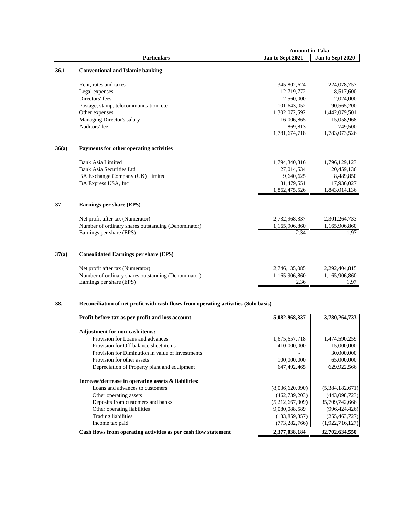|       |                                                                                     | <b>Amount in Taka</b>     |                          |
|-------|-------------------------------------------------------------------------------------|---------------------------|--------------------------|
|       | <b>Particulars</b>                                                                  | Jan to Sept 2021          | Jan to Sept 2020         |
| 36.1  | <b>Conventional and Islamic banking</b>                                             |                           |                          |
|       |                                                                                     |                           |                          |
|       | Rent, rates and taxes<br>Legal expenses                                             | 345,802,624<br>12,719,772 | 224,078,757<br>8,517,600 |
|       | Directors' fees                                                                     | 2,560,000                 | 2,024,000                |
|       | Postage, stamp, telecommunication, etc                                              | 101,643,052               | 90,565,200               |
|       | Other expenses                                                                      | 1,302,072,592             | 1,442,079,501            |
|       | Managing Director's salary                                                          | 16,006,865                | 15,058,968               |
|       | Auditors' fee                                                                       | 869,813                   | 749,500                  |
|       |                                                                                     | 1,781,674,718             | 1,783,073,526            |
| 36(a) | Payments for other operating activities                                             |                           |                          |
|       | <b>Bank Asia Limited</b>                                                            | 1,794,340,816             | 1,796,129,123            |
|       | Bank Asia Securities Ltd                                                            | 27,014,534                | 20,459,136               |
|       | BA Exchange Company (UK) Limited                                                    | 9,640,625                 | 8,489,850                |
|       | BA Express USA, Inc                                                                 | 31,479,551                | 17,936,027               |
|       |                                                                                     | 1,862,475,526             | 1,843,014,136            |
| 37    | Earnings per share (EPS)                                                            |                           |                          |
|       | Net profit after tax (Numerator)                                                    | 2,732,968,337             | 2,301,264,733            |
|       | Number of ordinary shares outstanding (Denominator)                                 | 1,165,906,860             | 1,165,906,860            |
|       | Earnings per share (EPS)                                                            | 2.34                      | 1.97                     |
| 37(a) | <b>Consolidated Earnings per share (EPS)</b>                                        |                           |                          |
|       | Net profit after tax (Numerator)                                                    | 2,746,135,085             | 2,292,404,815            |
|       | Number of ordinary shares outstanding (Denominator)                                 | 1,165,906,860             | 1,165,906,860            |
|       | Earnings per share (EPS)                                                            | 2.36                      | 1.97                     |
| 38.   | Reconciliation of net profit with cash flows from operating activities (Solo basis) |                           |                          |
|       | Profit before tax as per profit and loss account                                    | 5,082,968,337             | 3,780,264,733            |
|       | Adjustment for non-cash items:                                                      |                           |                          |
|       | Provision for Loans and advances                                                    | 1,675,657,718             | 1,474,590,259            |
|       | Provision for Off balance sheet items                                               | 410,000,000               | 15,000,000               |
|       | Provision for Diminution in value of investments                                    |                           | 30,000,000               |
|       | Provision for other assets                                                          | 100,000,000               | 65,000,000               |
|       | Depreciation of Property plant and equipment                                        | 647,492,465               | 629,922,566              |
|       | Increase/decrease in operating assets & liabilities:                                |                           |                          |
|       | Loans and advances to customers                                                     | (8,036,620,090)           | (5,384,182,671)          |

Other operating assets (462,739,203) (443,098,723) Deposits from customers and banks (5,212,667,009) 35,709,742,666<br>Other operating liabilities (9,080,088,589) (996,424,426) Other operating liabilities 8,080,088,589 (996,424,426) Trading liabilities (133,859,857) (255,463,727) Income tax paid (773,282,766) (1,922,716,127)

Cash flows from operating activities as per cash flow statement 2,377,038,184 32,702,634,550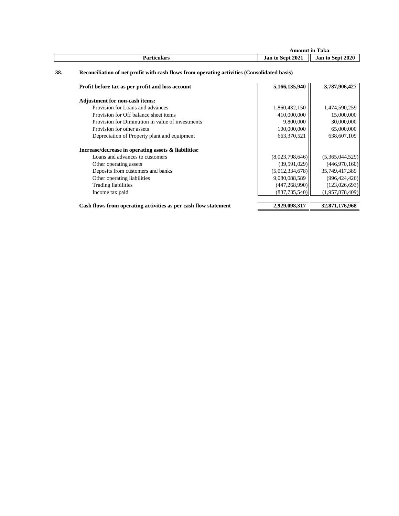|             | m<br>Amount in Taka        |                            |
|-------------|----------------------------|----------------------------|
| Particulars | 2021<br><b>Jan to Sept</b> | 2020<br><b>Jan to Sept</b> |

## **38. Reconciliation of net profit with cash flows from operating activities (Consolidated basis)**

| Profit before tax as per profit and loss account                | 5,166,135,940   | 3,787,906,427   |
|-----------------------------------------------------------------|-----------------|-----------------|
| <b>Adjustment for non-cash items:</b>                           |                 |                 |
| Provision for Loans and advances                                | 1,860,432,150   | 1,474,590,259   |
| Provision for Off balance sheet items                           | 410,000,000     | 15,000,000      |
| Provision for Diminution in value of investments                | 9,800,000       | 30,000,000      |
| Provision for other assets                                      | 100,000,000     | 65,000,000      |
| Depreciation of Property plant and equipment                    | 663,370,521     | 638,607,109     |
| Increase/decrease in operating assets & liabilities:            |                 |                 |
| Loans and advances to customers                                 | (8,023,798,646) | (5,365,044,529) |
| Other operating assets                                          | (39,591,029)    | (446,970,160)   |
| Deposits from customers and banks                               | (5,012,334,678) | 35,749,417,389  |
| Other operating liabilities                                     | 9,080,088,589   | (996, 424, 426) |
| <b>Trading liabilities</b>                                      | (447, 268, 990) | (123,026,693)   |
| Income tax paid                                                 | (837, 735, 540) | (1,957,878,409) |
| Cash flows from operating activities as per cash flow statement | 2,929,098,317   | 32,871,176,968  |